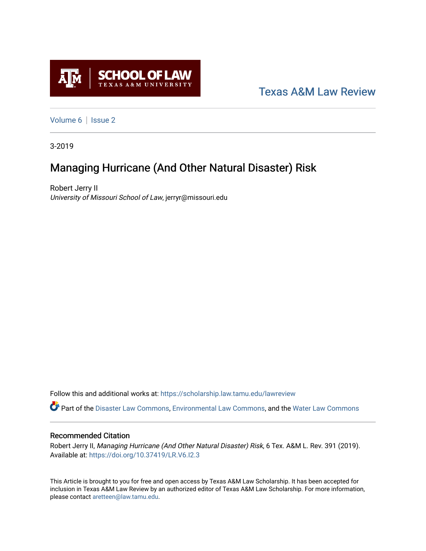

# [Texas A&M Law Review](https://scholarship.law.tamu.edu/lawreview)

[Volume 6](https://scholarship.law.tamu.edu/lawreview/vol6) | Issue 2

3-2019

# Managing Hurricane (And Other Natural Disaster) Risk

Robert Jerry II University of Missouri School of Law, jerryr@missouri.edu

Follow this and additional works at: [https://scholarship.law.tamu.edu/lawreview](https://scholarship.law.tamu.edu/lawreview?utm_source=scholarship.law.tamu.edu%2Flawreview%2Fvol6%2Fiss2%2F5&utm_medium=PDF&utm_campaign=PDFCoverPages)

Part of the [Disaster Law Commons](http://network.bepress.com/hgg/discipline/1348?utm_source=scholarship.law.tamu.edu%2Flawreview%2Fvol6%2Fiss2%2F5&utm_medium=PDF&utm_campaign=PDFCoverPages), [Environmental Law Commons,](http://network.bepress.com/hgg/discipline/599?utm_source=scholarship.law.tamu.edu%2Flawreview%2Fvol6%2Fiss2%2F5&utm_medium=PDF&utm_campaign=PDFCoverPages) and the [Water Law Commons](http://network.bepress.com/hgg/discipline/887?utm_source=scholarship.law.tamu.edu%2Flawreview%2Fvol6%2Fiss2%2F5&utm_medium=PDF&utm_campaign=PDFCoverPages)

## Recommended Citation

Robert Jerry II, Managing Hurricane (And Other Natural Disaster) Risk, 6 Tex. A&M L. Rev. 391 (2019). Available at:<https://doi.org/10.37419/LR.V6.I2.3>

This Article is brought to you for free and open access by Texas A&M Law Scholarship. It has been accepted for inclusion in Texas A&M Law Review by an authorized editor of Texas A&M Law Scholarship. For more information, please contact [aretteen@law.tamu.edu.](mailto:aretteen@law.tamu.edu)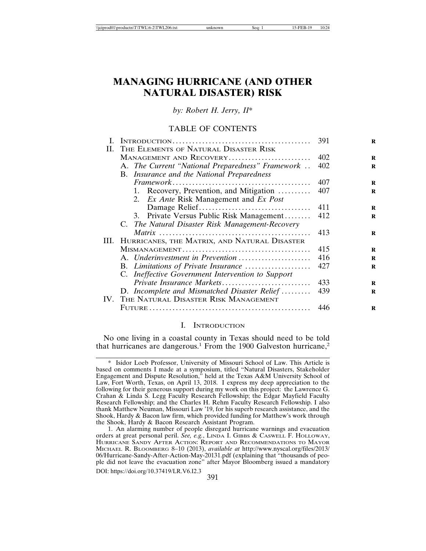# **MANAGING HURRICANE (AND OTHER NATURAL DISASTER) RISK**

*by: Robert H. Jerry, II*\*

### TABLE OF CONTENTS

|    |                                                   | 391 |
|----|---------------------------------------------------|-----|
| Н. | THE ELEMENTS OF NATURAL DISASTER RISK             |     |
|    | MANAGEMENT AND RECOVERY                           | 402 |
|    | A. The Current "National Preparedness" Framework  | 402 |
|    | B. Insurance and the National Preparedness        |     |
|    |                                                   | 407 |
|    | 1. Recovery, Prevention, and Mitigation           | 407 |
|    | 2. Ex Ante Risk Management and Ex Post            |     |
|    |                                                   | 411 |
|    | 3. Private Versus Public Risk Management          | 412 |
|    | C. The Natural Disaster Risk Management-Recovery  |     |
|    |                                                   | 413 |
|    | III. HURRICANES, THE MATRIX, AND NATURAL DISASTER |     |
|    |                                                   | 415 |
|    | A. Underinvestment in Prevention                  | 416 |
|    | B. Limitations of Private Insurance               | 427 |
|    | C. Ineffective Government Intervention to Support |     |
|    | Private Insurance Markets                         | 433 |
|    | D. Incomplete and Mismatched Disaster Relief      | 439 |
|    | IV. THE NATURAL DISASTER RISK MANAGEMENT          |     |
|    |                                                   | 446 |

#### I. INTRODUCTION

No one living in a coastal county in Texas should need to be told that hurricanes are dangerous.<sup>1</sup> From the 1900 Galveston hurricane,<sup>2</sup>

<sup>391</sup> DOI: https://doi.org/10.37419/LR.V6.I2.3

<sup>\*</sup> Isidor Loeb Professor, University of Missouri School of Law. This Article is based on comments I made at a symposium, titled "Natural Disasters, Stakeholder Engagement and Dispute Resolution," held at the Texas A&M University School of Law, Fort Worth, Texas, on April 13, 2018. I express my deep appreciation to the following for their generous support during my work on this project: the Lawrence G. Crahan & Linda S. Legg Faculty Research Fellowship; the Edgar Mayfield Faculty Research Fellowship; and the Charles H. Rehm Faculty Research Fellowship. I also thank Matthew Neuman, Missouri Law '19, for his superb research assistance, and the Shook, Hardy & Bacon law firm, which provided funding for Matthew's work through the Shook, Hardy & Bacon Research Assistant Program.

<sup>1.</sup> An alarming number of people disregard hurricane warnings and evacuation orders at great personal peril. *See, e.g.*, LINDA I. GIBBS & CASWELL F. HOLLOWAY, HURRICANE SANDY AFTER ACTION: REPORT AND RECOMMENDATIONS TO MAYOR MICHAEL R. BLOOMBERG 8–10 (2013), *available at* http://www.nyscal.org/files/2013/ 06/Hurricane-Sandy-After-Action-May-20131.pdf (explaining that "thousands of people did not leave the evacuation zone" after Mayor Bloomberg issued a mandatory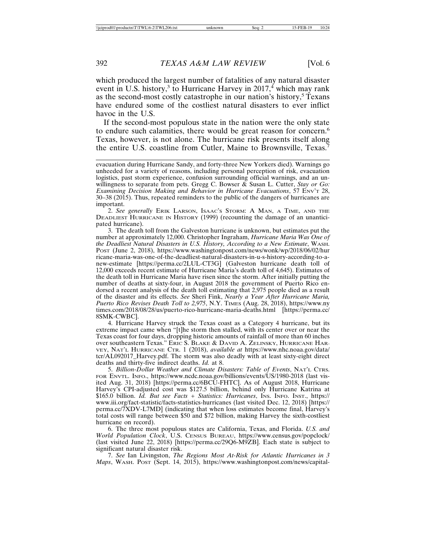which produced the largest number of fatalities of any natural disaster event in U.S. history,<sup>3</sup> to Hurricane Harvey in 2017,<sup>4</sup> which may rank as the second-most costly catastrophe in our nation's history,<sup>5</sup> Texans have endured some of the costliest natural disasters to ever inflict havoc in the U.S.

If the second-most populous state in the nation were the only state to endure such calamities, there would be great reason for concern.<sup>6</sup> Texas, however, is not alone. The hurricane risk presents itself along the entire U.S. coastline from Cutler, Maine to Brownsville, Texas.<sup>7</sup>

2. *See generally* ERIK LARSON, ISAAC'S STORM: A MAN, A TIME, AND THE DEADLIEST HURRICANE IN HISTORY (1999) (recounting the damage of an unanticipated hurricane).

3. The death toll from the Galveston hurricane is unknown, but estimates put the number at approximately 12,000. Christopher Ingraham, *Hurricane Maria Was One of the Deadliest Natural Disasters in U.S. History, According to a New Estimate*, WASH. POST (June 2, 2018), https://www.washingtonpost.com/news/wonk/wp/2018/06/02/hur ricane-maria-was-one-of-the-deadliest-natural-disasters-in-u-s-history-according-to-anew-estimate [https://perma.cc/2LUL-CT3G] (Galveston hurricane death toll of 12,000 exceeds recent estimate of Hurricane Maria's death toll of 4,645). Estimates of the death toll in Hurricane Maria have risen since the storm. After initially putting the number of deaths at sixty-four, in August 2018 the government of Puerto Rico endorsed a recent analysis of the death toll estimating that 2,975 people died as a result of the disaster and its effects. *See* Sheri Fink, *Nearly a Year After Hurricane Maria, Puerto Rico Revises Death Toll to 2,975*, N.Y. TIMES (Aug. 28, 2018), https://www.ny times.com/2018/08/28/us/puerto-rico-hurricane-maria-deaths.html [https://perma.cc/ 8SMK-CWBC].

4. Hurricane Harvey struck the Texas coast as a Category 4 hurricane, but its extreme impact came when "[t]he storm then stalled, with its center over or near the Texas coast for four days, dropping historic amounts of rainfall of more than 60 inches over southeastern Texas." ERIC S. BLAKE & DAVID A. ZELINSKY, HURRICANE HAR-VEY, NAT'L HURRICANE CTR. 1 (2018), *available at* https://www.nhc.noaa.gov/data/ tcr/AL092017\_Harvey.pdf. The storm was also deadly with at least sixty-eight direct deaths and thirty-five indirect deaths. *Id.* at 8.

5. *Billion-Dollar Weather and Climate Disasters: Table of Events*, NAT'L CTRS. FOR ENVTL. INFO., https://www.ncdc.noaa.gov/billions/events/US/1980-2018 (last visited Aug. 31, 2018) [https://perma.cc/6BCU-FHTC]. As of August 2018, Hurricane Harvey's CPI-adjusted cost was \$127.5 billion, behind only Hurricane Katrina at \$165.0 billion. *Id. But see Facts + Statistics: Hurricanes*, Ins. Info. Inst., https:// www.iii.org/fact-statistic/facts-statistics-hurricanes (last visited Dec. 12, 2018) [https:// perma.cc/7XDV-L7MD] (indicating that when loss estimates become final, Harvey's total costs will range between \$50 and \$72 billion, making Harvey the sixth-costliest hurricane on record).

6. The three most populous states are California, Texas, and Florida. *U.S. and World Population Clock*, U.S. CENSUS BUREAU, https://www.census.gov/popclock/ (last visited June 22, 2018) [https://perma.cc/29Q6-M9ZB]. Each state is subject to significant natural disaster risk.

7. *See* Ian Livingston, *The Regions Most At-Risk for Atlantic Hurricanes in 3 Maps*, WASH. POST (Sept. 14, 2015), https://www.washingtonpost.com/news/capital-

evacuation during Hurricane Sandy, and forty-three New Yorkers died). Warnings go unheeded for a variety of reasons, including personal perception of risk, evacuation logistics, past storm experience, confusion surrounding official warnings, and an unwillingness to separate from pets. Gregg C. Bowser & Susan L. Cutter, *Stay or Go: Examining Decision Making and Behavior in Hurricane Evacuations*, 57 ENV'T 28, 30–38 (2015). Thus, repeated reminders to the public of the dangers of hurricanes are important.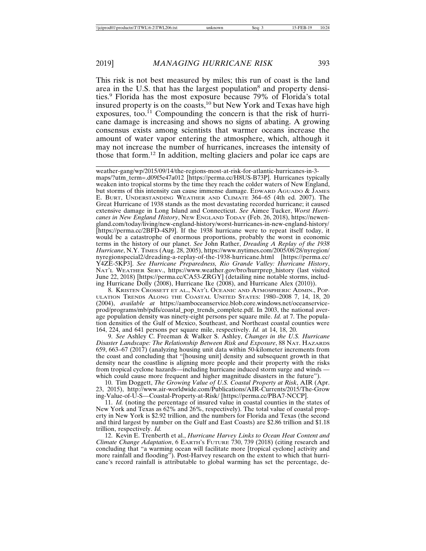This risk is not best measured by miles; this run of coast is the land area in the U.S. that has the largest population<sup>8</sup> and property densities.9 Florida has the most exposure because 79% of Florida's total insured property is on the coasts,<sup>10</sup> but New York and Texas have high exposures, too.<sup>11</sup> Compounding the concern is that the risk of hurricane damage is increasing and shows no signs of abating. A growing consensus exists among scientists that warmer oceans increase the amount of water vapor entering the atmosphere, which, although it may not increase the number of hurricanes, increases the intensity of those that form.12 In addition, melting glaciers and polar ice caps are

weather-gang/wp/2015/09/14/the-regions-most-at-risk-for-atlantic-hurricanes-in-3 maps/?utm\_term=.d09f5e47a012 [https://perma.cc/H8US-B73P]. Hurricanes typically weaken into tropical storms by the time they reach the colder waters of New England, but storms of this intensity can cause immense damage. EDWARD AGUADO & JAMES E. BURT, UNDERSTANDING WEATHER AND CLIMATE 364–65 (4th ed. 2007). The Great Hurricane of 1938 stands as the most devastating recorded hurricane; it caused extensive damage in Long Island and Connecticut. *See* Aimee Tucker, *Worst Hurricanes in New England History*, NEW ENGLAND TODAY (Feb. 26, 2018), https://newengland.com/today/living/new-england-history/worst-hurricanes-in-new-england-history/ [https://perma.cc/2BFD-4SJ9]. If the 1938 hurricane were to repeat itself today, it would be a catastrophe of enormous proportions, probably the worst in economic terms in the history of our planet. *See* John Rather, *Dreading A Replay of the 1938 Hurricane*, N.Y. TIMES (Aug. 28, 2005), https://www.nytimes.com/2005/08/28/nyregion/ nyregionspecial2/dreading-a-replay-of-the-1938-hurricane.html [https://perma.cc/ Y4ZE-5KP3]. *See Hurricane Preparedness, Rio Grande Valley: Hurricane History*, NAT'L WEATHER SERV., https://www.weather.gov/bro/hurrprep\_history (last visited June 22, 2018) [https://perma.cc/CA53-ZRGY] (detailing nine notable storms, including Hurricane Dolly (2008), Hurricane Ike (2008), and Hurricane Alex (2010)).

8. KRISTEN CROSSETT ET AL., NAT'L OCEANIC AND ATMOSPHERIC ADMIN., POP-ULATION TRENDS ALONG THE COASTAL UNITED STATES: 1980–2008 7, 14, 18, 20 (2004), *available at* https://aamboceanservice.blob.core.windows.net/oceanserviceprod/programs/mb/pdfs/coastal\_pop\_trends\_complete.pdf. In 2003, the national average population density was ninety-eight persons per square mile. *Id.* at 7. The population densities of the Gulf of Mexico, Southeast, and Northeast coastal counties were 164, 224, and 641 persons per square mile, respectively. *Id.* at 14, 18, 20.

9. *See* Ashley C. Freeman & Walker S. Ashley, *Changes in the U.S. Hurricane Disaster Landscape: The Relationship Between Risk and Exposure*, 88 NAT. HAZARDS 659, 663–67 (2017) (analyzing housing unit data within 50-kilometer increments from the coast and concluding that "[housing unit] density and subsequent growth in that density near the coastline is aligning more people and their property with the risks from tropical cyclone hazards—including hurricane induced storm surge and winds which could cause more frequent and higher magnitude disasters in the future").

10. Tim Doggett, *The Growing Value of U.S. Coastal Property at Risk*, AIR (Apr. 23, 2015), http://www.air-worldwide.com/Publications/AIR-Currents/2015/The-Grow ing-Value-of-U-S—Coastal-Property-at-Risk/ [https://perma.cc/PBA7-NCCP].

11. *Id.* (noting the percentage of insured value in coastal counties in the states of New York and Texas as 62% and 26%, respectively). The total value of coastal property in New York is \$2.92 trillion, and the numbers for Florida and Texas (the second and third largest by number on the Gulf and East Coasts) are \$2.86 trillion and \$1.18 trillion, respectively. *Id.*

12. Kevin E. Trenberth et al., *Hurricane Harvey Links to Ocean Heat Content and Climate Change Adaptation*, 6 EARTH'S FUTURE 730, 739 (2018) (citing research and concluding that "a warming ocean will facilitate more [tropical cyclone] activity and more rainfall and flooding"). Post-Harvey research on the extent to which that hurricane's record rainfall is attributable to global warming has set the percentage, de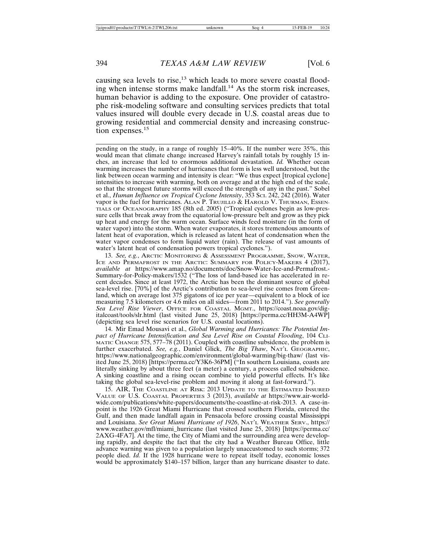causing sea levels to rise,<sup>13</sup> which leads to more severe coastal flooding when intense storms make landfall.<sup>14</sup> As the storm risk increases, human behavior is adding to the exposure. One provider of catastrophe risk-modeling software and consulting services predicts that total values insured will double every decade in U.S. coastal areas due to growing residential and commercial density and increasing construction expenses.<sup>15</sup>

pending on the study, in a range of roughly 15–40%. If the number were 35%, this would mean that climate change increased Harvey's rainfall totals by roughly 15 inches, an increase that led to enormous additional devastation. *Id.* Whether ocean warming increases the number of hurricanes that form is less well understood, but the link between ocean warming and intensity is clear: "We thus expect [tropical cyclone] intensities to increase with warming, both on average and at the high end of the scale, so that the strongest future storms will exceed the strength of any in the past." Sobel et al., *Human Influence on Tropical Cyclone Intensity*, 353 SCI. 242, 242 (2016). Water vapor is the fuel for hurricanes. ALAN P. TRUJILLO & HAROLD V. THURMAN, ESSEN-TIALS OF OCEANOGRAPHY 185 (8th ed. 2005) ("Tropical cyclones begin as low-pressure cells that break away from the equatorial low-pressure belt and grow as they pick up heat and energy for the warm ocean. Surface winds feed moisture (in the form of water vapor) into the storm. When water evaporates, it stores tremendous amounts of latent heat of evaporation, which is released as latent heat of condensation when the water vapor condenses to form liquid water (rain). The release of vast amounts of water's latent heat of condensation powers tropical cyclones.").

13. *See, e.g.*, ARCTIC MONITORING & ASSESSMENT PROGRAMME, SNOW, WATER, ICE AND PERMAFROST IN THE ARCTIC: SUMMARY FOR POLICY-MAKERS 4 (2017), *available at* https://www.amap.no/documents/doc/Snow-Water-Ice-and-Permafrost.- Summary-for-Policy-makers/1532 ("The loss of land-based ice has accelerated in recent decades. Since at least 1972, the Arctic has been the dominant source of global sea-level rise. [70%] of the Arctic's contribution to sea-level rise comes from Greenland, which on average lost 375 gigatons of ice per year—equivalent to a block of ice measuring 7.5 kilometers or 4.6 miles on all sides—from 2011 to 2014."). *See generally Sea Level Rise Viewer*, OFFICE FOR COASTAL MGMT., https://coast.noaa.gov/digitalcoast/tools/slr.html (last visited June 25, 2018) [https://perma.cc/HH3M-A4WP] (depicting sea level rise scenarios for U.S. coastal locations).

14. Mir Emad Mousavi et al., *Global Warming and Hurricanes: The Potential Impact of Hurricane Intensification and Sea Level Rise on Coastal Flooding*, 104 CLI-MATIC CHANGE 575, 577-78 (2011). Coupled with coastline subsidence, the problem is further exacerbated. *See, e.g.*, Daniel Glick, *The Big Thaw*, NAT'L GEOGRAPHIC, https://www.nationalgeographic.com/environment/global-warming/big-thaw/ (last visited June 25, 2018) [https://perma.cc/Y3K6-36PM] ("In southern Louisiana, coasts are literally sinking by about three feet (a meter) a century, a process called subsidence. A sinking coastline and a rising ocean combine to yield powerful effects. It's like taking the global sea-level-rise problem and moving it along at fast-forward.").

15. AIR, THE COASTLINE AT RISK: 2013 UPDATE TO THE ESTIMATED INSURED VALUE OF U.S. COASTAL PROPERTIES 3 (2013), *available at* https://www.air-worldwide.com/publications/white-papers/documents/the-coastline-at-risk-2013. A case-inpoint is the 1926 Great Miami Hurricane that crossed southern Florida, entered the Gulf, and then made landfall again in Pensacola before crossing coastal Mississippi and Louisiana. *See Great Miami Hurricane of 1926*, NAT'L WEATHER SERV., https:// www.weather.gov/mfl/miami\_hurricane (last visited June 25, 2018) [https://perma.cc/ 2AXG-4FA7]. At the time, the City of Miami and the surrounding area were developing rapidly, and despite the fact that the city had a Weather Bureau Office, little advance warning was given to a population largely unaccustomed to such storms; 372 people died. *Id.* If the 1928 hurricane were to repeat itself today, economic losses would be approximately \$140–157 billion, larger than any hurricane disaster to date.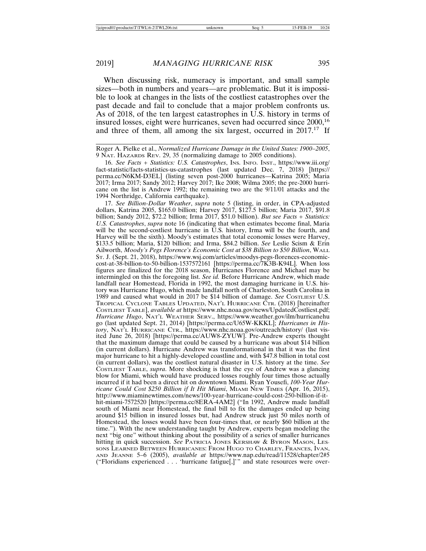When discussing risk, numeracy is important, and small sample sizes—both in numbers and years—are problematic. But it is impossible to look at changes in the lists of the costliest catastrophes over the past decade and fail to conclude that a major problem confronts us. As of 2018, of the ten largest catastrophes in U.S. history in terms of insured losses, eight were hurricanes, seven had occurred since 2000,<sup>16</sup> and three of them, all among the six largest, occurred in 2017.<sup>17</sup> If

Roger A. Pielke et al., *Normalized Hurricane Damage in the United States: 1900–2005*, 9 NAT. HAZARDS REV. 29, 35 (normalizing damage to 2005 conditions).

16. *See Facts + Statistics: U.S. Catastrophes*, INS. INFO. INST., https://www.iii.org/ fact-statistic/facts-statistics-us-catastrophes (last updated Dec. 7, 2018) [https:// perma.cc/N6KM-D3EL] (listing seven post-2000 hurricanes—Katrina 2005; Maria 2017; Irma 2017; Sandy 2012; Harvey 2017; Ike 2008; Wilma 2005; the pre-2000 hurricane on the list is Andrew 1992; the remaining two are the 9/11/01 attacks and the 1994 Northridge, California earthquake).

17. *See Billion-Dollar Weather*, *supra* note 5 (listing, in order, in CPA-adjusted dollars, Katrina 2005, \$165.0 billion; Harvey 2017, \$127.5 billion; Maria 2017, \$91.8 billion; Sandy 2012, \$72.2 billion; Irma 2017, \$51.0 billion). *But see Facts + Statistics: U.S. Catastrophes*, *supra* note 16 (indicating that when estimates become final, Maria will be the second-costliest hurricane in U.S. history, Irma will be the fourth, and Harvey will be the sixth). Moody's estimates that total economic losses were Harvey, \$133.5 billion; Maria, \$120 billion; and Irma, \$84.2 billion. *See* Leslie Scism & Erin Ailworth, *Moody's Pegs Florence's Economic Cost at \$38 Billion to \$50 Billion*, WALL ST. J. (Sept. 21, 2018), https://www.wsj.com/articles/moodys-pegs-florences-economiccost-at-38-billion-to-50-billion-1537572161 [https://perma.cc/7K3B-K94L]. When loss figures are finalized for the 2018 season, Hurricanes Florence and Michael may be intermingled on this the foregoing list. *See id.* Before Hurricane Andrew, which made landfall near Homestead, Florida in 1992, the most damaging hurricane in U.S. history was Hurricane Hugo, which made landfall north of Charleston, South Carolina in 1989 and caused what would in 2017 be \$14 billion of damage. See COSTLIEST U.S. TROPICAL CYCLONE TABLES UPDATED, NAT'L HURRICANE CTR. (2018) [hereinafter COSTLIEST TABLE], *available at* https://www.nhc.noaa.gov/news/UpdatedCostliest.pdf; *Hurricane Hugo*, NAT'L WEATHER SERV., https://www.weather.gov/ilm/hurricanehu go (last updated Sept. 21, 2014) [https://perma.cc/U65W-KKKL]; *Hurricanes in History*, NAT'L HURRICANE CTR., https://www.nhc.noaa.gov/outreach/history/ (last visited June 26, 2018) [https://perma.cc/AUW8-ZYUW]. Pre-Andrew experts thought that the maximum damage that could be caused by a hurricane was about \$14 billion (in current dollars). Hurricane Andrew was transformational in that it was the first major hurricane to hit a highly-developed coastline and, with \$47.8 billion in total cost (in current dollars), was the costliest natural disaster in U.S. history at the time. *See* COSTLIEST TABLE, *supra*. More shocking is that the eye of Andrew was a glancing blow for Miami, which would have produced losses roughly four times those actually incurred if it had been a direct hit on downtown Miami. Ryan Yousefi, *100-Year Hurricane Could Cost \$250 Billion if It Hit Miami*, MIAMI NEW TIMES (Apr. 16, 2015), http://www.miaminewtimes.com/news/100-year-hurricane-could-cost-250-billion-if-ithit-miami-7572520 [https://perma.cc/8ERA-4AM2] ("In 1992, Andrew made landfall south of Miami near Homestead, the final bill to fix the damages ended up being around \$15 billion in insured losses but, had Andrew struck just 50 miles north of Homestead, the losses would have been four-times that, or nearly \$60 billion at the time."). With the new understanding taught by Andrew, experts began modeling the next "big one" without thinking about the possibility of a series of smaller hurricanes hitting in quick succession. *See* PATRICIA JONES KERSHAW & BYRON MASON, LES-SONS LEARNED BETWEEN HURRICANES: FROM HUGO TO CHARLEY, FRANCES, IVAN, AND JEANNE 5–6 (2005), *available at* https://www.nap.edu/read/11528/chapter/2#5 ("Floridians experienced . . . 'hurricane fatigue[,]'" and state resources were over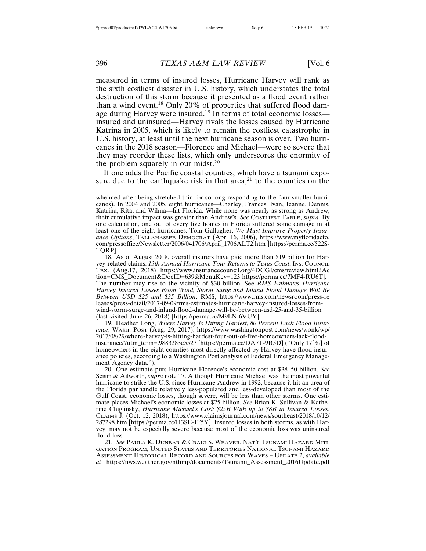measured in terms of insured losses, Hurricane Harvey will rank as the sixth costliest disaster in U.S. history, which understates the total destruction of this storm because it presented as a flood event rather than a wind event.18 Only 20% of properties that suffered flood damage during Harvey were insured.<sup>19</sup> In terms of total economic losses insured and uninsured—Harvey rivals the losses caused by Hurricane Katrina in 2005, which is likely to remain the costliest catastrophe in U.S. history, at least until the next hurricane season is over. Two hurricanes in the 2018 season—Florence and Michael—were so severe that they may reorder these lists, which only underscores the enormity of the problem squarely in our midst.<sup>20</sup>

If one adds the Pacific coastal counties, which have a tsunami exposure due to the earthquake risk in that area,<sup>21</sup> to the counties on the

18. As of August 2018, overall insurers have paid more than \$19 billion for Harvey-related claims. *13th Annual Hurricane Tour Returns to Texas Coast*, Ins. COUNCIL TEX. (Aug.17, 2018) https://www.insurancecouncil.org/4DCGI/cms/review.html?Ac tion=CMS\_Document&DocID=639&MenuKey=123[https://perma.cc/7MF4-RU6T]. The number may rise to the vicinity of \$30 billion. See *RMS Estimates Hurricane Harvey Insured Losses From Wind, Storm Surge and Inland Flood Damage Will Be Between USD \$25 and \$35 Billion*, RMS, https://www.rms.com/newsroom/press-re leases/press-detail/2017-09-09/rms-estimates-hurricane-harvey-insured-losses-fromwind-storm-surge-and-inland-flood-damage-will-be-between-usd-25-and-35-billion (last visited June 26, 2018) [https://perma.cc/M9LN-6VUY].

19. Heather Long, *Where Harvey Is Hitting Hardest, 80 Percent Lack Flood Insurance*, WASH. POST (Aug. 29, 2017), https://www.washingtonpost.com/news/wonk/wp/ 2017/08/29/where-harvey-is-hitting-hardest-four-out-of-five-homeowners-lack-floodinsurance/?utm\_term=.9883283e5527 [https://perma.cc/DA7T-9R5D] ("Only 17[%] of homeowners in the eight counties most directly affected by Harvey have flood insurance policies, according to a Washington Post analysis of Federal Emergency Management Agency data.").

20. One estimate puts Hurricane Florence's economic cost at \$38–50 billion. *See* Scism & Ailworth, *supra* note 17. Although Hurricane Michael was the most powerful hurricane to strike the U.S. since Hurricane Andrew in 1992, because it hit an area of the Florida panhandle relatively less-populated and less-developed than most of the Gulf Coast, economic losses, though severe, will be less than other storms. One estimate places Michael's economic losses at \$25 billion. *See* Brian K. Sullivan & Katherine Chiglinsky, *Hurricane Michael's Cost: \$25B With up to \$8B in Insured Losses*, CLAIMS J. (Oct. 12, 2018), https://www.claimsjournal.com/news/southeast/2018/10/12/ 287298.htm [https://perma.cc/H3SE-JF5Y]. Insured losses in both storms, as with Harvey, may not be especially severe because most of the economic loss was uninsured flood loss.

21. *See* PAULA K. DUNBAR & CRAIG S. WEAVER, NAT'L TSUNAMI HAZARD MITI-GATION PROGRAM, UNITED STATES AND TERRITORIES NATIONAL TSUNAMI HAZARD ASSESSMENT: HISTORICAL RECORD AND SOURCES FOR WAVES – UPDATE 2, *available at* https://nws.weather.gov/nthmp/documents/Tsunami\_Assessment\_2016Update.pdf

whelmed after being stretched thin for so long responding to the four smaller hurricanes). In 2004 and 2005, eight hurricanes—Charley, Frances, Ivan, Jeanne, Dennis, Katrina, Rita, and Wilma—hit Florida. While none was nearly as strong as Andrew, their cumulative impact was greater than Andrew's. *See* COSTLIEST TABLE, *supra*. By one calculation, one out of every five homes in Florida suffered some damage in at least one of the eight hurricanes. Tom Gallagher, *We Must Improve Property Insurance Options*, TALLAHASSEE DEMOCRAT (Apr. 16, 2006), https://www.myfloridacfo. com/pressoffice/Newsletter/2006/041706/April\_1706ALT2.htm [https://perma.cc/522S-TQRP].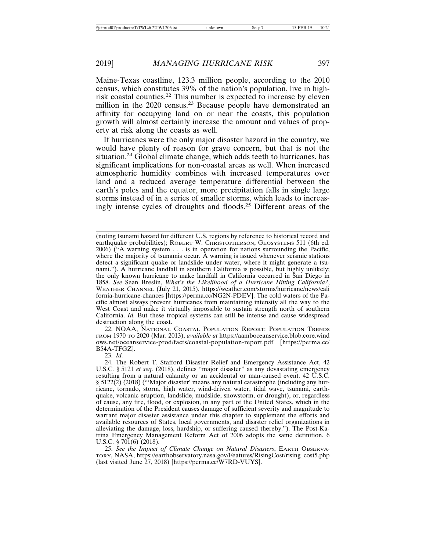Maine-Texas coastline, 123.3 million people, according to the 2010 census, which constitutes 39% of the nation's population, live in highrisk coastal counties.22 This number is expected to increase by eleven million in the 2020 census.<sup>23</sup> Because people have demonstrated an affinity for occupying land on or near the coasts, this population growth will almost certainly increase the amount and values of property at risk along the coasts as well.

If hurricanes were the only major disaster hazard in the country, we would have plenty of reason for grave concern, but that is not the situation.24 Global climate change, which adds teeth to hurricanes, has significant implications for non-coastal areas as well. When increased atmospheric humidity combines with increased temperatures over land and a reduced average temperature differential between the earth's poles and the equator, more precipitation falls in single large storms instead of in a series of smaller storms, which leads to increasingly intense cycles of droughts and floods.<sup>25</sup> Different areas of the

(noting tsunami hazard for different U.S. regions by reference to historical record and earthquake probabilities); ROBERT W. CHRISTOPHERSON, GEOSYSTEMS 511 (6th ed. 2006) ("A warning system . . . is in operation for nations surrounding the Pacific, where the majority of tsunamis occur. A warning is issued whenever seismic stations detect a significant quake or landslide under water, where it might generate a tsunami."). A hurricane landfall in southern California is possible, but highly unlikely; the only known hurricane to make landfall in California occurred in San Diego in 1858. *See* Sean Breslin, *What's the Likelihood of a Hurricane Hitting California?*, WEATHER CHANNEL (July 21, 2015), https://weather.com/storms/hurricane/news/cali fornia-hurricane-chances [https://perma.cc/NG2N-PDEV]. The cold waters of the Pacific almost always prevent hurricanes from maintaining intensity all the way to the West Coast and make it virtually impossible to sustain strength north of southern California. *Id.* But these tropical systems can still be intense and cause widespread destruction along the coast.

22. NOAA, NATIONAL COASTAL POPULATION REPORT: POPULATION TRENDS FROM 1970 TO 2020 (Mar. 2013), *available at* https://aamboceanservice.blob.core.wind ows.net/oceanservice-prod/facts/coastal-population-report.pdf [https://perma.cc/ B54A-TFGZ].

23. *Id.*

25. *See the Impact of Climate Change on Natural Disasters*, EARTH OBSERVA-TORY, NASA, https://earthobservatory.nasa.gov/Features/RisingCost/rising\_cost5.php (last visited June 27, 2018) [https://perma.cc/W7RD-VUYS].

<sup>24.</sup> The Robert T. Stafford Disaster Relief and Emergency Assistance Act, 42 U.S.C. § 5121 *et seq.* (2018), defines "major disaster" as any devastating emergency resulting from a natural calamity or an accidental or man-caused event. 42 U.S.C. § 5122(2) (2018) ("'Major disaster' means any natural catastrophe (including any hurricane, tornado, storm, high water, wind-driven water, tidal wave, tsunami, earthquake, volcanic eruption, landslide, mudslide, snowstorm, or drought), or, regardless of cause, any fire, flood, or explosion, in any part of the United States, which in the determination of the President causes damage of sufficient severity and magnitude to warrant major disaster assistance under this chapter to supplement the efforts and available resources of States, local governments, and disaster relief organizations in alleviating the damage, loss, hardship, or suffering caused thereby."). The Post-Katrina Emergency Management Reform Act of 2006 adopts the same definition. 6 U.S.C. § 701(6) (2018).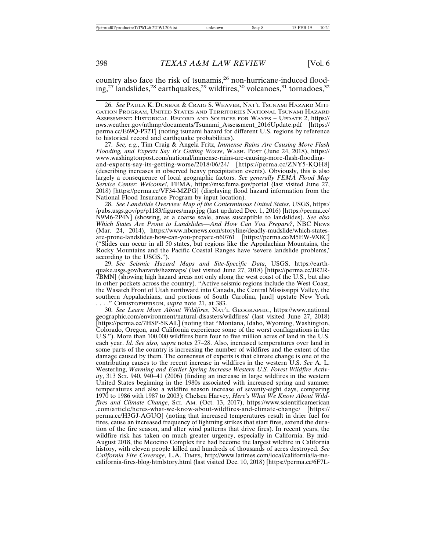country also face the risk of tsunamis,<sup>26</sup> non-hurricane-induced flooding,<sup>27</sup> landslides,<sup>28</sup> earthquakes,<sup>29</sup> wildfires,<sup>30</sup> volcanoes,<sup>31</sup> tornadoes,<sup>32</sup>

26. *See* PAULA K. DUNBAR & CRAIG S. WEAVER, NAT'L TSUNAMI HAZARD MITI-GATION PROGRAM, UNITED STATES AND TERRITORIES NATIONAL TSUNAMI HAZARD ASSESSMENT: HISTORICAL RECORD AND SOURCES FOR WAVES – UPDATE 2, https:// nws.weather.gov/nthmp/documents/Tsunami\_Assessment\_2016Update.pdf [https:// perma.cc/E69Q-P32T] (noting tsunami hazard for different U.S. regions by reference to historical record and earthquake probabilities).

27. *See, e.g.*, Tim Craig & Angela Fritz, *Immense Rains Are Causing More Flash Flooding, and Experts Say It's Getting Worse*, WASH. POST (June 24, 2018), https:// www.washingtonpost.com/national/immense-rains-are-causing-more-flash-floodingand-experts-say-its-getting-worse/2018/06/24/ [https://perma.cc/ZNY5-KQH8] (describing increases in observed heavy precipitation events). Obviously, this is also largely a consequence of local geographic factors. *See generally FEMA Flood Map Service Center: Welcome!*, FEMA, https://msc.fema.gov/portal (last visited June 27, 2018) [https://perma.cc/VF34-MZPG] (displaying flood hazard information from the National Flood Insurance Program by input location).

28. *See Landslide Overview Map of the Conterminous United States*, USGS, https:/ /pubs.usgs.gov/pp/p1183/figures/map.jpg (last updated Dec. 1, 2016) [https://perma.cc/ N9M6-2P4N] (showing, at a coarse scale, areas susceptible to landslides). *See also Which States Are Prone to Landslides—And How Can You Prepare?*, NBC NEWS (Mar. 24, 2014), https://www.nbcnews.com/storyline/deadly-mudslide/which-statesare-prone-landslides-how-can-you-prepare-n60761 [https://perma.cc/M5EW-9X8C] ("Slides can occur in all 50 states, but regions like the Appalachian Mountains, the Rocky Mountains and the Pacific Coastal Ranges have 'severe landslide problems,' according to the USGS.").

29. *See Seismic Hazard Maps and Site-Specific Data*, USGS, https://earthquake.usgs.gov/hazards/hazmaps/ (last visited June 27, 2018) [https://perma.cc/JR2R-7BMN] (showing high hazard areas not only along the west coast of the U.S., but also in other pockets across the country). "Active seismic regions include the West Coast, the Wasatch Front of Utah northward into Canada, the Central Mississippi Valley, the southern Appalachians, and portions of South Carolina, [and] upstate New York . . . ." CHRISTOPHERSON, *supra* note 21, at 383.

30. *See Learn More About Wildfires*, NAT'L GEOGRAPHIC, https://www.national geographic.com/environment/natural-disasters/wildfires/ (last visited June 27, 2018) [https://perma.cc/7HSP-5KAL] (noting that "Montana, Idaho, Wyoming, Washington, Colorado, Oregon, and California experience some of the worst conflagrations in the U.S."). More than 100,000 wildfires burn four to five million acres of land in the U.S. each year. *Id. See also, supra* notes 27–28. Also, increased temperatures over land in some parts of the country is increasing the number of wildfires and the extent of the damage caused by them. The consensus of experts is that climate change is one of the contributing causes to the recent increase in wildfires in the western U.S. *See* A. L. Westerling, *Warming and Earlier Spring Increase Western U.S. Forest Wildfire Activity*, 313 SCI. 940, 940–41 (2006) (finding an increase in large wildfires in the western United States beginning in the 1980s associated with increased spring and summer temperatures and also a wildfire season increase of seventy-eight days, comparing 1970 to 1986 with 1987 to 2003); Chelsea Harvey, *Here's What We Know About Wildfires and Climate Change*, SCI. AM. (Oct. 13, 2017), https://www.scientificamerican .com/article/heres-what-we-know-about-wildfires-and-climate-change/ [https:// perma.cc/H3GJ-AGUQ] (noting that increased temperatures result in drier fuel for fires, cause an increased frequency of lightning strikes that start fires, extend the duration of the fire season, and alter wind patterns that drive fires). In recent years, the wildfire risk has taken on much greater urgency, especially in California. By mid-August 2018, the Meocino Complex fire had become the largest wildfire in California history, with eleven people killed and hundreds of thousands of acres destroyed. *See California Fire Coverage*, L.A. TIMES, http://www.latimes.com/local/california/la-mecalifornia-fires-blog-htmlstory.html (last visited Dec. 10, 2018) [https://perma.cc/6F7L-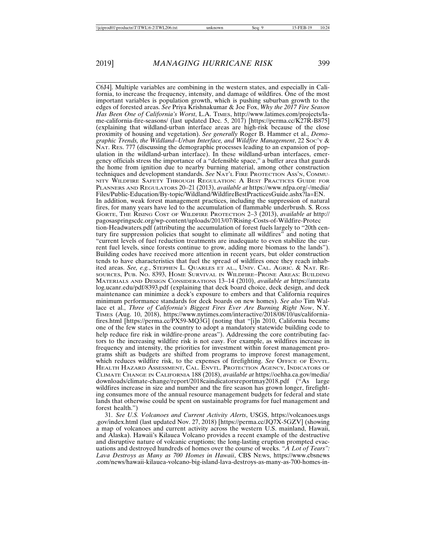C6J4]. Multiple variables are combining in the western states, and especially in California, to increase the frequency, intensity, and damage of wildfires. One of the most important variables is population growth, which is pushing suburban growth to the edges of forested areas. *See* Priya Krishnakumar & Joe Fox, *Why the 2017 Fire Season Has Been One of California's Worst*, L.A. TIMES, http://www.latimes.com/projects/lame-california-fire-seasons/ (last updated Dec. 5, 2017) [https://perma.cc/K27R-B875] (explaining that wildland-urban interface areas are high-risk because of the close proximity of housing and vegetation). *See generally* Roger B. Hammer et al., *Demographic Trends, the Wildland–Urban Interface, and Wildfire Management*, 22 SOC'Y & NAT. RES. 777 (discussing the demographic processes leading to an expansion of population in the wildland-urban interface). In these wildland-urban interfaces, emergency officials stress the importance of a "defensible space," a buffer area that guards the home from ignition due to nearby burning material, among other construction techniques and development standards. *See* NAT'L FIRE PROTECTION ASS'N, COMMU-NITY WILDFIRE SAFETY THROUGH REGULATION: A BEST PRACTICES GUIDE FOR PLANNERS AND REGULATORS 20–21 (2013), *available at* https://www.nfpa.org/-/media/ Files/Public-Education/By-topic/Wildland/WildfireBestPracticesGuide.ashx?la=EN. In addition, weak forest management practices, including the suppression of natural fires, for many years have led to the accumulation of flammable underbrush. S. ROSS GORTE, THE RISING COST OF WILDFIRE PROTECTION 2–3 (2013), *available at* http:// pagosaspringscdc.org/wp-content/uploads/2013/07/Rising-Costs-of-Wildfire-Protec tion-Headwaters.pdf (attributing the accumulation of forest fuels largely to "20th century fire suppression policies that sought to eliminate all wildfires" and noting that "current levels of fuel reduction treatments are inadequate to even stabilize the current fuel levels, since forests continue to grow, adding more biomass to the lands"). Building codes have received more attention in recent years, but older construction tends to have characteristics that fuel the spread of wildfires once they reach inhabited areas. *See, e.g.*, STEPHEN L. QUARLES ET AL., UNIV. CAL. AGRIC. & NAT. RE-SOURCES, PUB. NO. 8393, HOME SURVIVAL IN WILDFIRE–PRONE AREAS: BUILDING MATERIALS AND DESIGN CONSIDERATIONS 13–14 (2010), *available at* https://anrcata log.ucanr.edu/pdf/8393.pdf (explaining that deck board choice, deck design, and deck maintenance can minimize a deck's exposure to embers and that California requires minimum performance standards for deck boards on new homes). *See also* Tim Wallace et al., *Three of California's Biggest Fires Ever Are Burning Right Now*, N.Y. TIMES (Aug. 10, 2018), https://www.nytimes.com/interactive/2018/08/10/us/californiafires.html [https://perma.cc/PX59-MQ3G] (noting that "[i]n 2010, California became one of the few states in the country to adopt a mandatory statewide building code to help reduce fire risk in wildfire-prone areas"). Addressing the core contributing factors to the increasing wildfire risk is not easy. For example, as wildfires increase in frequency and intensity, the priorities for investment within forest management programs shift as budgets are shifted from programs to improve forest management, which reduces wildfire risk, to the expenses of firefighting. *See* OFFICE OF ENVTL. HEALTH HAZARD ASSESSMENT, CAL. ENVTL. PROTECTION AGENCY, INDICATORS OF CLIMATE CHANGE IN CALIFORNIA 188 (2018), *available at* https://oehha.ca.gov/media/ downloads/climate-change/report/2018caindicatorsreportmay2018.pdf ("As large wildfires increase in size and number and the fire season has grown longer, firefighting consumes more of the annual resource management budgets for federal and state lands that otherwise could be spent on sustainable programs for fuel management and forest health.")

31. *See U.S. Volcanoes and Current Activity Alerts*, USGS, https://volcanoes.usgs .gov/index.html (last updated Nov. 27, 2018) [https://perma.cc/JQ7X-5GZV] (showing a map of volcanoes and current activity across the western U.S. mainland, Hawaii, and Alaska). Hawaii's Kilauea Volcano provides a recent example of the destructive and disruptive nature of volcanic eruptions; the long-lasting eruption prompted evacuations and destroyed hundreds of homes over the course of weeks. *"A Lot of Tears": Lava Destroys as Many as 700 Homes in Hawaii*, CBS NEWS, https://www.cbsnews .com/news/hawaii-kilauea-volcano-big-island-lava-destroys-as-many-as-700-homes-in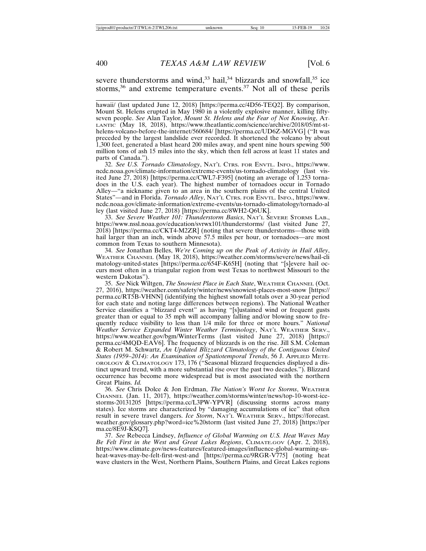severe thunderstorms and wind,<sup>33</sup> hail,<sup>34</sup> blizzards and snowfall,<sup>35</sup> ice storms,<sup>36</sup> and extreme temperature events.<sup>37</sup> Not all of these perils

hawaii/ (last updated June 12, 2018) [https://perma.cc/4D56-TEQ2]. By comparison, Mount St. Helens erupted in May 1980 in a violently explosive manner, killing fiftyseven people. *See* Alan Taylor, *Mount St. Helens and the Fear of Not Knowing*, AT-LANTIC (May 18, 2018), https://www.theatlantic.com/science/archive/2018/05/mt-sthelens-volcano-before-the-internet/560684/ [https://perma.cc/UD6Z-MGVG] ("It was preceded by the largest landslide ever recorded. It shortened the volcano by about 1,300 feet, generated a blast heard 200 miles away, and spent nine hours spewing 500 million tons of ash 15 miles into the sky, which then fell across at least 11 states and parts of Canada.").

32. *See U.S. Tornado Climatology*, NAT'L CTRS. FOR ENVTL. INFO., https://www. ncdc.noaa.gov/climate-information/extreme-events/us-tornado-climatology (last visited June 27, 2018) [https://perma.cc/CWL7-F395] (noting an average of 1,253 tornadoes in the U.S. each year). The highest number of tornadoes occur in Tornado Alley—"a nickname given to an area in the southern plains of the central United States"—and in Florida. *Tornado Alley*, NAT'L CTRS. FOR ENVTL. INFO., https://www. ncdc.noaa.gov/climate-information/extreme-events/us-tornado-climatology/tornado-al ley (last visited June 27, 2018) [https://perma.cc/8WH2-Q6UK].

33. *See Severe Weather 101: Thunderstorm Basics*, NAT'L SEVERE STORMS LAB., https://www.nssl.noaa.gov/education/svrwx101/thunderstorms/ (last visited June 27, 2018) [https://perma.cc/CKT4-M2ZR] (noting that severe thunderstorms—those with hail larger than an inch, winds above 57.5 miles per hour, or tornadoes—are most common from Texas to southern Minnesota).

34. *See* Jonathan Belles, *We're Coming up on the Peak of Activity in Hail Alley*, WEATHER CHANNEL (May 18, 2018), https://weather.com/storms/severe/news/hail-cli matology-united-states [https://perma.cc/654F-K65H] (noting that "[s]evere hail occurs most often in a triangular region from west Texas to northwest Missouri to the western Dakotas").

35. *See* Nick Wiltgen, *The Snowiest Place in Each State*, WEATHER CHANNEL (Oct. 27, 2016), https://weather.com/safety/winter/news/snowiest-places-most-snow [https:// perma.cc/RT5B-VHNN] (identifying the highest snowfall totals over a 30-year period for each state and noting large differences between regions). The National Weather Service classifies a "blizzard event" as having "[s]ustained wind or frequent gusts greater than or equal to 35 mph will accompany falling and/or blowing snow to frequently reduce visibility to less than 1/4 mile for three or more hours." *National Weather Service Expanded Winter Weather Terminology*, NAT'L WEATHER SERV., https://www.weather.gov/bgm/WinterTerms (last visited June 27, 2018) [https:// perma.cc/4MQD-EAV6]. The frequency of blizzards is on the rise. Jill S.M. Coleman & Robert M. Schwartz, *An Updated Blizzard Climatology of the Contiguous United States (1959–2014): An Examination of Spatiotemporal Trends*, 56 J. APPLIED METE-OROLOGY & CLIMATOLOGY 173, 176 ("Seasonal blizzard frequencies displayed a distinct upward trend, with a more substantial rise over the past two decades."). Blizzard occurrence has become more widespread but is most associated with the northern Great Plains. *Id.*

36. *See* Chris Dolce & Jon Erdman, *The Nation's Worst Ice Storms*, WEATHER CHANNEL (Jan. 11, 2017), https://weather.com/storms/winter/news/top-10-worst-icestorms-20131205 [https://perma.cc/L3PW-YPVR] (discussing storms across many states). Ice storms are characterized by "damaging accumulations of ice" that often result in severe travel dangers. *Ice Storm*, NAT'L WEATHER SERV., https://forecast. weather.gov/glossary.php?word=ice%20storm (last visited June 27, 2018) [https://per ma.cc/8E9J-KSQ7].

37. *See* Rebecca Lindsey, *Influence of Global Warming on U.S. Heat Waves May Be Felt First in the West and Great Lakes Regions*, CLIMATE.GOV (Apr. 2, 2018), https://www.climate.gov/news-features/featured-images/influence-global-warming-usheat-waves-may-be-felt-first-west-and [https://perma.cc/9RGR-V775] (noting heat wave clusters in the West, Northern Plains, Southern Plains, and Great Lakes regions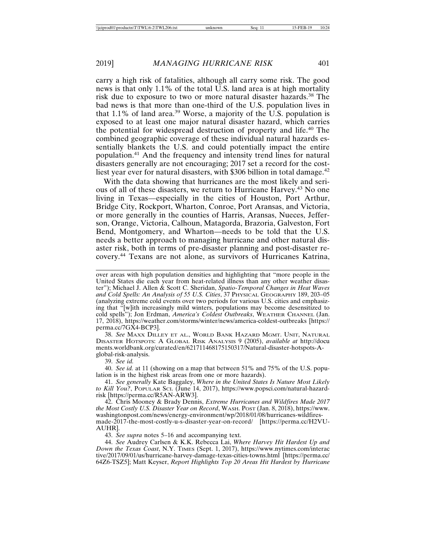carry a high risk of fatalities, although all carry some risk. The good news is that only 1.1% of the total U.S. land area is at high mortality risk due to exposure to two or more natural disaster hazards.<sup>38</sup> The bad news is that more than one-third of the U.S. population lives in that 1.1% of land area.<sup>39</sup> Worse, a majority of the U.S. population is exposed to at least one major natural disaster hazard, which carries the potential for widespread destruction of property and life.40 The combined geographic coverage of these individual natural hazards essentially blankets the U.S. and could potentially impact the entire population.41 And the frequency and intensity trend lines for natural disasters generally are not encouraging; 2017 set a record for the costliest year ever for natural disasters, with \$306 billion in total damage.<sup>42</sup>

With the data showing that hurricanes are the most likely and serious of all of these disasters, we return to Hurricane Harvey.43 No one living in Texas—especially in the cities of Houston, Port Arthur, Bridge City, Rockport, Wharton, Conroe, Port Aransas, and Victoria, or more generally in the counties of Harris, Aransas, Nueces, Jefferson, Orange, Victoria, Calhoun, Matagorda, Brazoria, Galveston, Fort Bend, Montgomery, and Wharton—needs to be told that the U.S. needs a better approach to managing hurricane and other natural disaster risk, both in terms of pre-disaster planning and post-disaster recovery.44 Texans are not alone, as survivors of Hurricanes Katrina,

38. *See* MAXX DILLEY ET AL., WORLD BANK HAZARD MGMT. UNIT, NATURAL DISASTER HOTSPOTS: A GLOBAL RISK ANALYSIS 9 (2005), *available at* http://docu ments.worldbank.org/curated/en/621711468175150317/Natural-disaster-hotspots-Aglobal-risk-analysis.

39. *See id.*

40. *See id.* at 11 (showing on a map that between 51% and 75% of the U.S. population is in the highest risk areas from one or more hazards).

41. *See generally* Kate Baggaley, *Where in the United States Is Nature Most Likely to Kill You?*, POPULAR SCI. (June 14, 2017), https://www.popsci.com/natural-hazardrisk [https://perma.cc/R5AN-ARW3].

42. Chris Mooney & Brady Dennis, *Extreme Hurricanes and Wildfires Made 2017 the Most Costly U.S. Disaster Year on Record*, WASH. POST (Jan. 8, 2018), https://www. washingtonpost.com/news/energy-environment/wp/2018/01/08/hurricanes-wildfiresmade-2017-the-most-costly-u-s-disaster-year-on-record/ [https://perma.cc/H2VU-AUHR].

43. *See supra* notes 5–16 and accompanying text.

44. *See* Audrey Carlsen & K.K. Rebecca Lai, *Where Harvey Hit Hardest Up and Down the Texas Coast*, N.Y. TIMES (Sept. 1, 2017), https://www.nytimes.com/interac tive/2017/09/01/us/hurricane-harvey-damage-texas-cities-towns.html [https://perma.cc/ 64Z6-TSZ5]; Matt Keyser, *Report Highlights Top 20 Areas Hit Hardest by Hurricane*

over areas with high population densities and highlighting that "more people in the United States die each year from heat-related illness than any other weather disaster"); Michael J. Allen & Scott C. Sheridan, *Spatio-Temporal Changes in Heat Waves and Cold Spells: An Analysis of 55 U.S. Cities*, 37 PHYSICAL GEOGRAPHY 189, 203–05 (analyzing extreme cold events over two periods for various U.S. cities and emphasizing that "[w]ith increasingly mild winters, populations may become desensitized to cold spells"); Jon Erdman, *America's Coldest Outbreaks*, WEATHER CHANNEL (Jan. 17, 2018), https://weather.com/storms/winter/news/america-coldest-outbreaks [https:// perma.cc/7GX4-BCP3].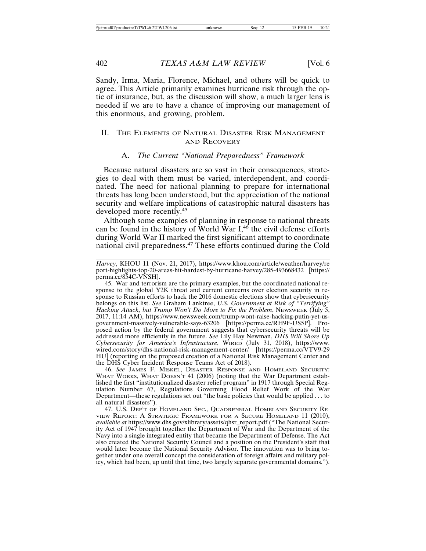Sandy, Irma, Maria, Florence, Michael, and others will be quick to agree. This Article primarily examines hurricane risk through the optic of insurance, but, as the discussion will show, a much larger lens is needed if we are to have a chance of improving our management of this enormous, and growing, problem.

#### II. THE ELEMENTS OF NATURAL DISASTER RISK MANAGEMENT AND RECOVERY

#### A. *The Current "National Preparedness" Framework*

Because natural disasters are so vast in their consequences, strategies to deal with them must be varied, interdependent, and coordinated. The need for national planning to prepare for international threats has long been understood, but the appreciation of the national security and welfare implications of catastrophic natural disasters has developed more recently.<sup>45</sup>

Although some examples of planning in response to national threats can be found in the history of World War  $I<sub>1</sub><sup>46</sup>$  the civil defense efforts during World War II marked the first significant attempt to coordinate national civil preparedness.47 These efforts continued during the Cold

46. *See* JAMES F. MISKEL, DISASTER RESPONSE AND HOMELAND SECURITY: WHAT WORKS, WHAT DOESN'T 41 (2006) (noting that the War Department established the first "institutionalized disaster relief program" in 1917 through Special Regulation Number 67, Regulations Governing Flood Relief Work of the War Department—these regulations set out "the basic policies that would be applied . . . to all natural disasters").

*Harvey*, KHOU 11 (Nov. 21, 2017), https://www.khou.com/article/weather/harvey/re port-highlights-top-20-areas-hit-hardest-by-hurricane-harvey/285-493668432 [https:// perma.cc/854C-VNSH].

<sup>45.</sup> War and terrorism are the primary examples, but the coordinated national response to the global Y2K threat and current concerns over election security in response to Russian efforts to hack the 2016 domestic elections show that cybersecurity belongs on this list. *See* Graham Lanktree, *U.S. Government at Risk of "Terrifying" Hacking Attack, but Trump Won't Do More to Fix the Problem*, NEWSWEEK (July 5, 2017, 11:14 AM), https://www.newsweek.com/trump-wont-raise-hacking-putin-yet-usgovernment-massively-vulnerable-says-63206 [https://perma.cc/RH9F-US5P]. Proposed action by the federal government suggests that cybersecurity threats will be addressed more efficiently in the future. *See* Lily Hay Newman, *DHS Will Shore Up Cybersecurity for America's Infrastructure*, WIRED (July 31, 2018), https://www. wired.com/story/dhs-national-risk-management-center/ [https://perma.cc/VTV9-29 HU] (reporting on the proposed creation of a National Risk Management Center and the DHS Cyber Incident Response Teams Act of 2018).

<sup>47.</sup> U.S. DEP'T OF HOMELAND SEC., QUADRENNIAL HOMELAND SECURITY RE-VIEW REPORT: A STRATEGIC FRAMEWORK FOR A SECURE HOMELAND 11 (2010), *available at* https://www.dhs.gov/xlibrary/assets/qhsr\_report.pdf ("The National Security Act of 1947 brought together the Department of War and the Department of the Navy into a single integrated entity that became the Department of Defense. The Act also created the National Security Council and a position on the President's staff that would later become the National Security Advisor. The innovation was to bring together under one overall concept the consideration of foreign affairs and military policy, which had been, up until that time, two largely separate governmental domains.").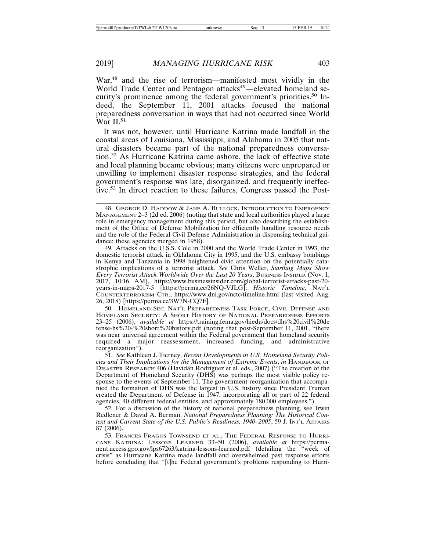War,<sup>48</sup> and the rise of terrorism—manifested most vividly in the World Trade Center and Pentagon attacks<sup>49</sup>—elevated homeland security's prominence among the federal government's priorities.50 Indeed, the September 11, 2001 attacks focused the national preparedness conversation in ways that had not occurred since World War II.<sup>51</sup>

It was not, however, until Hurricane Katrina made landfall in the coastal areas of Louisiana, Mississippi, and Alabama in 2005 that natural disasters became part of the national preparedness conversation.52 As Hurricane Katrina came ashore, the lack of effective state and local planning became obvious; many citizens were unprepared or unwilling to implement disaster response strategies, and the federal government's response was late, disorganized, and frequently ineffective.53 In direct reaction to these failures, Congress passed the Post-

49. Attacks on the U.S.S. Cole in 2000 and the World Trade Center in 1993, the domestic terrorist attack in Oklahoma City in 1995, and the U.S. embassy bombings in Kenya and Tanzania in 1998 heightened civic attention on the potentially catastrophic implications of a terrorist attack. *See* Chris Weller, *Startling Maps Show Every Terrorist Attack Worldwide Over the Last 20 Years*, BUSINESS INSIDER (Nov. 1, 2017, 10:16 AM), https://www.businessinsider.com/global-terrorist-attacks-past-20 years-in-maps-2017-5 [https://perma.cc/26NQ-VJLG]; *Historic Timeline*, NAT'L COUNTERTERRORISM CTR., https://www.dni.gov/nctc/timeline.html (last visited Aug. 26, 2018) [https://perma.cc/3W7N-CQ7F].

50. HOMELAND SEC. NAT'L PREPAREDNESS TASK FORCE, CIVIL DEFENSE AND HOMELAND SECURITY: A SHORT HISTORY OF NATIONAL PREPAREDNESS EFFORTS 23–25 (2006), *available at* https://training.fema.gov/hiedu/docs/dhs%20civil%20de fense-hs%20-%20short%20history.pdf (noting that post-September 11, 2001, "there was near universal agreement within the Federal government that homeland security required a major reassessment, increased funding, and administrative reorganization").

51. *See* Kathleen J. Tierney, *Recent Developments in U.S. Homeland Security Policies and Their Implications for the Management of Extreme Events*, *in* HANDBOOK OF DISASTER RESEARCH 406 (Havidán Rodríguez et al. eds., 2007) ("The creation of the Department of Homeland Security (DHS) was perhaps the most visible policy response to the events of September 11. The government reorganization that accompanied the formation of DHS was the largest in U.S. history since President Truman created the Department of Defense in 1947, incorporating all or part of 22 federal agencies, 40 different federal entities, and approximately 180,000 employees.").

52. For a discussion of the history of national preparedness planning, see Irwin Redlener & David A. Berman, *National Preparedness Planning: The Historical Con*text and Current State of the U.S. Public's Readiness, 1940–2005, 59 J. INT'L AFFAIRS 87 (2006).

53. FRANCES FRAGOS TOWNSEND ET AL., THE FEDERAL RESPONSE TO HURRI-CANE KATRINA: LESSONS LEARNED 33–50 (2006), *available at* https://permanent.access.gpo.gov/lps67263/katrina-lessons-learned.pdf (detailing the "week of crisis" as Hurricane Katrina made landfall and overwhelmed past response efforts before concluding that "[t]he Federal government's problems responding to Hurri-

<sup>48.</sup> GEORGE D. HADDOW & JANE A. BULLOCK, INTRODUCTION TO EMERGENCY MANAGEMENT 2–3 (2d ed. 2006) (noting that state and local authorities played a large role in emergency management during this period, but also describing the establishment of the Office of Defense Mobilization for efficiently handling resource needs and the role of the Federal Civil Defense Administration in dispensing technical guidance; these agencies merged in 1958).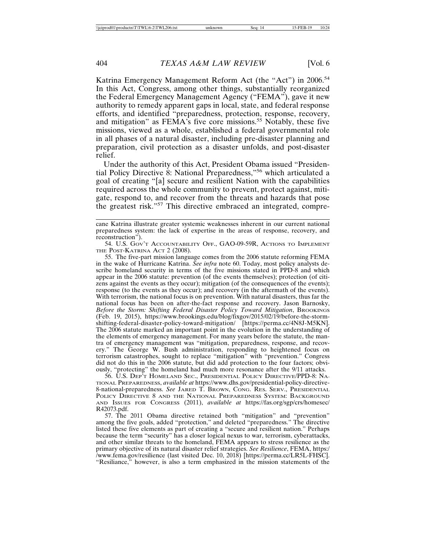Katrina Emergency Management Reform Act (the "Act") in 2006.<sup>54</sup> In this Act, Congress, among other things, substantially reorganized the Federal Emergency Management Agency ("FEMA"), gave it new authority to remedy apparent gaps in local, state, and federal response efforts, and identified "preparedness, protection, response, recovery, and mitigation" as  $FEMA$ 's five core missions.<sup>55</sup> Notably, these five missions, viewed as a whole, established a federal governmental role in all phases of a natural disaster, including pre-disaster planning and preparation, civil protection as a disaster unfolds, and post-disaster relief.

Under the authority of this Act, President Obama issued "Presidential Policy Directive 8: National Preparedness,"56 which articulated a goal of creating "[a] secure and resilient Nation with the capabilities required across the whole community to prevent, protect against, mitigate, respond to, and recover from the threats and hazards that pose the greatest risk."57 This directive embraced an integrated, compre-

55. The five-part mission language comes from the 2006 statute reforming FEMA in the wake of Hurricane Katrina. *See infra* note 60. Today, most policy analysts describe homeland security in terms of the five missions stated in PPD-8 and which appear in the 2006 statute: prevention (of the events themselves); protection (of citizens against the events as they occur); mitigation (of the consequences of the events); response (to the events as they occur); and recovery (in the aftermath of the events). With terrorism, the national focus is on prevention. With natural disasters, thus far the national focus has been on after-the-fact response and recovery. Jason Barnosky, *Before the Storm: Shifting Federal Disaster Policy Toward Mitigation, BROOKINGS* (Feb. 19, 2015), https://www.brookings.edu/blog/fixgov/2015/02/19/before-the-stormshifting-federal-disaster-policy-toward-mitigation/ [https://perma.cc/4N8J-M5KN]. The 2006 statute marked an important point in the evolution in the understanding of the elements of emergency management. For many years before the statute, the mantra of emergency management was "mitigation, preparedness, response, and recovery." The George W. Bush administration, responding to heightened focus on terrorism catastrophes, sought to replace "mitigation" with "prevention." Congress did not do this in the 2006 statute, but did add protection to the four factors; obviously, "protecting" the homeland had much more resonance after the 9/11 attacks.

56. U.S. DEP'T HOMELAND SEC., PRESIDENTIAL POLICY DIRECTIVE/PPD-8: NA-TIONAL PREPAREDNESS, *available at* https://www.dhs.gov/presidential-policy-directive-8-national-preparedness. *See* JARED T. BROWN, CONG. RES. SERV., PRESIDENTIAL POLICY DIRECTIVE 8 AND THE NATIONAL PREPAREDNESS SYSTEM: BACKGROUND AND ISSUES FOR CONGRESS (2011), *available at* https://fas.org/sgp/crs/homesec/ R42073.pdf.

57. The 2011 Obama directive retained both "mitigation" and "prevention" among the five goals, added "protection," and deleted "preparedness." The directive listed these five elements as part of creating a "secure and resilient nation." Perhaps because the term "security" has a closer logical nexus to war, terrorism, cyberattacks, and other similar threats to the homeland, FEMA appears to stress resilience as the primary objective of its natural disaster relief strategies. *See Resilience*, FEMA, https:/ /www.fema.gov/resilience (last visited Dec. 10, 2018) [https://perma.cc/LR5L-FHSC]. "Resiliance," however, is also a term emphasized in the mission statements of the

cane Katrina illustrate greater systemic weaknesses inherent in our current national preparedness system: the lack of expertise in the areas of response, recovery, and reconstruction").

<sup>54.</sup> U.S. GOV'T ACCOUNTABILITY OFF., GAO-09-59R, ACTIONS TO IMPLEMENT THE POST-KATRINA ACT 2 (2008).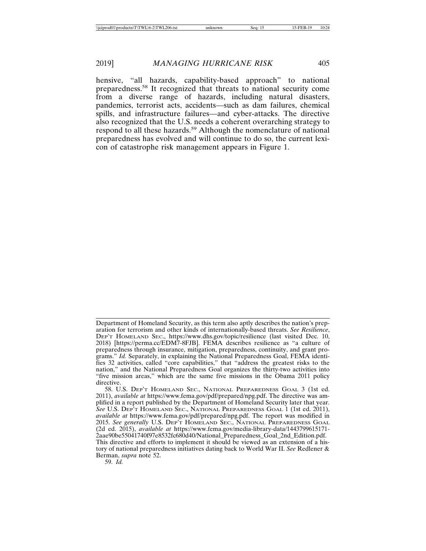hensive, "all hazards, capability-based approach" to national preparedness.58 It recognized that threats to national security come from a diverse range of hazards, including natural disasters, pandemics, terrorist acts, accidents—such as dam failures, chemical spills, and infrastructure failures—and cyber-attacks. The directive also recognized that the U.S. needs a coherent overarching strategy to respond to all these hazards.<sup>59</sup> Although the nomenclature of national preparedness has evolved and will continue to do so, the current lexicon of catastrophe risk management appears in Figure 1.

Department of Homeland Security, as this term also aptly describes the nation's preparation for terrorism and other kinds of internationally-based threats. *See Resilience*, DEP'T HOMELAND SEC., https://www.dhs.gov/topic/resilience (last visited Dec. 10, 2018) [https://perma.cc/EDM7-8FJB]. FEMA describes resilience as "a culture of preparedness through insurance, mitigation, preparedness, continuity, and grant programs." *Id.* Separately, in explaining the National Preparedness Goal, FEMA identifies 32 activities, called "core capabilities," that "address the greatest risks to the nation," and the National Preparedness Goal organizes the thirty-two activities into "five mission areas," which are the same five missions in the Obama 2011 policy directive.

<sup>58.</sup> U.S. DEP'T HOMELAND SEC., NATIONAL PREPAREDNESS GOAL 3 (1st ed. 2011), *available at* https://www.fema.gov/pdf/prepared/npg.pdf. The directive was amplified in a report published by the Department of Homeland Security later that year. *See* U.S. DEP'T HOMELAND SEC., NATIONAL PREPAREDNESS GOAL 1 (1st ed. 2011), *available at* https://www.fema.gov/pdf/prepared/npg.pdf. The report was modified in 2015. *See generally* U.S. DEP'T HOMELAND SEC., NATIONAL PREPAREDNESS GOAL (2d ed. 2015), *available at* https://www.fema.gov/media-library-data/1443799615171- 2aae90be55041740f97e8532fc680d40/National\_Preparedness\_Goal\_2nd\_Edition.pdf. This directive and efforts to implement it should be viewed as an extension of a history of national preparedness initiatives dating back to World War II. *See* Redlener & Berman, *supra* note 52.

<sup>59.</sup> *Id.*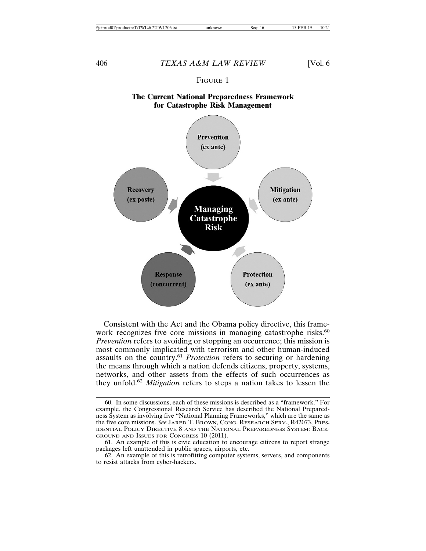#### FIGURE 1

### **The Current National Preparedness Framework for Catastrophe Risk Management**



Consistent with the Act and the Obama policy directive, this framework recognizes five core missions in managing catastrophe risks.<sup>60</sup> *Prevention* refers to avoiding or stopping an occurrence; this mission is most commonly implicated with terrorism and other human-induced assaults on the country.<sup>61</sup> *Protection* refers to securing or hardening the means through which a nation defends citizens, property, systems, networks, and other assets from the effects of such occurrences as they unfold.<sup>62</sup> *Mitigation* refers to steps a nation takes to lessen the

<sup>60.</sup> In some discussions, each of these missions is described as a "framework." For example, the Congressional Research Service has described the National Preparedness System as involving five "National Planning Frameworks," which are the same as the five core missions. *See* JARED T. BROWN, CONG. RESEARCH SERV., R42073, PRES-IDENTIAL POLICY DIRECTIVE 8 AND THE NATIONAL PREPAREDNESS SYSTEM: BACK-GROUND AND ISSUES FOR CONGRESS 10 (2011).

<sup>61.</sup> An example of this is civic education to encourage citizens to report strange packages left unattended in public spaces, airports, etc.

<sup>62.</sup> An example of this is retrofitting computer systems, servers, and components to resist attacks from cyber-hackers.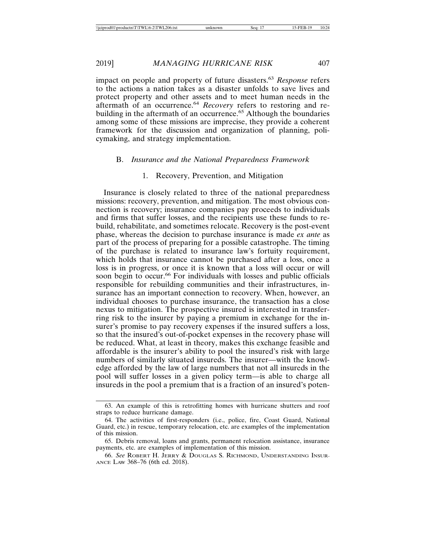impact on people and property of future disasters.<sup>63</sup> *Response* refers to the actions a nation takes as a disaster unfolds to save lives and protect property and other assets and to meet human needs in the aftermath of an occurrence.<sup>64</sup> *Recovery* refers to restoring and rebuilding in the aftermath of an occurrence.<sup>65</sup> Although the boundaries among some of these missions are imprecise, they provide a coherent framework for the discussion and organization of planning, policymaking, and strategy implementation.

#### B. *Insurance and the National Preparedness Framework*

#### 1. Recovery, Prevention, and Mitigation

Insurance is closely related to three of the national preparedness missions: recovery, prevention, and mitigation. The most obvious connection is recovery; insurance companies pay proceeds to individuals and firms that suffer losses, and the recipients use these funds to rebuild, rehabilitate, and sometimes relocate. Recovery is the post-event phase, whereas the decision to purchase insurance is made *ex ante* as part of the process of preparing for a possible catastrophe. The timing of the purchase is related to insurance law's fortuity requirement, which holds that insurance cannot be purchased after a loss, once a loss is in progress, or once it is known that a loss will occur or will soon begin to occur.<sup>66</sup> For individuals with losses and public officials responsible for rebuilding communities and their infrastructures, insurance has an important connection to recovery. When, however, an individual chooses to purchase insurance, the transaction has a close nexus to mitigation. The prospective insured is interested in transferring risk to the insurer by paying a premium in exchange for the insurer's promise to pay recovery expenses if the insured suffers a loss, so that the insured's out-of-pocket expenses in the recovery phase will be reduced. What, at least in theory, makes this exchange feasible and affordable is the insurer's ability to pool the insured's risk with large numbers of similarly situated insureds. The insurer—with the knowledge afforded by the law of large numbers that not all insureds in the pool will suffer losses in a given policy term—is able to charge all insureds in the pool a premium that is a fraction of an insured's poten-

<sup>63.</sup> An example of this is retrofitting homes with hurricane shutters and roof straps to reduce hurricane damage.

<sup>64.</sup> The activities of first-responders (i.e., police, fire, Coast Guard, National Guard, etc.) in rescue, temporary relocation, etc. are examples of the implementation of this mission.

<sup>65.</sup> Debris removal, loans and grants, permanent relocation assistance, insurance payments, etc. are examples of implementation of this mission.

<sup>66.</sup> *See* ROBERT H. JERRY & DOUGLAS S. RICHMOND, UNDERSTANDING INSUR-ANCE LAW 368–76 (6th ed. 2018).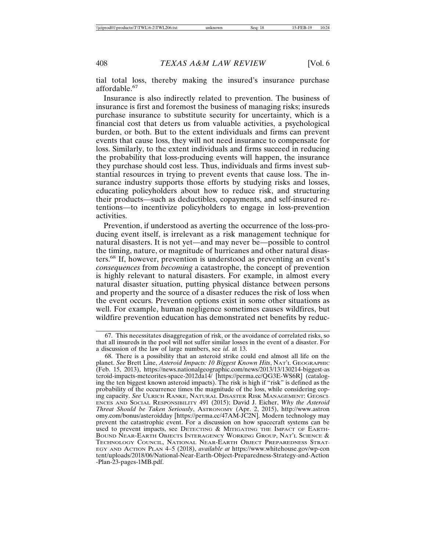tial total loss, thereby making the insured's insurance purchase affordable.<sup>67</sup>

Insurance is also indirectly related to prevention. The business of insurance is first and foremost the business of managing risks; insureds purchase insurance to substitute security for uncertainty, which is a financial cost that deters us from valuable activities, a psychological burden, or both. But to the extent individuals and firms can prevent events that cause loss, they will not need insurance to compensate for loss. Similarly, to the extent individuals and firms succeed in reducing the probability that loss-producing events will happen, the insurance they purchase should cost less. Thus, individuals and firms invest substantial resources in trying to prevent events that cause loss. The insurance industry supports those efforts by studying risks and losses, educating policyholders about how to reduce risk, and structuring their products—such as deductibles, copayments, and self-insured retentions—to incentivize policyholders to engage in loss-prevention activities.

Prevention, if understood as averting the occurrence of the loss-producing event itself, is irrelevant as a risk management technique for natural disasters. It is not yet—and may never be—possible to control the timing, nature, or magnitude of hurricanes and other natural disasters.68 If, however, prevention is understood as preventing an event's *consequences* from *becoming* a catastrophe, the concept of prevention is highly relevant to natural disasters. For example, in almost every natural disaster situation, putting physical distance between persons and property and the source of a disaster reduces the risk of loss when the event occurs. Prevention options exist in some other situations as well. For example, human negligence sometimes causes wildfires, but wildfire prevention education has demonstrated net benefits by reduc-

<sup>67.</sup> This necessitates disaggregation of risk, or the avoidance of correlated risks, so that all insureds in the pool will not suffer similar losses in the event of a disaster. For a discussion of the law of large numbers, see *id*. at 13.

<sup>68.</sup> There is a possibility that an asteroid strike could end almost all life on the planet. *See* Brett Line, *Asteroid Impacts: 10 Biggest Known Hits*, NAT'L GEOGRAPHIC (Feb. 15, 2013), https://news.nationalgeographic.com/news/2013/13/130214-biggest-as teroid-impacts-meteorites-space-2012da14/ [https://perma.cc/QG3E-WS6R] (cataloging the ten biggest known asteroid impacts). The risk is high if "risk" is defined as the probability of the occurrence times the magnitude of the loss, while considering coping capacity. *See* ULRICH RANKE, NATURAL DISASTER RISK MANAGEMENT: GEOSCI-ENCES AND SOCIAL RESPONSIBILITY 491 (2015); David J. Eicher, *Why the Asteroid Threat Should be Taken Seriously*, ASTRONOMY (Apr. 2, 2015), http://www.astron omy.com/bonus/asteroidday [https://perma.cc/47AM-JC2N]. Modern technology may prevent the catastrophic event. For a discussion on how spacecraft systems can be used to prevent impacts, see DETECTING & MITIGATING THE IMPACT OF EARTH-BOUND NEAR-EARTH OBJECTS INTERAGENCY WORKING GROUP, NAT'L SCIENCE & TECHNOLOGY COUNCIL, NATIONAL NEAR-EARTH OBJECT PREPAREDNESS STRAT-EGY AND ACTION PLAN 4–5 (2018), *available at* https://www.whitehouse.gov/wp-con tent/uploads/2018/06/National-Near-Earth-Object-Preparedness-Strategy-and-Action -Plan-23-pages-1MB.pdf.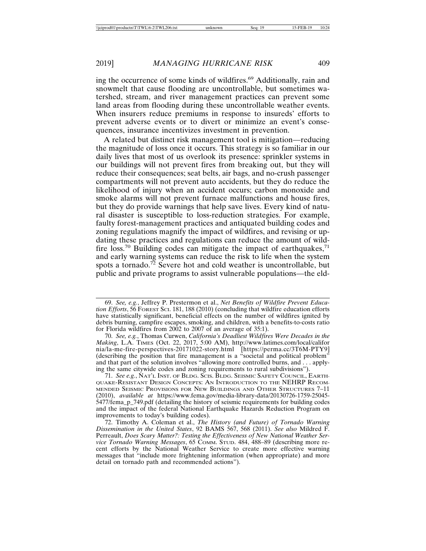ing the occurrence of some kinds of wildfires.<sup>69</sup> Additionally, rain and snowmelt that cause flooding are uncontrollable, but sometimes watershed, stream, and river management practices can prevent some land areas from flooding during these uncontrollable weather events. When insurers reduce premiums in response to insureds' efforts to prevent adverse events or to divert or minimize an event's consequences, insurance incentivizes investment in prevention.

A related but distinct risk management tool is mitigation—reducing the magnitude of loss once it occurs. This strategy is so familiar in our daily lives that most of us overlook its presence: sprinkler systems in our buildings will not prevent fires from breaking out, but they will reduce their consequences; seat belts, air bags, and no-crush passenger compartments will not prevent auto accidents, but they do reduce the likelihood of injury when an accident occurs; carbon monoxide and smoke alarms will not prevent furnace malfunctions and house fires, but they do provide warnings that help save lives. Every kind of natural disaster is susceptible to loss-reduction strategies. For example, faulty forest-management practices and antiquated building codes and zoning regulations magnify the impact of wildfires, and revising or updating these practices and regulations can reduce the amount of wildfire loss.<sup>70</sup> Building codes can mitigate the impact of earthquakes,<sup>71</sup> and early warning systems can reduce the risk to life when the system spots a tornado.<sup>72</sup> Severe hot and cold weather is uncontrollable, but public and private programs to assist vulnerable populations—the eld-

<sup>69.</sup> *See, e.g.*, Jeffrey P. Prestermon et al., *Net Benefits of Wildfire Prevent Education Efforts*, 56 FOREST SCI. 181, 188 (2010) (concluding that wildfire education efforts have statistically significant, beneficial effects on the number of wildfires ignited by debris burning, campfire escapes, smoking, and children, with a benefits-to-costs ratio for Florida wildfires from 2002 to 2007 of an average of 35:1).

<sup>70.</sup> *See, e.g.*, Thomas Curwen, *California's Deadliest Wildfires Were Decades in the Making*, L.A. TIMES (Oct. 22, 2017, 5:00 AM), http://www.latimes.com/local/califor nia/la-me-fire-perspectives-20171022-story.html [https://perma.cc/3T6M-PTY9] (describing the position that fire management is a "societal and political problem" and that part of the solution involves "allowing more controlled burns, and . . . applying the same citywide codes and zoning requirements to rural subdivisions").

<sup>71.</sup> *See e.g.*, NAT'L INST. OF BLDG. SCIS. BLDG. SEISMIC SAFETY COUNCIL, EARTH-QUAKE-RESISTANT DESIGN CONCEPTS: AN INTRODUCTION TO THE NEHRP RECOM-MENDED SEISMIC PROVISIONS FOR NEW BUILDINGS AND OTHER STRUCTURES 7–11 (2010), *available at* https://www.fema.gov/media-library-data/20130726-1759-25045- 5477/fema\_p\_749.pdf (detailing the history of seismic requirements for building codes and the impact of the federal National Earthquake Hazards Reduction Program on improvements to today's building codes).

<sup>72.</sup> Timothy A. Coleman et al., *The History (and Future) of Tornado Warning Dissemination in the United States*, 92 BAMS 567, 568 (2011). *See also* Mildred F. Perreault, *Does Scary Matter?: Testing the Effectiveness of New National Weather Service Tornado Warning Messages*, 65 COMM. STUD. 484, 488–89 (describing more recent efforts by the National Weather Service to create more effective warning messages that "include more frightening information (when appropriate) and more detail on tornado path and recommended actions").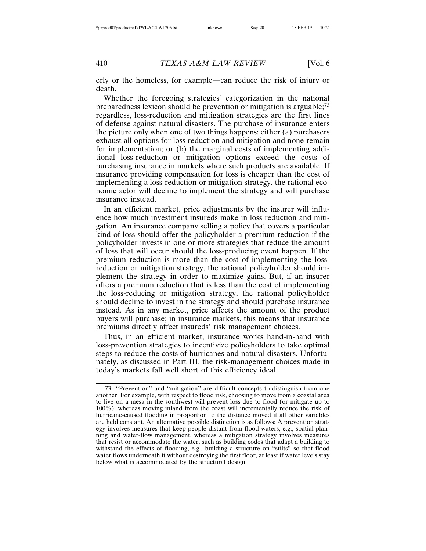erly or the homeless, for example—can reduce the risk of injury or death.

Whether the foregoing strategies' categorization in the national preparedness lexicon should be prevention or mitigation is arguable;<sup>73</sup> regardless, loss-reduction and mitigation strategies are the first lines of defense against natural disasters. The purchase of insurance enters the picture only when one of two things happens: either (a) purchasers exhaust all options for loss reduction and mitigation and none remain for implementation; or (b) the marginal costs of implementing additional loss-reduction or mitigation options exceed the costs of purchasing insurance in markets where such products are available. If insurance providing compensation for loss is cheaper than the cost of implementing a loss-reduction or mitigation strategy, the rational economic actor will decline to implement the strategy and will purchase insurance instead.

In an efficient market, price adjustments by the insurer will influence how much investment insureds make in loss reduction and mitigation. An insurance company selling a policy that covers a particular kind of loss should offer the policyholder a premium reduction if the policyholder invests in one or more strategies that reduce the amount of loss that will occur should the loss-producing event happen. If the premium reduction is more than the cost of implementing the lossreduction or mitigation strategy, the rational policyholder should implement the strategy in order to maximize gains. But, if an insurer offers a premium reduction that is less than the cost of implementing the loss-reducing or mitigation strategy, the rational policyholder should decline to invest in the strategy and should purchase insurance instead. As in any market, price affects the amount of the product buyers will purchase; in insurance markets, this means that insurance premiums directly affect insureds' risk management choices.

Thus, in an efficient market, insurance works hand-in-hand with loss-prevention strategies to incentivize policyholders to take optimal steps to reduce the costs of hurricanes and natural disasters. Unfortunately, as discussed in Part III, the risk-management choices made in today's markets fall well short of this efficiency ideal.

<sup>73. &</sup>quot;Prevention" and "mitigation" are difficult concepts to distinguish from one another. For example, with respect to flood risk, choosing to move from a coastal area to live on a mesa in the southwest will prevent loss due to flood (or mitigate up to 100%), whereas moving inland from the coast will incrementally reduce the risk of hurricane-caused flooding in proportion to the distance moved if all other variables are held constant. An alternative possible distinction is as follows: A prevention strategy involves measures that keep people distant from flood waters, e.g., spatial planning and water-flow management, whereas a mitigation strategy involves measures that resist or accommodate the water, such as building codes that adapt a building to withstand the effects of flooding, e.g., building a structure on "stilts" so that flood water flows underneath it without destroying the first floor, at least if water levels stay below what is accommodated by the structural design.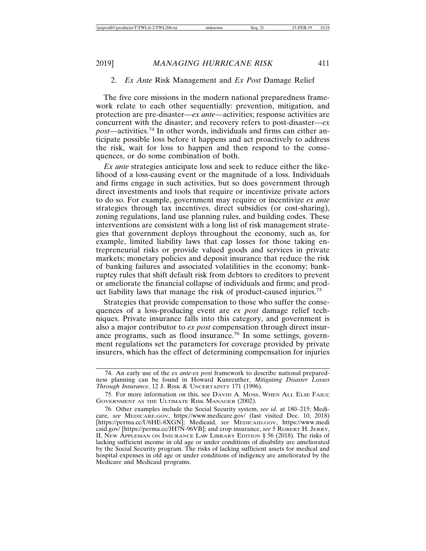#### 2. *Ex Ante* Risk Management and *Ex Post* Damage Relief

The five core missions in the modern national preparedness framework relate to each other sequentially: prevention, mitigation, and protection are pre-disaster—*ex ante*—activities; response activities are concurrent with the disaster; and recovery refers to post-disaster—*ex post*—activities.74 In other words, individuals and firms can either anticipate possible loss before it happens and act proactively to address the risk, wait for loss to happen and then respond to the consequences, or do some combination of both.

*Ex ante* strategies anticipate loss and seek to reduce either the likelihood of a loss-causing event or the magnitude of a loss. Individuals and firms engage in such activities, but so does government through direct investments and tools that require or incentivize private actors to do so. For example, government may require or incentivize *ex ante* strategies through tax incentives, direct subsidies (or cost-sharing), zoning regulations, land use planning rules, and building codes. These interventions are consistent with a long list of risk management strategies that government deploys throughout the economy, such as, for example, limited liability laws that cap losses for those taking entrepreneurial risks or provide valued goods and services in private markets; monetary policies and deposit insurance that reduce the risk of banking failures and associated volatilities in the economy; bankruptcy rules that shift default risk from debtors to creditors to prevent or ameliorate the financial collapse of individuals and firms; and product liability laws that manage the risk of product-caused injuries.<sup>75</sup>

Strategies that provide compensation to those who suffer the consequences of a loss-producing event are *ex post* damage relief techniques. Private insurance falls into this category, and government is also a major contributor to *ex post* compensation through direct insurance programs, such as flood insurance.76 In some settings, government regulations set the parameters for coverage provided by private insurers, which has the effect of determining compensation for injuries

<sup>74.</sup> An early use of the *ex ante-ex post* framework to describe national preparedness planning can be found in Howard Kunreuther, *Mitigating Disaster Losses Through Insurance*, 12 J. RISK & UNCERTAINTY 171 (1996).

<sup>75.</sup> For more information on this, see DAVID A. MOSS, WHEN ALL ELSE FAILS: GOVERNMENT AS THE ULTIMATE RISK MANAGER (2002).

<sup>76.</sup> Other examples include the Social Security system, *see id.* at 180–215; Medicare, *see* MEDICARE.GOV, https://www.medicare.gov/ (last visited Dec. 10, 2018) [https://perma.cc/U6HE-8XGN]; Medicaid, *see* MEDICAID.GOV, https://www.medi caid.gov/ [https://perma.cc/JH7N-96VB]; and crop insurance, see 5 ROBERT H. JERRY, II, NEW APPLEMAN ON INSURANCE LAW LIBRARY EDITION § 56 (2018). The risks of lacking sufficient income in old age or under conditions of disability are ameliorated by the Social Security program. The risks of lacking sufficient assets for medical and hospital expenses in old age or under conditions of indigency are ameliorated by the Medicare and Medicaid programs.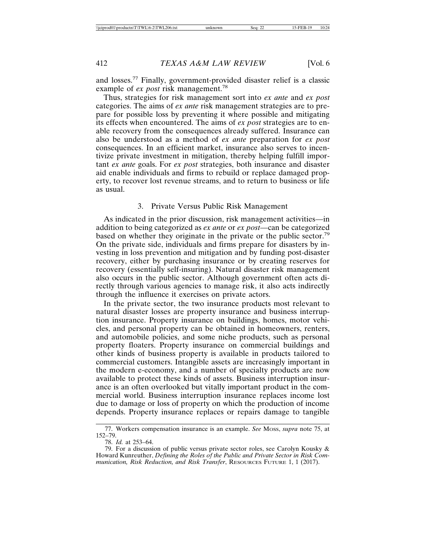and losses.77 Finally, government-provided disaster relief is a classic example of *ex post* risk management.<sup>78</sup>

Thus, strategies for risk management sort into *ex ante* and *ex post* categories. The aims of *ex ante* risk management strategies are to prepare for possible loss by preventing it where possible and mitigating its effects when encountered. The aims of *ex post* strategies are to enable recovery from the consequences already suffered. Insurance can also be understood as a method of *ex ante* preparation for *ex post* consequences. In an efficient market, insurance also serves to incentivize private investment in mitigation, thereby helping fulfill important *ex ante* goals. For *ex post* strategies, both insurance and disaster aid enable individuals and firms to rebuild or replace damaged property, to recover lost revenue streams, and to return to business or life as usual.

#### 3. Private Versus Public Risk Management

As indicated in the prior discussion, risk management activities—in addition to being categorized as *ex ante* or *ex post*—can be categorized based on whether they originate in the private or the public sector.<sup>79</sup> On the private side, individuals and firms prepare for disasters by investing in loss prevention and mitigation and by funding post-disaster recovery, either by purchasing insurance or by creating reserves for recovery (essentially self-insuring). Natural disaster risk management also occurs in the public sector. Although government often acts directly through various agencies to manage risk, it also acts indirectly through the influence it exercises on private actors.

In the private sector, the two insurance products most relevant to natural disaster losses are property insurance and business interruption insurance. Property insurance on buildings, homes, motor vehicles, and personal property can be obtained in homeowners, renters, and automobile policies, and some niche products, such as personal property floaters. Property insurance on commercial buildings and other kinds of business property is available in products tailored to commercial customers. Intangible assets are increasingly important in the modern e-economy, and a number of specialty products are now available to protect these kinds of assets. Business interruption insurance is an often overlooked but vitally important product in the commercial world. Business interruption insurance replaces income lost due to damage or loss of property on which the production of income depends. Property insurance replaces or repairs damage to tangible

<sup>77.</sup> Workers compensation insurance is an example. *See* MOSS, *supra* note 75, at 152–79.

<sup>78.</sup> *Id.* at 253–64.

<sup>79.</sup> For a discussion of public versus private sector roles, see Carolyn Kousky & Howard Kunreuther, *Defining the Roles of the Public and Private Sector in Risk Communication, Risk Reduction, and Risk Transfer*, RESOURCES FUTURE 1, 1 (2017).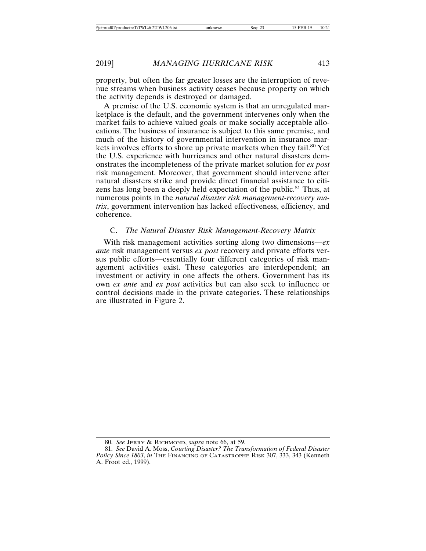property, but often the far greater losses are the interruption of revenue streams when business activity ceases because property on which the activity depends is destroyed or damaged.

A premise of the U.S. economic system is that an unregulated marketplace is the default, and the government intervenes only when the market fails to achieve valued goals or make socially acceptable allocations. The business of insurance is subject to this same premise, and much of the history of governmental intervention in insurance markets involves efforts to shore up private markets when they fail.<sup>80</sup> Yet the U.S. experience with hurricanes and other natural disasters demonstrates the incompleteness of the private market solution for *ex post* risk management. Moreover, that government should intervene after natural disasters strike and provide direct financial assistance to citizens has long been a deeply held expectation of the public.<sup>81</sup> Thus, at numerous points in the *natural disaster risk management-recovery matrix*, government intervention has lacked effectiveness, efficiency, and coherence.

#### C. *The Natural Disaster Risk Management-Recovery Matrix*

With risk management activities sorting along two dimensions—*ex ante* risk management versus *ex post* recovery and private efforts versus public efforts—essentially four different categories of risk management activities exist. These categories are interdependent; an investment or activity in one affects the others. Government has its own *ex ante* and *ex post* activities but can also seek to influence or control decisions made in the private categories. These relationships are illustrated in Figure 2.

<sup>80.</sup> *See* JERRY & RICHMOND, *supra* note 66, at 59.

<sup>81.</sup> *See* David A. Moss, *Courting Disaster? The Transformation of Federal Disaster Policy Since 1803*, *in* THE FINANCING OF CATASTROPHE RISK 307, 333, 343 (Kenneth A. Froot ed., 1999).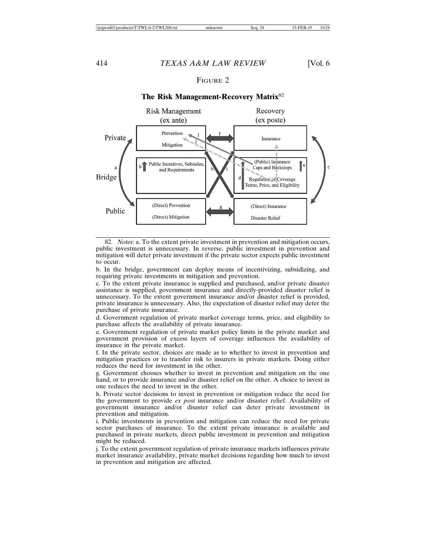### FIGURE 2



#### **The Risk Management-Recovery Matrix**<sup>82</sup>

82. *Notes*: a. To the extent private investment in prevention and mitigation occurs, public investment is unnecessary. In reverse, public investment in prevention and mitigation will deter private investment if the private sector expects public investment to occur.

b. In the bridge, government can deploy means of incentivizing, subsidizing, and requiring private investments in mitigation and prevention.

c. To the extent private insurance is supplied and purchased, and/or private disaster assistance is supplied, government insurance and directly-provided disaster relief is unnecessary. To the extent government insurance and/or disaster relief is provided, private insurance is unnecessary. Also, the expectation of disaster relief may deter the purchase of private insurance.

d. Government regulation of private market coverage terms, price, and eligibility to purchase affects the availability of private insurance.

e. Government regulation of private market policy limits in the private market and government provision of excess layers of coverage influences the availability of insurance in the private market.

f. In the private sector, choices are made as to whether to invest in prevention and mitigation practices or to transfer risk to insurers in private markets. Doing either reduces the need for investment in the other.

g. Government chooses whether to invest in prevention and mitigation on the one hand, or to provide insurance and/or disaster relief on the other. A choice to invest in one reduces the need to invest in the other.

h. Private sector decisions to invest in prevention or mitigation reduce the need for the government to provide *ex post* insurance and/or disaster relief. Availability of government insurance and/or disaster relief can deter private investment in prevention and mitigation.

i. Public investments in prevention and mitigation can reduce the need for private sector purchases of insurance. To the extent private insurance is available and purchased in private markets, direct public investment in prevention and mitigation might be reduced.

j. To the extent government regulation of private insurance markets influences private market insurance availability, private market decisions regarding how much to invest in prevention and mitigation are affected.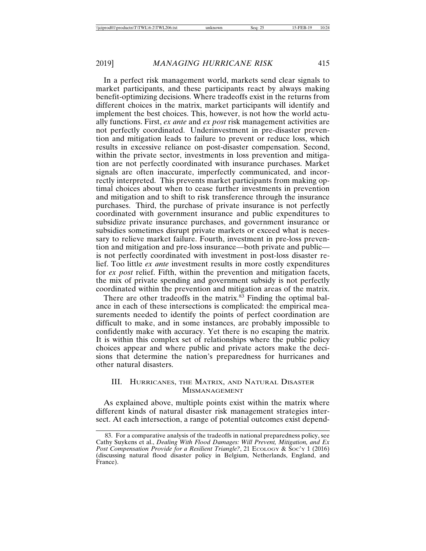In a perfect risk management world, markets send clear signals to market participants, and these participants react by always making benefit-optimizing decisions. Where tradeoffs exist in the returns from different choices in the matrix, market participants will identify and implement the best choices. This, however, is not how the world actually functions. First, *ex ante* and *ex post* risk management activities are not perfectly coordinated. Underinvestment in pre-disaster prevention and mitigation leads to failure to prevent or reduce loss, which results in excessive reliance on post-disaster compensation. Second, within the private sector, investments in loss prevention and mitigation are not perfectly coordinated with insurance purchases. Market signals are often inaccurate, imperfectly communicated, and incorrectly interpreted. This prevents market participants from making optimal choices about when to cease further investments in prevention and mitigation and to shift to risk transference through the insurance purchases. Third, the purchase of private insurance is not perfectly coordinated with government insurance and public expenditures to subsidize private insurance purchases, and government insurance or subsidies sometimes disrupt private markets or exceed what is necessary to relieve market failure. Fourth, investment in pre-loss prevention and mitigation and pre-loss insurance—both private and public is not perfectly coordinated with investment in post-loss disaster relief. Too little *ex ante* investment results in more costly expenditures for *ex post* relief. Fifth, within the prevention and mitigation facets, the mix of private spending and government subsidy is not perfectly coordinated within the prevention and mitigation areas of the matrix.

There are other tradeoffs in the matrix.<sup>83</sup> Finding the optimal balance in each of these intersections is complicated: the empirical measurements needed to identify the points of perfect coordination are difficult to make, and in some instances, are probably impossible to confidently make with accuracy. Yet there is no escaping the matrix. It is within this complex set of relationships where the public policy choices appear and where public and private actors make the decisions that determine the nation's preparedness for hurricanes and other natural disasters.

#### III. HURRICANES, THE MATRIX, AND NATURAL DISASTER MISMANAGEMENT

As explained above, multiple points exist within the matrix where different kinds of natural disaster risk management strategies intersect. At each intersection, a range of potential outcomes exist depend-

<sup>83.</sup> For a comparative analysis of the tradeoffs in national preparedness policy, see Cathy Suykens et al., *Dealing With Flood Damages: Will Prevent, Mitigation, and Ex Post Compensation Provide for a Resilient Triangle?*, 21 ECOLOGY & Soc'y 1 (2016) (discussing natural flood disaster policy in Belgium, Netherlands, England, and France).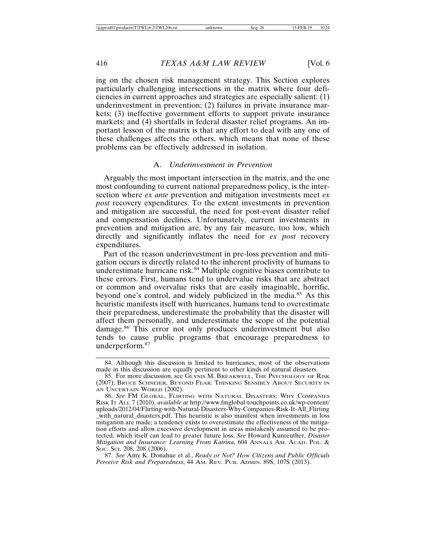ing on the chosen risk management strategy. This Section explores particularly challenging intersections in the matrix where four deficiencies in current approaches and strategies are especially salient: (1) underinvestment in prevention; (2) failures in private insurance markets; (3) ineffective government efforts to support private insurance markets; and (4) shortfalls in federal disaster relief programs. An important lesson of the matrix is that any effort to deal with any one of these challenges affects the others, which means that none of these problems can be effectively addressed in isolation.

#### A. *Underinvestment in Prevention*

Arguably the most important intersection in the matrix, and the one most confounding to current national preparedness policy, is the intersection where *ex ante* prevention and mitigation investments meet *ex post* recovery expenditures. To the extent investments in prevention and mitigation are successful, the need for post-event disaster relief and compensation declines. Unfortunately, current investments in prevention and mitigation are, by any fair measure, too low, which directly and significantly inflates the need for *ex post* recovery expenditures.

Part of the reason underinvestment in pre-loss prevention and mitigation occurs is directly related to the inherent proclivity of humans to underestimate hurricane risk.<sup>84</sup> Multiple cognitive biases contribute to these errors. First, humans tend to undervalue risks that are abstract or common and overvalue risks that are easily imaginable, horrific, beyond one's control, and widely publicized in the media.<sup>85</sup> As this heuristic manifests itself with hurricanes, humans tend to overestimate their preparedness, underestimate the probability that the disaster will affect them personally, and underestimate the scope of the potential damage.<sup>86</sup> This error not only produces underinvestment but also tends to cause public programs that encourage preparedness to underperform.<sup>87</sup>

87. *See* Amy K. Donahue et al., *Ready or Not? How Citizens and Public Officials Perceive Risk and Preparedness*, 44 AM. REV. PUB. ADMIN. 89S, 107S (2013).

<sup>84.</sup> Although this discussion is limited to hurricanes, most of the observations made in this discussion are equally pertinent to other kinds of natural disasters.

<sup>85.</sup> For more discussion, see GLYNIS M. BREAKWELL, THE PSYCHOLOGY OF RISK (2007); BRUCE SCHNEIER, BEYOND FEAR: THINKING SENSIBLY ABOUT SECURITY IN AN UNCERTAIN WORLD (2002).

<sup>86.</sup> *See* FM GLOBAL, FLIRTING WITH NATURAL DISASTERS: WHY COMPANIES RISK IT ALL 7 (2010), *available at* http://www.fmglobal-touchpoints.co.uk/wp-content/ uploads/2012/04/Flirting-with-Natural-Disasters-Why-Companies-Risk-It-All\_Flirting \_with\_natural\_disasters.pdf. This heuristic is also manifest when investments in loss mitigation are made; a tendency exists to overestimate the effectiveness of the mitigation efforts and allow excessive development in areas mistakenly assumed to be protected, which itself can lead to greater future loss. *See* Howard Kunreuther, *Disaster Mitigation and Insurance: Learning From Katrina*, 604 ANNALS AM. ACAD. POL. & SOC. SCI. 208, 208 (2006).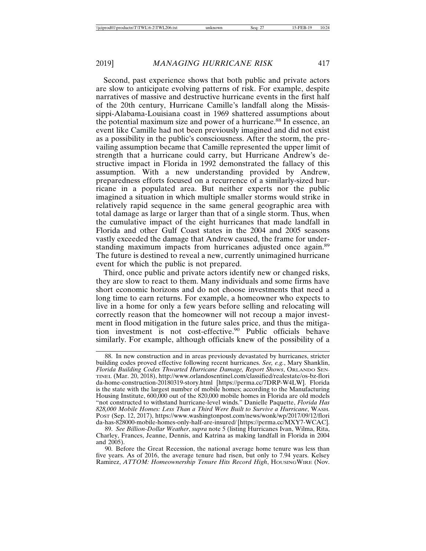Second, past experience shows that both public and private actors are slow to anticipate evolving patterns of risk. For example, despite narratives of massive and destructive hurricane events in the first half of the 20th century, Hurricane Camille's landfall along the Mississippi-Alabama-Louisiana coast in 1969 shattered assumptions about the potential maximum size and power of a hurricane.<sup>88</sup> In essence, an event like Camille had not been previously imagined and did not exist as a possibility in the public's consciousness. After the storm, the prevailing assumption became that Camille represented the upper limit of strength that a hurricane could carry, but Hurricane Andrew's destructive impact in Florida in 1992 demonstrated the fallacy of this assumption. With a new understanding provided by Andrew, preparedness efforts focused on a recurrence of a similarly-sized hurricane in a populated area. But neither experts nor the public imagined a situation in which multiple smaller storms would strike in relatively rapid sequence in the same general geographic area with total damage as large or larger than that of a single storm. Thus, when the cumulative impact of the eight hurricanes that made landfall in Florida and other Gulf Coast states in the 2004 and 2005 seasons vastly exceeded the damage that Andrew caused, the frame for understanding maximum impacts from hurricanes adjusted once again.<sup>89</sup> The future is destined to reveal a new, currently unimagined hurricane event for which the public is not prepared.

Third, once public and private actors identify new or changed risks, they are slow to react to them. Many individuals and some firms have short economic horizons and do not choose investments that need a long time to earn returns. For example, a homeowner who expects to live in a home for only a few years before selling and relocating will correctly reason that the homeowner will not recoup a major investment in flood mitigation in the future sales price, and thus the mitigation investment is not cost-effective.<sup>90</sup> Public officials behave similarly. For example, although officials knew of the possibility of a

<sup>88.</sup> In new construction and in areas previously devastated by hurricanes, stricter building codes proved effective following recent hurricanes. *See, e.g.*, Mary Shanklin, *Florida Building Codes Thwarted Hurricane Damage, Report Shows*, ORLANDO SEN-TINEL (Mar. 20, 2018), http://www.orlandosentinel.com/classified/realestate/os-bz-flori da-home-construction-20180319-story.html [https://perma.cc/7DRP-W4LW]. Florida is the state with the largest number of mobile homes; according to the Manufacturing Housing Institute, 600,000 out of the 820,000 mobile homes in Florida are old models "not constructed to withstand hurricane-level winds." Danielle Paquette, *Florida Has 828,000 Mobile Homes: Less Than a Third Were Built to Survive a Hurricane*, WASH. POST (Sep. 12, 2017), https://www.washingtonpost.com/news/wonk/wp/2017/09/12/flori da-has-828000-mobile-homes-only-half-are-insured/ [https://perma.cc/MXY7-WCAC].

<sup>89.</sup> *See Billion-Dollar Weather*, *supra* note 5 (listing Hurricanes Ivan, Wilma, Rita, Charley, Frances, Jeanne, Dennis, and Katrina as making landfall in Florida in 2004 and 2005).

<sup>90.</sup> Before the Great Recession, the national average home tenure was less than five years. As of 2016, the average tenure had risen, but only to 7.94 years. Kelsey Ramirez, *ATTOM: Homeownership Tenure Hits Record High*, HOUSINGWIRE (Nov.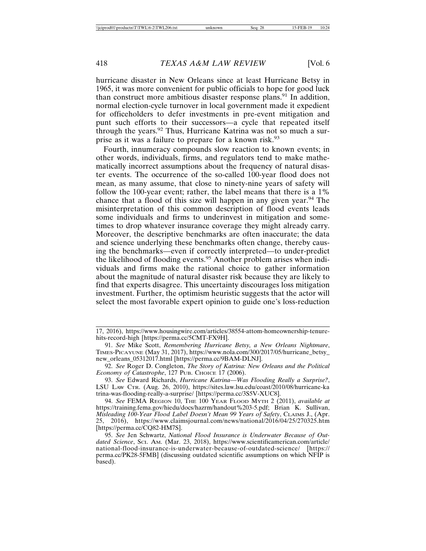hurricane disaster in New Orleans since at least Hurricane Betsy in 1965, it was more convenient for public officials to hope for good luck than construct more ambitious disaster response plans.<sup>91</sup> In addition, normal election-cycle turnover in local government made it expedient for officeholders to defer investments in pre-event mitigation and punt such efforts to their successors—a cycle that repeated itself through the years.<sup>92</sup> Thus, Hurricane Katrina was not so much a surprise as it was a failure to prepare for a known risk.<sup>93</sup>

Fourth, innumeracy compounds slow reaction to known events; in other words, individuals, firms, and regulators tend to make mathematically incorrect assumptions about the frequency of natural disaster events. The occurrence of the so-called 100-year flood does not mean, as many assume, that close to ninety-nine years of safety will follow the 100-year event; rather, the label means that there is a 1% chance that a flood of this size will happen in any given year.<sup>94</sup> The misinterpretation of this common description of flood events leads some individuals and firms to underinvest in mitigation and sometimes to drop whatever insurance coverage they might already carry. Moreover, the descriptive benchmarks are often inaccurate; the data and science underlying these benchmarks often change, thereby causing the benchmarks—even if correctly interpreted—to under-predict the likelihood of flooding events.95 Another problem arises when individuals and firms make the rational choice to gather information about the magnitude of natural disaster risk because they are likely to find that experts disagree. This uncertainty discourages loss mitigation investment. Further, the optimism heuristic suggests that the actor will select the most favorable expert opinion to guide one's loss-reduction

<sup>17, 2016),</sup> https://www.housingwire.com/articles/38554-attom-homeownership-tenurehits-record-high [https://perma.cc/5CMT-FX9H].

<sup>91.</sup> *See* Mike Scott, *Remembering Hurricane Betsy, a New Orleans Nightmare*, TIMES-PICAYUNE (May 31, 2017), https://www.nola.com/300/2017/05/hurricane\_betsy\_ new\_orleans\_05312017.html [https://perma.cc/9BAM-DLNJ].

<sup>92.</sup> *See* Roger D. Congleton, *The Story of Katrina: New Orleans and the Political Economy of Catastrophe*, 127 PUB. CHOICE 17 (2006).

<sup>93.</sup> *See* Edward Richards, *Hurricane Katrina—Was Flooding Really a Surprise?*, LSU LAW CTR. (Aug. 26, 2010), https://sites.law.lsu.edu/coast/2010/08/hurricane-ka trina-was-flooding-really-a-surprise/ [https://perma.cc/3S5V-XUC8].

<sup>94.</sup> *See* FEMA REGION 10, THE 100 YEAR FLOOD MYTH 2 (2011), *available at* https://training.fema.gov/hiedu/docs/hazrm/handout%203-5.pdf; Brian K. Sullivan, *Misleading 100-Year Flood Label Doesn't Mean 99 Years of Safety*, CLAIMS J., (Apr. 25, 2016), https://www.claimsjournal.com/news/national/2016/04/25/270325.htm [https://perma.cc/CQ82-HM7S].

<sup>95.</sup> *See* Jen Schwartz, *National Flood Insurance is Underwater Because of Outdated Science*, SCI. AM. (Mar. 23, 2018), https://www.scientificamerican.com/article/ national-flood-insurance-is-underwater-because-of-outdated-science/ [https:// perma.cc/PK28-5FMB] (discussing outdated scientific assumptions on which NFIP is based).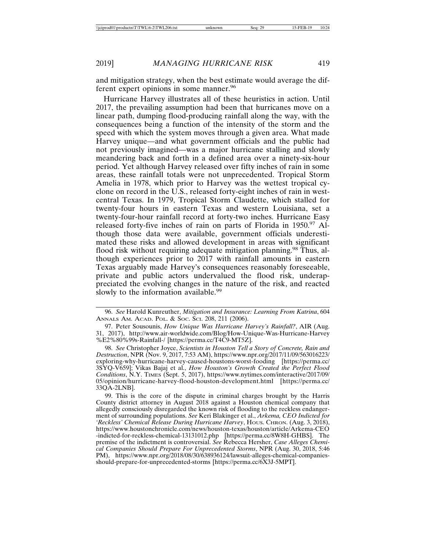and mitigation strategy, when the best estimate would average the different expert opinions in some manner.<sup>96</sup>

Hurricane Harvey illustrates all of these heuristics in action. Until 2017, the prevailing assumption had been that hurricanes move on a linear path, dumping flood-producing rainfall along the way, with the consequences being a function of the intensity of the storm and the speed with which the system moves through a given area. What made Harvey unique—and what government officials and the public had not previously imagined—was a major hurricane stalling and slowly meandering back and forth in a defined area over a ninety-six-hour period. Yet although Harvey released over fifty inches of rain in some areas, these rainfall totals were not unprecedented. Tropical Storm Amelia in 1978, which prior to Harvey was the wettest tropical cyclone on record in the U.S., released forty-eight inches of rain in westcentral Texas. In 1979, Tropical Storm Claudette, which stalled for twenty-four hours in eastern Texas and western Louisiana, set a twenty-four-hour rainfall record at forty-two inches. Hurricane Easy released forty-five inches of rain on parts of Florida in 1950.<sup>97</sup> Although those data were available, government officials underestimated these risks and allowed development in areas with significant flood risk without requiring adequate mitigation planning.<sup>98</sup> Thus, although experiences prior to 2017 with rainfall amounts in eastern Texas arguably made Harvey's consequences reasonably foreseeable, private and public actors undervalued the flood risk, underappreciated the evolving changes in the nature of the risk, and reacted slowly to the information available.<sup>99</sup>

<sup>96.</sup> *See* Harold Kunreuther, *Mitigation and Insurance: Learning From Katrina*, 604 ANNALS AM. ACAD. POL. & SOC. SCI. 208, 211 (2006).

<sup>97.</sup> Peter Sousounis, *How Unique Was Hurricane Harvey's Rainfall?*, AIR (Aug. 31, 2017), http://www.air-worldwide.com/Blog/How-Unique-Was-Hurricane-Harvey %E2%80%99s-Rainfall-/ [https://perma.cc/T4C9-MT5Z].

<sup>98.</sup> *See* Christopher Joyce, *Scientists in Houston Tell a Story of Concrete, Rain and Destruction*, NPR (Nov. 9, 2017, 7:53 AM), https://www.npr.org/2017/11/09/563016223/ exploring-why-hurricane-harvey-caused-houstons-worst-fooding [https://perma.cc/ 3SYQ-V659]; Vikas Bajaj et al., *How Houston's Growth Created the Perfect Flood Conditions*, N.Y. TIMES (Sept. 5, 2017), https://www.nytimes.com/interactive/2017/09/ 05/opinion/hurricane-harvey-flood-houston-development.html [https://perma.cc/ 33QA-2LNB].

<sup>99.</sup> This is the core of the dispute in criminal charges brought by the Harris County district attorney in August 2018 against a Houston chemical company that allegedly consciously disregarded the known risk of flooding to the reckless endangerment of surrounding populations. *See* Keri Blakinger et al., *Arkema, CEO Indicted for 'Reckless' Chemical Release During Hurricane Harvey*, HOUS. CHRON. (Aug. 3, 2018), https://www.houstonchronicle.com/news/houston-texas/houston/article/Arkema-CEO -indicted-for-reckless-chemical-13131012.php [https://perma.cc/8W8H-GHBS]. The premise of the indictment is controversial. *See* Rebecca Hersher, *Case Alleges Chemical Companies Should Prepare For Unprecedented Storms*, NPR (Aug. 30, 2018, 5:46 PM), https://www.npr.org/2018/08/30/638936124/lawsuit-alleges-chemical-companiesshould-prepare-for-unprecedented-storms [https://perma.cc/6X3J-5MPT].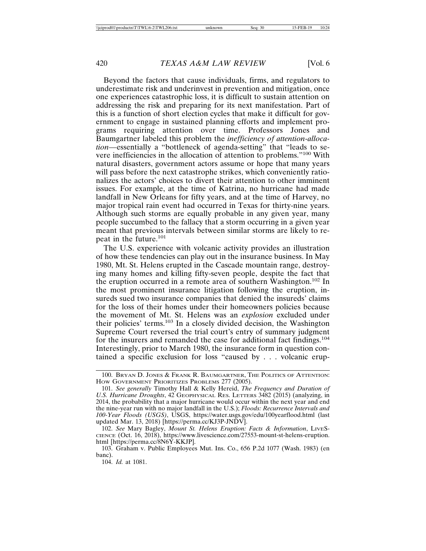Beyond the factors that cause individuals, firms, and regulators to underestimate risk and underinvest in prevention and mitigation, once one experiences catastrophic loss, it is difficult to sustain attention on addressing the risk and preparing for its next manifestation. Part of this is a function of short election cycles that make it difficult for government to engage in sustained planning efforts and implement programs requiring attention over time. Professors Jones and Baumgartner labeled this problem the *inefficiency of attention-allocation*—essentially a "bottleneck of agenda-setting" that "leads to severe inefficiencies in the allocation of attention to problems."100 With natural disasters, government actors assume or hope that many years will pass before the next catastrophe strikes, which conveniently rationalizes the actors' choices to divert their attention to other imminent issues. For example, at the time of Katrina, no hurricane had made landfall in New Orleans for fifty years, and at the time of Harvey, no major tropical rain event had occurred in Texas for thirty-nine years. Although such storms are equally probable in any given year, many people succumbed to the fallacy that a storm occurring in a given year meant that previous intervals between similar storms are likely to repeat in the future.<sup>101</sup>

The U.S. experience with volcanic activity provides an illustration of how these tendencies can play out in the insurance business. In May 1980, Mt. St. Helens erupted in the Cascade mountain range, destroying many homes and killing fifty-seven people, despite the fact that the eruption occurred in a remote area of southern Washington.102 In the most prominent insurance litigation following the eruption, insureds sued two insurance companies that denied the insureds' claims for the loss of their homes under their homeowners policies because the movement of Mt. St. Helens was an *explosion* excluded under their policies' terms.103 In a closely divided decision, the Washington Supreme Court reversed the trial court's entry of summary judgment for the insurers and remanded the case for additional fact findings.<sup>104</sup> Interestingly, prior to March 1980, the insurance form in question contained a specific exclusion for loss "caused by . . . volcanic erup-

<sup>100.</sup> BRYAN D. JONES & FRANK R. BAUMGARTNER, THE POLITICS OF ATTENTION: HOW GOVERNMENT PRIORITIZES PROBLEMS 277 (2005).

<sup>101.</sup> *See generally* Timothy Hall & Kelly Hereid, *The Frequency and Duration of U.S. Hurricane Droughts*, 42 GEOPHYSICAL RES. LETTERS 3482 (2015) (analyzing, in 2014, the probability that a major hurricane would occur within the next year and end the nine-year run with no major landfall in the U.S.); *Floods: Recurrence Intervals and 100-Year Floods (USGS)*, USGS, https://water.usgs.gov/edu/100yearflood.html (last updated Mar. 13, 2018) [https://perma.cc/KJ3P-JNDV].

<sup>102.</sup> *See* Mary Bagley, *Mount St. Helens Eruption: Facts & Information*, LIVES-CIENCE (Oct. 16, 2018), https://www.livescience.com/27553-mount-st-helens-eruption. html [https://perma.cc/8N6Y-KKJP].

<sup>103.</sup> Graham v. Public Employees Mut. Ins. Co., 656 P.2d 1077 (Wash. 1983) (en banc).

<sup>104.</sup> *Id.* at 1081.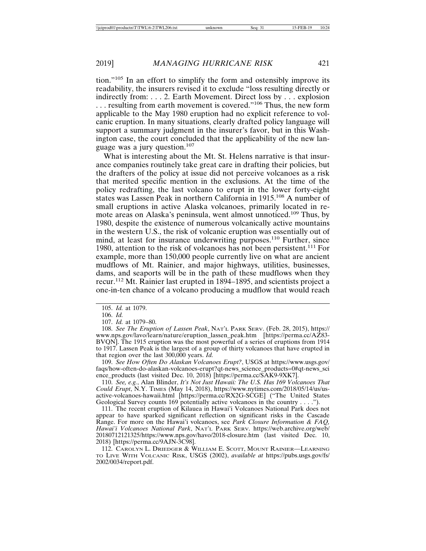tion."105 In an effort to simplify the form and ostensibly improve its readability, the insurers revised it to exclude "loss resulting directly or indirectly from: . . . 2. Earth Movement. Direct loss by . . . explosion ... resulting from earth movement is covered."<sup>106</sup> Thus, the new form applicable to the May 1980 eruption had no explicit reference to volcanic eruption. In many situations, clearly drafted policy language will support a summary judgment in the insurer's favor, but in this Washington case, the court concluded that the applicability of the new language was a jury question.107

What is interesting about the Mt. St. Helens narrative is that insurance companies routinely take great care in drafting their policies, but the drafters of the policy at issue did not perceive volcanoes as a risk that merited specific mention in the exclusions. At the time of the policy redrafting, the last volcano to erupt in the lower forty-eight states was Lassen Peak in northern California in 1915.108 A number of small eruptions in active Alaska volcanoes, primarily located in remote areas on Alaska's peninsula, went almost unnoticed.109 Thus, by 1980, despite the existence of numerous volcanically active mountains in the western U.S., the risk of volcanic eruption was essentially out of mind, at least for insurance underwriting purposes.<sup>110</sup> Further, since 1980, attention to the risk of volcanoes has not been persistent.111 For example, more than 150,000 people currently live on what are ancient mudflows of Mt. Rainier, and major highways, utilities, businesses, dams, and seaports will be in the path of these mudflows when they recur.112 Mt. Rainier last erupted in 1894–1895, and scientists project a one-in-ten chance of a volcano producing a mudflow that would reach

109. *See How Often Do Alaskan Volcanoes Erupt?*, USGS at https://www.usgs.gov/ faqs/how-often-do-alaskan-volcanoes-erupt?qt-news\_science\_products=0#qt-news\_sci ence\_products (last visited Dec. 10, 2018) [https://perma.cc/SAK9-9XK7].

110. *See, e.g.*, Alan Blinder, *It's Not Just Hawaii: The U.S. Has 169 Volcanoes That Could Erupt*, N.Y. TIMES (May 14, 2018), https://www.nytimes.com/2018/05/14/us/usactive-volcanoes-hawaii.html [https://perma.cc/RX2G-SCGE] ("The United States Geological Survey counts 169 potentially active volcanoes in the country . . . .").

111. The recent eruption of Kilauea in Hawai'i Volcanoes National Park does not appear to have sparked significant reflection on significant risks in the Cascade Range. For more on the Hawai'i volcanoes, see *Park Closure Information & FAQ, Hawai'i Volcanoes National Park*, NAT'L PARK SERV. https://web.archive.org/web/ 20180712121325/https://www.nps.gov/havo/2018-closure.htm (last visited Dec. 10, 2018) [https://perma.cc/9AJN-3C98].

112. CAROLYN L. DRIEDGER & WILLIAM E. SCOTT, MOUNT RAINIER—LEARNING TO LIVE WITH VOLCANIC RISK, USGS (2002), *available at* https://pubs.usgs.gov/fs/ 2002/0034/report.pdf.

<sup>105.</sup> *Id.* at 1079.

<sup>106.</sup> *Id.*

<sup>107.</sup> *Id.* at 1079–80.

<sup>108.</sup> *See The Eruption of Lassen Peak*, NAT'L PARK SERV. (Feb. 28, 2015), https:// www.nps.gov/lavo/learn/nature/eruption\_lassen\_peak.htm [https://perma.cc/AZ83- BVQN]. The 1915 eruption was the most powerful of a series of eruptions from 1914 to 1917. Lassen Peak is the largest of a group of thirty volcanoes that have erupted in that region over the last 300,000 years. *Id.*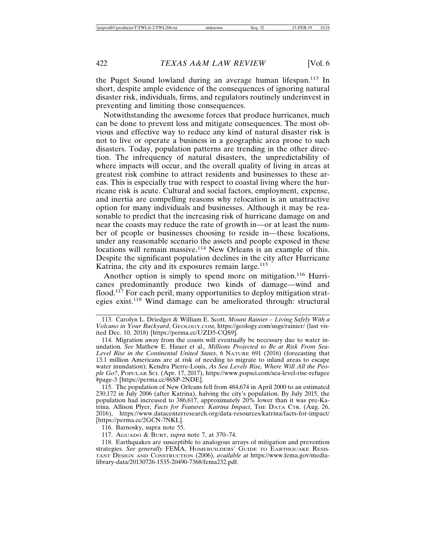the Puget Sound lowland during an average human lifespan.<sup>113</sup> In short, despite ample evidence of the consequences of ignoring natural disaster risk, individuals, firms, and regulators routinely underinvest in preventing and limiting those consequences.

Notwithstanding the awesome forces that produce hurricanes, much can be done to prevent loss and mitigate consequences. The most obvious and effective way to reduce any kind of natural disaster risk is not to live or operate a business in a geographic area prone to such disasters. Today, population patterns are trending in the other direction. The infrequency of natural disasters, the unpredictability of where impacts will occur, and the overall quality of living in areas at greatest risk combine to attract residents and businesses to these areas. This is especially true with respect to coastal living where the hurricane risk is acute. Cultural and social factors, employment, expense, and inertia are compelling reasons why relocation is an unattractive option for many individuals and businesses. Although it may be reasonable to predict that the increasing risk of hurricane damage on and near the coasts may reduce the rate of growth in—or at least the number of people or businesses choosing to reside in—these locations, under any reasonable scenario the assets and people exposed in these locations will remain massive.<sup>114</sup> New Orleans is an example of this. Despite the significant population declines in the city after Hurricane Katrina, the city and its exposures remain large.<sup>115</sup>

Another option is simply to spend more on mitigation.<sup>116</sup> Hurricanes predominantly produce two kinds of damage—wind and flood.<sup>117</sup> For each peril, many opportunities to deploy mitigation strategies exist.118 Wind damage can be ameliorated through: structural

115. The population of New Orleans fell from 484,674 in April 2000 to an estimated 230,172 in July 2006 (after Katrina), halving the city's population. By July 2015, the population had increased to 386,617, approximately 20% lower than it was pre-Katrina. Allison Plyer, *Facts for Features: Katrina Impact*, THE DATA CTR. (Aug. 26, 2016), https://www.datacenterresearch.org/data-resources/katrina/facts-for-impact/ [https://perma.cc/2GCN-7NKL].

116. Barnosky, supra note 55.

117. AGUADO & BURT, *supra* note 7, at 370–74.

118. Earthquakes are susceptible to analogous arrays of mitigation and prevention strategies. *See generally* FEMA, HOMEBUILDERS' GUIDE TO EARTHQUAKE RESIS-TANT DESIGN AND CONSTRUCTION (2006), *available at* https://www.fema.gov/medialibrary-data/20130726-1535-20490-7368/fema232.pdf.

<sup>113.</sup> Carolyn L. Driedger & William E. Scott, *Mount Rainier – Living Safely With a Volcano in Your Backyard*, GEOLOGY.COM, https://geology.com/usgs/rainier/ (last visited Dec. 10, 2018) [https://perma.cc/UZD5-CQS9].

<sup>114.</sup> Migration away from the coasts will eventually be necessary due to water inundation. *See* Mathew E. Hauer et al., *Millions Projected to Be at Risk From Sea-Level Rise in the Continental United States*, 6 NATURE 691 (2016) (forecasting that 13.1 million Americans are at risk of needing to migrate to inland areas to escape water inundation); Kendra Pierre-Louis, *As Sea Levels Rise, Where Will All the People Go?*, POPULAR SCI. (Apr. 17, 2017), https://www.popsci.com/sea-level-rise-refugee #page-3 [https://perma.cc/86SP-2NDE].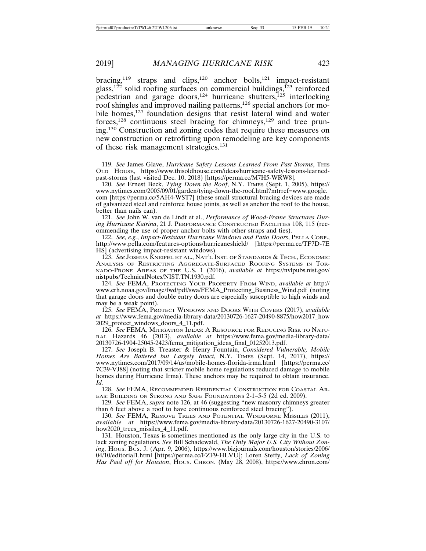bracing,<sup>119</sup> straps and clips,<sup>120</sup> anchor bolts,<sup>121</sup> impact-resistant glass,<sup>122</sup> solid roofing surfaces on commercial buildings,<sup>123</sup> reinforced pedestrian and garage doors,<sup>124</sup> hurricane shutters,<sup>125</sup> interlocking roof shingles and improved nailing patterns,<sup>126</sup> special anchors for mobile homes,<sup>127</sup> foundation designs that resist lateral wind and water forces,128 continuous steel bracing for chimneys,129 and tree pruning.130 Construction and zoning codes that require these measures on new construction or retrofitting upon remodeling are key components of these risk management strategies.<sup>131</sup>

119. See James Glave, *Hurricane Safety Lessons Learned From Past Storms*, THIS OLD HOUSE, https://www.thisoldhouse.com/ideas/hurricane-safety-lessons-learnedpast-storms (last visited Dec. 10, 2018) [https://perma.cc/M7H5-WRW8].

120. *See* Ernest Beck, *Tying Down the Roof*, N.Y. TIMES (Sept. 1, 2005), https:// www.nytimes.com/2005/09/01/garden/tying-down-the-roof.html?mtrref=www.google. com [https://perma.cc/5AH4-WST7] (these small structural bracing devices are made of galvanized steel and reinforce house joints, as well as anchor the roof to the house, better than nails can).

121. *See* John W. van de Lindt et al., *Performance of Wood-Frame Structures During Hurricane Katrina*, 21 J. PERFORMANCE CONSTRUCTED FACILITIES 108, 115 (recommending the use of proper anchor bolts with other straps and ties).

122. *See, e.g.*, *Impact-Resistant Hurricane Windows and Patio Doors*, PELLA CORP., http://www.pella.com/features-options/hurricaneshield/ [https://perma.cc/TF7D-7E HS] (advertising impact-resistant windows).

123. *See* JOSHUA KNEIFEL ET AL., NAT'L INST. OF STANDARDS & TECH., ECONOMIC ANALYSIS OF RESTRICTING AGGREGATE-SURFACED ROOFING SYSTEMS IN TOR-NADO-PRONE AREAS OF THE U.S. 1 (2016), *available at* https://nvlpubs.nist.gov/ nistpubs/TechnicalNotes/NIST.TN.1930.pdf.

124. *See* FEMA, PROTECTING YOUR PROPERTY FROM WIND, *available at* http:// www.crh.noaa.gov/Image/fwd/pdf/swa/FEMA\_Protecting\_Business\_Wind.pdf (noting that garage doors and double entry doors are especially susceptible to high winds and may be a weak point).

125. *See* FEMA, PROTECT WINDOWS AND DOORS WITH COVERS (2017), *available at* https://www.fema.gov/media-library-data/20130726-1627-20490-8875/how2017\_how 2029\_protect\_windows\_doors\_4\_11.pdf.

126. *See* FEMA, MITIGATION IDEAS: A RESOURCE FOR REDUCING RISK TO NATU-RAL Hazards 46 (2013), *available at* https://www.fema.gov/media-library-data/ 20130726-1904-25045-2423/fema\_mitigation\_ideas\_final\_01252013.pdf.

127. *See* Joseph B. Treaster & Henry Fountain, *Considered Vulnerable, Mobile Homes Are Battered but Largely Intact*, N.Y. TIMES (Sept. 14, 2017), https:// www.nytimes.com/2017/09/14/us/mobile-homes-florida-irma.html [https://perma.cc/ 7C39-VJ88] (noting that stricter mobile home regulations reduced damage to mobile homes during Hurricane Irma). These anchors may be required to obtain insurance. *Id.*

128. *See* FEMA, RECOMMENDED RESIDENTIAL CONSTRUCTION FOR COASTAL AR-EAS: BUILDING ON STRONG AND SAFE FOUNDATIONS 2-1–5-5 (2d ed. 2009).

129. *See* FEMA, *supra* note 126, at 46 (suggesting "new masonry chimneys greater than 6 feet above a roof to have continuous reinforced steel bracing").

130. *See* FEMA, REMOVE TREES AND POTENTIAL WINDBORNE MISSILES (2011), *available at* https://www.fema.gov/media-library-data/20130726-1627-20490-3107/ how2020\_trees\_missiles\_4\_11.pdf.

131. Houston, Texas is sometimes mentioned as the only large city in the U.S. to lack zoning regulations. *See* Bill Schadewald, *The Only Major U.S. City Without Zoning*, HOUS. BUS. J. (Apr. 9, 2006), https://www.bizjournals.com/houston/stories/2006/ 04/10/editorial1.html [https://perma.cc/FZF9-HLVU]; Loren Steffy, *Lack of Zoning Has Paid off for Houston*, HOUS. CHRON. (May 28, 2008), https://www.chron.com/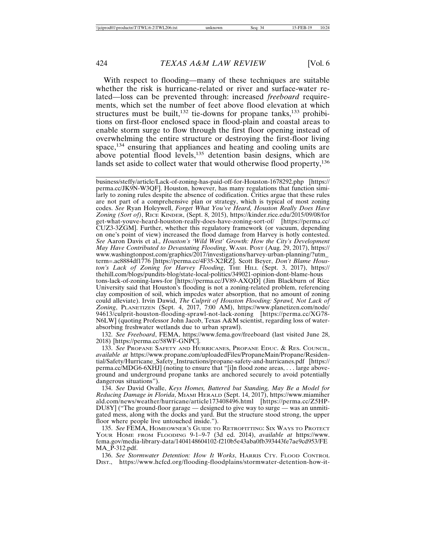With respect to flooding—many of these techniques are suitable whether the risk is hurricane-related or river and surface-water related—loss can be prevented through: increased *freeboard* requirements, which set the number of feet above flood elevation at which structures must be built,<sup>132</sup> tie-downs for propane tanks,<sup>133</sup> prohibitions on first-floor enclosed space in flood-plain and coastal areas to enable storm surge to flow through the first floor opening instead of overwhelming the entire structure or destroying the first-floor living space,<sup>134</sup> ensuring that appliances and heating and cooling units are above potential flood levels,<sup>135</sup> detention basin designs, which are lands set aside to collect water that would otherwise flood property,<sup>136</sup>

business/steffy/article/Lack-of-zoning-has-paid-off-for-Houston-1678292.php [https:// perma.cc/JK9N-W3QF]. Houston, however, has many regulations that function similarly to zoning rules despite the absence of codification. Critics argue that these rules are not part of a comprehensive plan or strategy, which is typical of most zoning codes. *See* Ryan Holeywell, *Forget What You've Heard, Houston Really Does Have Zoning (Sort of)*, RICE KINDER, (Sept. 8, 2015), https://kinder.rice.edu/2015/09/08/for get-what-youve-heard-houston-really-does-have-zoning-sort-of/ [https://perma.cc/ CUZ3-3ZGM]. Further, whether this regulatory framework (or vacuum, depending on one's point of view) increased the flood damage from Harvey is hotly contested. *See* Aaron Davis et al., *Houston's 'Wild West' Growth: How the City's Development May Have Contributed to Devastating Flooding*, WASH. POST (Aug. 29, 2017), https:// www.washingtonpost.com/graphics/2017/investigations/harvey-urban-planning/?utm\_ term=.ac8884df1776 [https://perma.cc/4F35-X2RZ]. Scott Beyer, *Don't Blame Houston's Lack of Zoning for Harvey Flooding*, THE HILL (Sept. 3, 2017), https:// thehill.com/blogs/pundits-blog/state-local-politics/349021-opinion-dont-blame-hous tons-lack-of-zoning-laws-for [https://perma.cc/JV89-AXQD] (Jim Blackburn of Rice University said that Houston's flooding is not a zoning-related problem, referencing clay composition of soil, which impedes water absorption, that no amount of zoning could alleviate). Irvin Dawid, *The Culprit of Houston Flooding: Sprawl, Not Lack of Zoning*, PLANETIZEN (Sept. 4, 2017, 7:00 AM), https://www.planetizen.com/node/ 94613/culprit-houston-flooding-sprawl-not-lack-zoning [https://perma.cc/XG78- N6LW] (quoting Professor John Jacob, Texas A&M scientist, regarding loss of waterabsorbing freshwater wetlands due to urban sprawl).

132. *See Freeboard*, FEMA, https://www.fema.gov/freeboard (last visited June 28, 2018) [https://perma.cc/58WF-GNPC].

133. *See* PROPANE SAFETY AND HURRICANES, PROPANE EDUC. & RES. COUNCIL, *available at* https://www.propane.com/uploadedFiles/PropaneMain/Propane/Residential/Safety/Hurricane\_Safety\_Instructions/propane-safety-and-hurricanes.pdf [https:// perma.cc/MDG6-6XHJ] (noting to ensure that "[i]n flood zone areas, . . . large aboveground and underground propane tanks are anchored securely to avoid potentially dangerous situations").

134. *See* David Ovalle, *Keys Homes, Battered but Standing, May Be a Model for Reducing Damage in Florida*, MIAMI HERALD (Sept. 14, 2017), https://www.miamiher ald.com/news/weather/hurricane/article173408496.html [https://perma.cc/Z5HP-DU8Y] ("The ground-floor garage — designed to give way to surge — was an unmitigated mess, along with the docks and yard. But the structure stood strong, the upper floor where people live untouched inside.").

135. *See* FEMA, HOMEOWNER'S GUIDE TO RETROFITTING: SIX WAYS TO PROTECT YOUR HOME FROM FLOODING 9-1–9-7 (3d ed. 2014), *available at* https://www. fema.gov/media-library-data/1404148604102-f210b5e43aba0fb393443fe7ae9cd953/FE MA\_P-312.pdf.

136. *See Stormwater Detention: How It Works*, HARRIS CTY. FLOOD CONTROL DIST., https://www.hcfcd.org/flooding-floodplains/stormwater-detention-how-it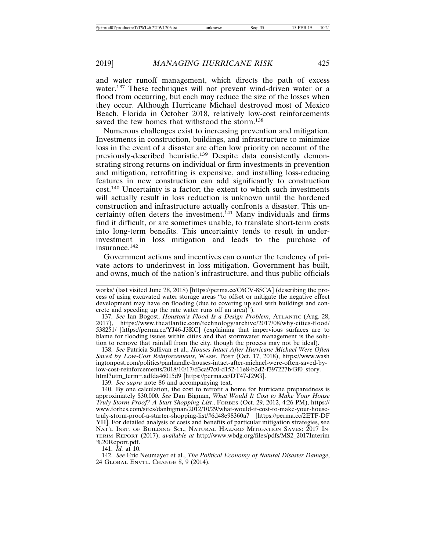and water runoff management, which directs the path of excess water.<sup>137</sup> These techniques will not prevent wind-driven water or a flood from occurring, but each may reduce the size of the losses when they occur. Although Hurricane Michael destroyed most of Mexico Beach, Florida in October 2018, relatively low-cost reinforcements saved the few homes that withstood the storm.<sup>138</sup>

Numerous challenges exist to increasing prevention and mitigation. Investments in construction, buildings, and infrastructure to minimize loss in the event of a disaster are often low priority on account of the previously-described heuristic.139 Despite data consistently demonstrating strong returns on individual or firm investments in prevention and mitigation, retrofitting is expensive, and installing loss-reducing features in new construction can add significantly to construction cost.140 Uncertainty is a factor; the extent to which such investments will actually result in loss reduction is unknown until the hardened construction and infrastructure actually confronts a disaster. This uncertainty often deters the investment.<sup>141</sup> Many individuals and firms find it difficult, or are sometimes unable, to translate short-term costs into long-term benefits. This uncertainty tends to result in underinvestment in loss mitigation and leads to the purchase of insurance.142

Government actions and incentives can counter the tendency of private actors to underinvest in loss mitigation. Government has built, and owns, much of the nation's infrastructure, and thus public officials

137. *See* Ian Bogost, *Houston's Flood Is a Design Problem*, ATLANTIC (Aug. 28, 2017), https://www.theatlantic.com/technology/archive/2017/08/why-cities-flood/ 538251/ [https://perma.cc/YJ46-J3KC] (explaining that impervious surfaces are to blame for flooding issues within cities and that stormwater management is the solution to remove that rainfall from the city, though the process may not be ideal).

138. *See* Patricia Sullivan et al., *Houses Intact After Hurricane Michael Were Often Saved by Low-Cost Reinforcements*, WASH. POST (Oct. 17, 2018), https://www.wash ingtonpost.com/politics/panhandle-houses-intact-after-michael-were-often-saved-bylow-cost-reinforcements/2018/10/17/d3ca97c0-d152-11e8-b2d2-f397227b43f0\_story. html?utm\_term=.adfda46015d9 [https://perma.cc/DT47-J29G].

139. *See supra* note 86 and accompanying text.

140. By one calculation, the cost to retrofit a home for hurricane preparedness is approximately \$30,000. *See* Dan Bigman, *What Would It Cost to Make Your House Truly Storm Proof? A Start Shopping List.*, FORBES (Oct. 29, 2012, 4:26 PM), https:// www.forbes.com/sites/danbigman/2012/10/29/what-would-it-cost-to-make-your-housetruly-storm-proof-a-starter-shopping-list/#6d48e98360a7 [https://perma.cc/2ETF-DF YH]. For detailed analysis of costs and benefits of particular mitigation strategies, see NAT'L INST. OF BUILDING SCI., NATURAL HAZARD MITIGATION SAVES: 2017 IN-TERIM REPORT (2017), *available at* http://www.wbdg.org/files/pdfs/MS2\_2017Interim %20Report.pdf.

141. *Id.* at 10.

142. *See* Eric Neumayer et al., *The Political Economy of Natural Disaster Damage*, 24 GLOBAL ENVTL. CHANGE 8, 9 (2014).

works/ (last visited June 28, 2018) [https://perma.cc/C6CV-85CA] (describing the process of using excavated water storage areas "to offset or mitigate the negative effect development may have on flooding (due to covering up soil with buildings and concrete and speeding up the rate water runs off an area)").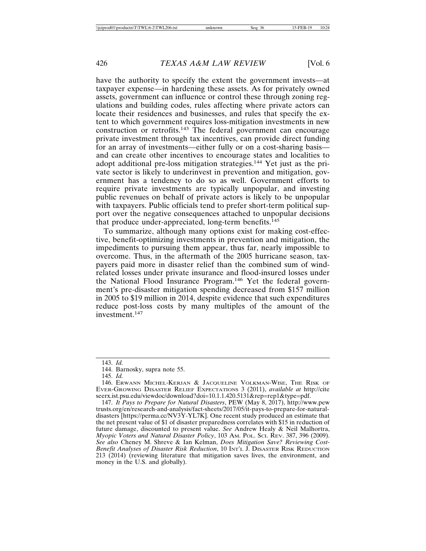have the authority to specify the extent the government invests—at taxpayer expense—in hardening these assets. As for privately owned assets, government can influence or control these through zoning regulations and building codes, rules affecting where private actors can locate their residences and businesses, and rules that specify the extent to which government requires loss-mitigation investments in new construction or retrofits.143 The federal government can encourage private investment through tax incentives, can provide direct funding for an array of investments—either fully or on a cost-sharing basis and can create other incentives to encourage states and localities to adopt additional pre-loss mitigation strategies.144 Yet just as the private sector is likely to underinvest in prevention and mitigation, government has a tendency to do so as well. Government efforts to require private investments are typically unpopular, and investing public revenues on behalf of private actors is likely to be unpopular with taxpayers. Public officials tend to prefer short-term political support over the negative consequences attached to unpopular decisions that produce under-appreciated, long-term benefits.<sup>145</sup>

To summarize, although many options exist for making cost-effective, benefit-optimizing investments in prevention and mitigation, the impediments to pursuing them appear, thus far, nearly impossible to overcome. Thus, in the aftermath of the 2005 hurricane season, taxpayers paid more in disaster relief than the combined sum of windrelated losses under private insurance and flood-insured losses under the National Flood Insurance Program.146 Yet the federal government's pre-disaster mitigation spending decreased from \$157 million in 2005 to \$19 million in 2014, despite evidence that such expenditures reduce post-loss costs by many multiples of the amount of the investment.147

<sup>143.</sup> *Id.*

<sup>144.</sup> Barnosky, supra note 55.

<sup>145.</sup> *Id.*

<sup>146.</sup> ERWANN MICHEL-KERJAN & JACQUELINE VOLKMAN-WISE, THE RISK OF EVER-GROWING DISASTER RELIEF EXPECTATIONS 3 (2011), *available at* http://cite seerx.ist.psu.edu/viewdoc/download?doi=10.1.1.420.5131&rep=rep1&type=pdf.

<sup>147.</sup> *It Pays to Prepare for Natural Disasters*, PEW (May 8, 2017), http://www.pew trusts.org/en/research-and-analysis/fact-sheets/2017/05/it-pays-to-prepare-for-naturaldisasters [https://perma.cc/NV3Y-YL7K]. One recent study produced an estimate that the net present value of \$1 of disaster preparedness correlates with \$15 in reduction of future damage, discounted to present value. *See* Andrew Healy & Neil Malhortra, *Myopic Voters and Natural Disaster Policy*, 103 AM. POL. SCI. REV. 387, 396 (2009). *See also* Cheney M. Shreve & Ian Kelman, *Does Mitigation Save? Reviewing Cost-Benefit Analyses of Disaster Risk Reduction*, 10 INT'L J. DISASTER RISK REDUCTION 213 (2014) (reviewing literature that mitigation saves lives, the environment, and money in the U.S. and globally).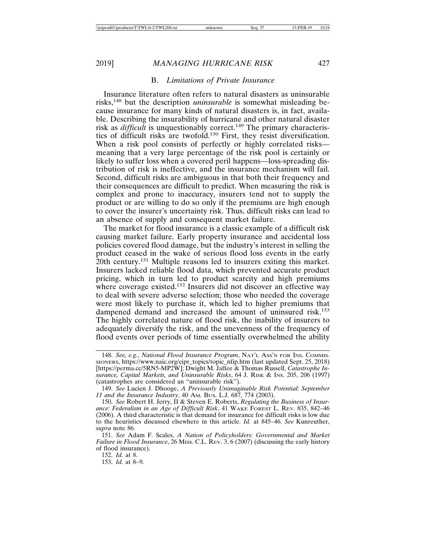#### B. *Limitations of Private Insurance*

Insurance literature often refers to natural disasters as uninsurable risks,148 but the description *uninsurable* is somewhat misleading because insurance for many kinds of natural disasters is, in fact, available. Describing the insurability of hurricane and other natural disaster risk as *difficult* is unquestionably correct.<sup>149</sup> The primary characteristics of difficult risks are twofold.150 First, they resist diversification. When a risk pool consists of perfectly or highly correlated risks meaning that a very large percentage of the risk pool is certainly or likely to suffer loss when a covered peril happens—loss-spreading distribution of risk is ineffective, and the insurance mechanism will fail. Second, difficult risks are ambiguous in that both their frequency and their consequences are difficult to predict. When measuring the risk is complex and prone to inaccuracy, insurers tend not to supply the product or are willing to do so only if the premiums are high enough to cover the insurer's uncertainty risk. Thus, difficult risks can lead to an absence of supply and consequent market failure.

The market for flood insurance is a classic example of a difficult risk causing market failure. Early property insurance and accidental loss policies covered flood damage, but the industry's interest in selling the product ceased in the wake of serious flood loss events in the early 20th century.<sup>151</sup> Multiple reasons led to insurers exiting this market. Insurers lacked reliable flood data, which prevented accurate product pricing, which in turn led to product scarcity and high premiums where coverage existed.<sup>152</sup> Insurers did not discover an effective way to deal with severe adverse selection; those who needed the coverage were most likely to purchase it, which led to higher premiums that dampened demand and increased the amount of uninsured risk.<sup>153</sup> The highly correlated nature of flood risk, the inability of insurers to adequately diversify the risk, and the unevenness of the frequency of flood events over periods of time essentially overwhelmed the ability

152. *Id.* at 8.

153. *Id.* at 8–9.

<sup>148.</sup> *See, e.g.*, *National Flood Insurance Program*, NAT'L ASS'N FOR INS. COMMIS-SIONERS, https://www.naic.org/cipr\_topics/topic\_nfip.htm (last updated Sept. 25, 2018) [https://perma.cc/5RN5-MP2W]; Dwight M. Jaffee & Thomas Russell, *Catastrophe Insurance, Capital Markets, and Uninsurable Risks*, 64 J. RISK & INS. 205, 206 (1997) (catastrophes are considered an "uninsurable risk").

<sup>149.</sup> *See* Lucien J. Dhooge, *A Previously Unimaginable Risk Potential: September 11 and the Insurance Industry*, 40 AM. BUS. L.J. 687, 774 (2003).

<sup>150.</sup> *See* Robert H. Jerry, II & Steven E. Roberts, *Regulating the Business of Insurance: Federalism in an Age of Difficult Risk*, 41 WAKE FOREST L. REV. 835, 842–46 (2006). A third characteristic is that demand for insurance for difficult risks is low due to the heuristics discussed elsewhere in this article. *Id.* at 845–46. *See* Kunreuther, *supra* note 86.

<sup>151.</sup> *See* Adam F. Scales, *A Nation of Policyholders: Governmental and Market Failure in Flood Insurance*, 26 MISS. C.L. REV. 3, 6 (2007) (discussing the early history of flood insurance).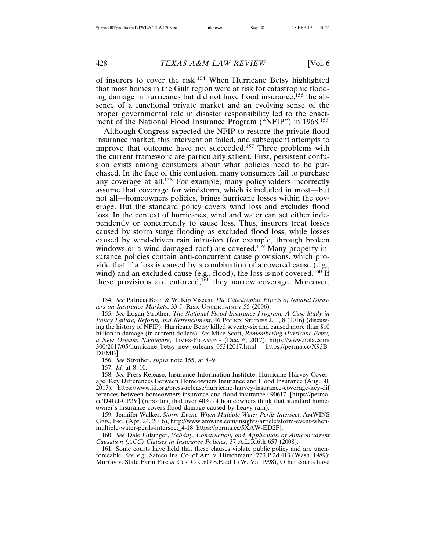of insurers to cover the risk.154 When Hurricane Betsy highlighted that most homes in the Gulf region were at risk for catastrophic flooding damage in hurricanes but did not have flood insurance,<sup>155</sup> the absence of a functional private market and an evolving sense of the proper governmental role in disaster responsibility led to the enactment of the National Flood Insurance Program ("NFIP") in 1968.<sup>156</sup>

Although Congress expected the NFIP to restore the private flood insurance market, this intervention failed, and subsequent attempts to improve that outcome have not succeeded.<sup>157</sup> Three problems with the current framework are particularly salient. First, persistent confusion exists among consumers about what policies need to be purchased. In the face of this confusion, many consumers fail to purchase any coverage at all.<sup>158</sup> For example, many policyholders incorrectly assume that coverage for windstorm, which is included in most—but not all—homeowners policies, brings hurricane losses within the coverage. But the standard policy covers wind loss and excludes flood loss. In the context of hurricanes, wind and water can act either independently or concurrently to cause loss. Thus, insurers treat losses caused by storm surge flooding as excluded flood loss, while losses caused by wind-driven rain intrusion (for example, through broken windows or a wind-damaged roof) are covered.<sup>159</sup> Many property insurance policies contain anti-concurrent cause provisions, which provide that if a loss is caused by a combination of a covered cause (e.g., wind) and an excluded cause (e.g., flood), the loss is not covered.<sup>160</sup> If these provisions are enforced,<sup>161</sup> they narrow coverage. Moreover,

157. *Id.* at 8–10.

<sup>154.</sup> *See* Patricia Born & W. Kip Viscusi, *The Catastrophic Effects of Natural Disasters on Insurance Markets*, 33 J. RISK UNCERTAINTY 55 (2006).

<sup>155.</sup> *See* Logan Strother, *The National Flood Insurance Program: A Case Study in Policy Failure, Reform, and Retrenchment*, 46 POLICY STUDIES J. 1, 8 (2016) (discussing the history of NFIP). Hurricane Betsy killed seventy-six and caused more than \$10 billion in damage (in current dollars). *See* Mike Scott, *Remembering Hurricane Betsy, a New Orleans Nightmare*, TIMES-PICAYUNE (Dec. 6, 2017), https://www.nola.com/ 300/2017/05/hurricane\_betsy\_new\_orleans\_05312017.html [https://perma.cc/X93B-DEMB].

<sup>156.</sup> *See* Strother, *supra* note 155, at 8–9.

<sup>158.</sup> *See* Press Release, Insurance Information Institute, Hurricane Harvey Coverage: Key Differences Between Homeowners Insurance and Flood Insurance (Aug. 30, 2017), https://www.iii.org/press-release/hurricane-harvey-insurance-coverage-key-dif ferences-between-homeowners-insurance-and-flood-insurance-090617 [https://perma. cc/D4GJ-CP2V] (reporting that over 40% of homeowners think that standard homeowner's insurance covers flood damage caused by heavy rain).

<sup>159.</sup> Jennifer Walker, *Storm Event: When Multiple Water Perils Intersect*, AMWINS GRP., INC. (Apr. 24, 2016), http://www.amwins.com/insights/article/storm-event-whenmultiple-water-perils-intersect\_4-18 [https://perma.cc/5XAW-ED2F].

<sup>160.</sup> *See* Dale Gilsinger, *Validity, Construction, and Application of Anticoncurrent Causation (ACC) Clauses in Insurance Policies*, 37 A.L.R.6th 657 (2008).

<sup>161.</sup> Some courts have held that these clauses violate public policy and are unenforceable. *See, e.g.*, Safeco Ins. Co. of Am. v. Hirschmann, 773 P.2d 413 (Wash. 1989); Murray v. State Farm Fire & Cas. Co. 509 S.E.2d 1 (W. Va. 1998), Other courts have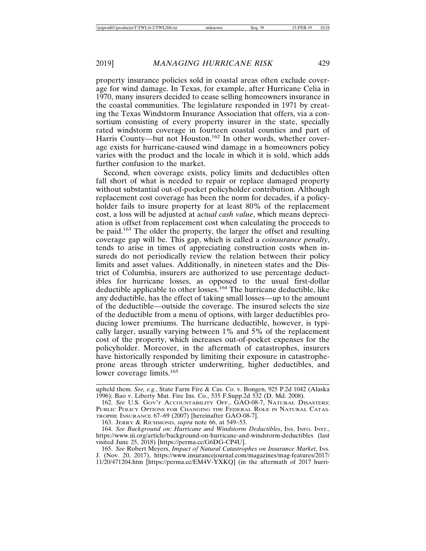property insurance policies sold in coastal areas often exclude coverage for wind damage. In Texas, for example, after Hurricane Celia in 1970, many insurers decided to cease selling homeowners insurance in the coastal communities. The legislature responded in 1971 by creating the Texas Windstorm Insurance Association that offers, via a consortium consisting of every property insurer in the state, specially rated windstorm coverage in fourteen coastal counties and part of Harris County—but not Houston.<sup>162</sup> In other words, whether coverage exists for hurricane-caused wind damage in a homeowners policy varies with the product and the locale in which it is sold, which adds further confusion to the market.

Second, when coverage exists, policy limits and deductibles often fall short of what is needed to repair or replace damaged property without substantial out-of-pocket policyholder contribution. Although replacement cost coverage has been the norm for decades, if a policyholder fails to insure property for at least 80% of the replacement cost, a loss will be adjusted at a*ctual cash value*, which means depreciation is offset from replacement cost when calculating the proceeds to be paid.163 The older the property, the larger the offset and resulting coverage gap will be. This gap, which is called a *coinsurance penalty*, tends to arise in times of appreciating construction costs when insureds do not periodically review the relation between their policy limits and asset values. Additionally, in nineteen states and the District of Columbia, insurers are authorized to use percentage deductibles for hurricane losses, as opposed to the usual first-dollar deductible applicable to other losses.<sup>164</sup> The hurricane deductible, like any deductible, has the effect of taking small losses—up to the amount of the deductible—outside the coverage. The insured selects the size of the deductible from a menu of options, with larger deductibles producing lower premiums. The hurricane deductible, however, is typically larger, usually varying between 1% and 5% of the replacement cost of the property, which increases out-of-pocket expenses for the policyholder. Moreover, in the aftermath of catastrophes, insurers have historically responded by limiting their exposure in catastropheprone areas through stricter underwriting, higher deductibles, and lower coverage limits.<sup>165</sup>

upheld them. *See, e.g.*, State Farm Fire & Cas. Co. v. Bongen, 925 P.2d 1042 (Alaska 1996); Bao v. Liberty Mut. Fire Ins. Co., 535 F.Supp.2d 532 (D. Md. 2008).

<sup>162.</sup> *See* U.S. GOV'T ACCOUNTABILITY OFF., GAO-08-7, NATURAL DISASTERS: PUBLIC POLICY OPTIONS FOR CHANGING THE FEDERAL ROLE IN NATURAL CATAS-TROPHE INSURANCE 67–69 (2007) [hereinafter GAO-08-7].

<sup>163.</sup> JERRY & RICHMOND, *supra* note 66, at 549–53.

<sup>164.</sup> *See Background on: Hurricane and Windstorm Deductibles*, INS. INFO. INST., https://www.iii.org/article/background-on-hurricane-and-windstorm-deductibles (last visited June 25, 2018) [https://perma.cc/G6DG-CP4U].

<sup>165.</sup> *See* Robert Meyers, *Impact of Natural Catastrophes on Insurance Market*, INS. J. (Nov. 20, 2017), https://www.insurancejournal.com/magazines/mag-features/2017/ 11/20/471204.htm [https://perma.cc/EM4V-YXKQ] (in the aftermath of 2017 hurri-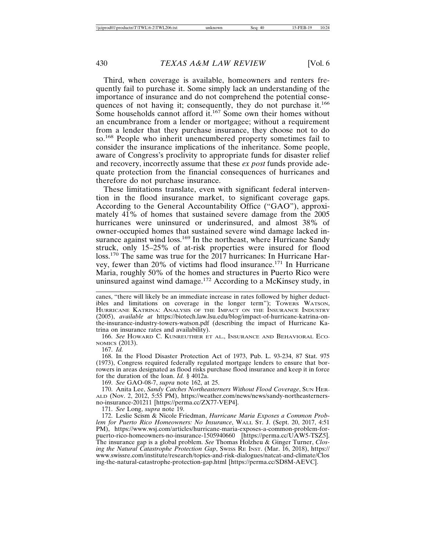Third, when coverage is available, homeowners and renters frequently fail to purchase it. Some simply lack an understanding of the importance of insurance and do not comprehend the potential consequences of not having it; consequently, they do not purchase it.<sup>166</sup> Some households cannot afford it.<sup>167</sup> Some own their homes without an encumbrance from a lender or mortgagee; without a requirement from a lender that they purchase insurance, they choose not to do so.168 People who inherit unencumbered property sometimes fail to consider the insurance implications of the inheritance. Some people, aware of Congress's proclivity to appropriate funds for disaster relief and recovery, incorrectly assume that these *ex post* funds provide adequate protection from the financial consequences of hurricanes and therefore do not purchase insurance.

These limitations translate, even with significant federal intervention in the flood insurance market, to significant coverage gaps. According to the General Accountability Office ("GAO"), approximately 41% of homes that sustained severe damage from the 2005 hurricanes were uninsured or underinsured, and almost 38% of owner-occupied homes that sustained severe wind damage lacked insurance against wind loss.<sup>169</sup> In the northeast, where Hurricane Sandy struck, only 15–25% of at-risk properties were insured for flood loss.170 The same was true for the 2017 hurricanes: In Hurricane Harvey, fewer than 20% of victims had flood insurance.171 In Hurricane Maria, roughly 50% of the homes and structures in Puerto Rico were uninsured against wind damage.<sup>172</sup> According to a McKinsey study, in

canes, "there will likely be an immediate increase in rates followed by higher deductibles and limitations on coverage in the longer term"); TOWERS WATSON, HURRICANE KATRINA: ANALYSIS OF THE IMPACT ON THE INSURANCE INDUSTRY (2005), *available at* https://biotech.law.lsu.edu/blog/impact-of-hurricane-katrina-onthe-insurance-industry-towers-watson.pdf (describing the impact of Hurricane Katrina on insurance rates and availability).

166. *See* HOWARD C. KUNREUTHER ET AL., INSURANCE AND BEHAVIORAL ECO-NOMICS (2013).

167. *Id.*

168. In the Flood Disaster Protection Act of 1973, Pub. L. 93-234, 87 Stat. 975 (1973), Congress required federally regulated mortgage lenders to ensure that borrowers in areas designated as flood risks purchase flood insurance and keep it in force for the duration of the loan. *Id.* § 4012a.

169. *See* GAO-08-7, *supra* note 162, at 25.

170. Anita Lee, *Sandy Catches Northeasterners Without Flood Coverage*, SUN HER-ALD (Nov. 2, 2012, 5:55 PM), https://weather.com/news/news/sandy-northeasternersno-insurance-201211 [https://perma.cc/ZX77-VEP4].

171. *See* Long, *supra* note 19.

172. Leslie Scism & Nicole Friedman, *Hurricane Maria Exposes a Common Problem for Puerto Rico Homeowners: No Insurance*, WALL ST. J. (Sept. 20, 2017, 4:51 PM), https://www.wsj.com/articles/hurricane-maria-exposes-a-common-problem-forpuerto-rico-homeowners-no-insurance-1505940660 [https://perma.cc/UAW5-TSZ5]. The insurance gap is a global problem. *See* Thomas Holzheu & Ginger Turner, *Closing the Natural Catastrophe Protection Gap*, Swiss RE INST. (Mar. 16, 2018), https:// www.swissre.com/institute/research/topics-and-risk-dialogues/natcat-and-climate/Clos ing-the-natural-catastrophe-protection-gap.html [https://perma.cc/SD8M-AEVC].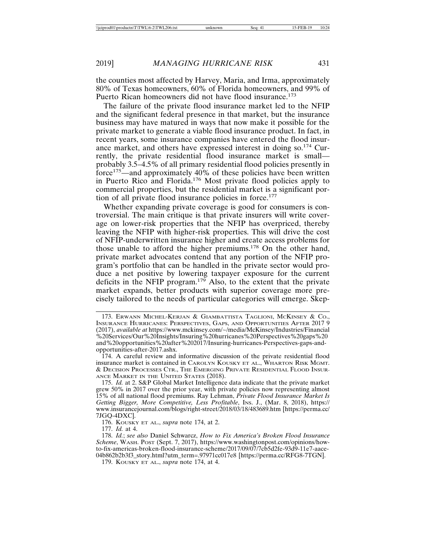the counties most affected by Harvey, Maria, and Irma, approximately 80% of Texas homeowners, 60% of Florida homeowners, and 99% of Puerto Rican homeowners did not have flood insurance.<sup>173</sup>

The failure of the private flood insurance market led to the NFIP and the significant federal presence in that market, but the insurance business may have matured in ways that now make it possible for the private market to generate a viable flood insurance product. In fact, in recent years, some insurance companies have entered the flood insurance market, and others have expressed interest in doing so.<sup>174</sup> Currently, the private residential flood insurance market is small probably 3.5–4.5% of all primary residential flood policies presently in force<sup>175</sup>—and approximately 40% of these policies have been written in Puerto Rico and Florida.176 Most private flood policies apply to commercial properties, but the residential market is a significant portion of all private flood insurance policies in force.<sup>177</sup>

Whether expanding private coverage is good for consumers is controversial. The main critique is that private insurers will write coverage on lower-risk properties that the NFIP has overpriced, thereby leaving the NFIP with higher-risk properties. This will drive the cost of NFIP-underwritten insurance higher and create access problems for those unable to afford the higher premiums.178 On the other hand, private market advocates contend that any portion of the NFIP program's portfolio that can be handled in the private sector would produce a net positive by lowering taxpayer exposure for the current deficits in the NFIP program.<sup>179</sup> Also, to the extent that the private market expands, better products with superior coverage more precisely tailored to the needs of particular categories will emerge. Skep-

176. KOUSKY ET AL., *supra* note 174, at 2.

177. *Id.* at 4.

<sup>173.</sup> ERWANN MICHEL-KERJAN & GIAMBATTISTA TAGLIONI, MCKINSEY & CO., INSURANCE HURRICANES: PERSPECTIVES, GAPS, AND OPPORTUNITIES AFTER 2017 9 (2017), *available at* https://www.mckinsey.com/~/media/McKinsey/Industries/Financial %20Services/Our%20Insights/Insuring%20hurricanes%20Perspectives%20gaps%20 and%20opportunities%20after%202017/Insuring-hurricanes-Perspectives-gaps-andopportunities-after-2017.ashx.

<sup>174.</sup> A careful review and informative discussion of the private residential flood insurance market is contained in CAROLYN KOUSKY ET AL., WHARTON RISK MGMT. & DECISION PROCESSES CTR., THE EMERGING PRIVATE RESIDENTIAL FLOOD INSUR-ANCE MARKET IN THE UNITED STATES (2018).

<sup>175.</sup> *Id.* at 2. S&P Global Market Intelligence data indicate that the private market grew 50% in 2017 over the prior year, with private policies now representing almost 15% of all national flood premiums. Ray Lehman, *Private Flood Insurance Market Is Getting Bigger, More Competitive, Less Profitable, Ins. J., (Mar. 8, 2018), https://* www.insurancejournal.com/blogs/right-street/2018/03/18/483689.htm [https://perma.cc/ 7JGQ-4DXC].

<sup>178.</sup> *Id.*; *see also* Daniel Schwarcz, *How to Fix America's Broken Flood Insurance Scheme*, WASH. POST (Sept. 7, 2017), https://www.washingtonpost.com/opinions/howto-fix-americas-broken-flood-insurance-scheme/2017/09/07/7cb5d2fe-93d9-11e7-aace-04b862b2b3f3\_story.html?utm\_term=.97971cc017e8 [https://perma.cc/RFG8-7TGN].

<sup>179.</sup> KOUSKY ET AL., *supra* note 174, at 4.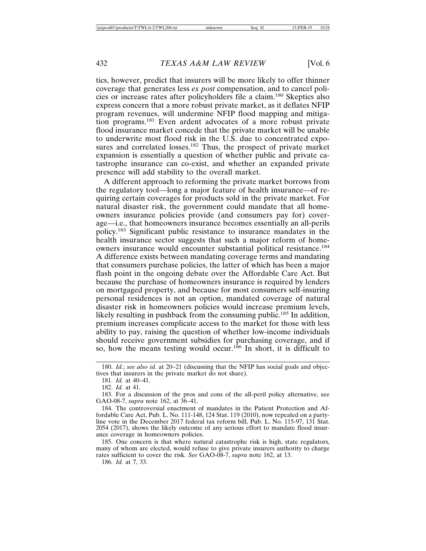tics, however, predict that insurers will be more likely to offer thinner coverage that generates less *ex post* compensation, and to cancel policies or increase rates after policyholders file a claim.180 Skeptics also express concern that a more robust private market, as it deflates NFIP program revenues, will undermine NFIP flood mapping and mitigation programs.181 Even ardent advocates of a more robust private flood insurance market concede that the private market will be unable to underwrite most flood risk in the U.S. due to concentrated exposures and correlated losses.<sup>182</sup> Thus, the prospect of private market expansion is essentially a question of whether public and private catastrophe insurance can co-exist, and whether an expanded private presence will add stability to the overall market.

A different approach to reforming the private market borrows from the regulatory tool—long a major feature of health insurance—of requiring certain coverages for products sold in the private market. For natural disaster risk, the government could mandate that all homeowners insurance policies provide (and consumers pay for) coverage—i.e., that homeowners insurance becomes essentially an all-perils policy.183 Significant public resistance to insurance mandates in the health insurance sector suggests that such a major reform of homeowners insurance would encounter substantial political resistance.<sup>184</sup> A difference exists between mandating coverage terms and mandating that consumers purchase policies, the latter of which has been a major flash point in the ongoing debate over the Affordable Care Act. But because the purchase of homeowners insurance is required by lenders on mortgaged property, and because for most consumers self-insuring personal residences is not an option, mandated coverage of natural disaster risk in homeowners policies would increase premium levels, likely resulting in pushback from the consuming public.<sup>185</sup> In addition, premium increases complicate access to the market for those with less ability to pay, raising the question of whether low-income individuals should receive government subsidies for purchasing coverage, and if so, how the means testing would occur.<sup>186</sup> In short, it is difficult to

181. *Id.* at 40–41.

182. *Id.* at 41.

183. For a discussion of the pros and cons of the all-peril policy alternative, see GAO-08-7, *supra* note 162, at 36–41.

184. The controversial enactment of mandates in the Patient Protection and Affordable Care Act, Pub. L. No. 111-148, 124 Stat. 119 (2010), now repealed on a partyline vote in the December 2017 federal tax reform bill, Pub. L. No. 115-97, 131 Stat. 2054 (2017), shows the likely outcome of any serious effort to mandate flood insurance coverage in homeowners policies.

185. One concern is that where natural catastrophe risk is high, state regulators, many of whom are elected, would refuse to give private insurers authority to charge rates sufficient to cover the risk. *See* GAO-08-7, *supra* note 162, at 13.

186. *Id.* at 7, 33.

<sup>180.</sup> *Id.*; *see also id.* at 20–21 (discussing that the NFIP has social goals and objectives that insurers in the private market do not share).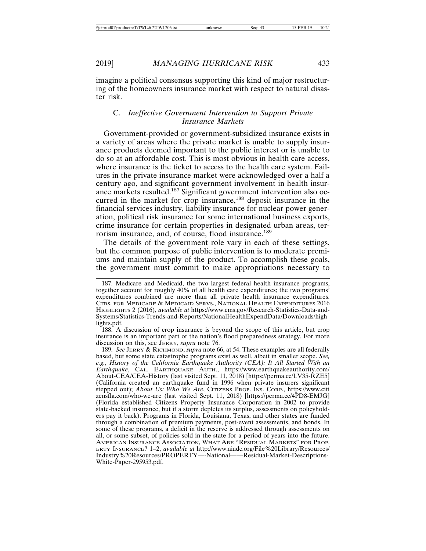imagine a political consensus supporting this kind of major restructuring of the homeowners insurance market with respect to natural disaster risk.

### C. *Ineffective Government Intervention to Support Private Insurance Markets*

Government-provided or government-subsidized insurance exists in a variety of areas where the private market is unable to supply insurance products deemed important to the public interest or is unable to do so at an affordable cost. This is most obvious in health care access, where insurance is the ticket to access to the health care system. Failures in the private insurance market were acknowledged over a half a century ago, and significant government involvement in health insurance markets resulted.187 Significant government intervention also occurred in the market for crop insurance,<sup>188</sup> deposit insurance in the financial services industry, liability insurance for nuclear power generation, political risk insurance for some international business exports, crime insurance for certain properties in designated urban areas, terrorism insurance, and, of course, flood insurance.<sup>189</sup>

The details of the government role vary in each of these settings, but the common purpose of public intervention is to moderate premiums and maintain supply of the product. To accomplish these goals, the government must commit to make appropriations necessary to

188. A discussion of crop insurance is beyond the scope of this article, but crop insurance is an important part of the nation's flood preparedness strategy. For more discussion on this, see JERRY, *supra* note 76.

189. *See* JERRY & RICHMOND, *supra* note 66, at 54. These examples are all federally based, but some state catastrophe programs exist as well, albeit in smaller scope. *See, e.g.*, *History of the California Earthquake Authority (CEA): It All Started With an Earthquake*, CAL. EARTHQUAKE AUTH., https://www.earthquakeauthority.com/ About-CEA/CEA-History (last visited Sept. 11, 2018) [https://perma.cc/LV35-RZE5] (California created an earthquake fund in 1996 when private insurers significant stepped out); *About Us: Who We Are*, CITIZENS PROP. INS. CORP., https://www.citi zensfla.com/who-we-are (last visited Sept. 11, 2018) [https://perma.cc/4PD8-EMJG] (Florida established Citizens Property Insurance Corporation in 2002 to provide state-backed insurance, but if a storm depletes its surplus, assessments on policyholders pay it back). Programs in Florida, Louisiana, Texas, and other states are funded through a combination of premium payments, post-event assessments, and bonds. In some of these programs, a deficit in the reserve is addressed through assessments on all, or some subset, of policies sold in the state for a period of years into the future. AMERICAN INSURANCE ASSOCIATION, WHAT ARE "RESIDUAL MARKETS" FOR PROP-ERTY INSURANCE? 1–2, *available at* http://www.aiadc.org/File%20Library/Resources/ Industry%20Resources/PROPERTY—-National——Residual-Market-Descriptions-White-Paper-295953.pdf.

<sup>187.</sup> Medicare and Medicaid, the two largest federal health insurance programs, together account for roughly 40% of all health care expenditures; the two programs' expenditures combined are more than all private health insurance expenditures. CTRS. FOR MEDICARE & MEDICAID SERVS., NATIONAL HEALTH EXPENDITURES 2016 HIGHLIGHTS 2 (2016), *available at* https://www.cms.gov/Research-Statistics-Data-and-Systems/Statistics-Trends-and-Reports/NationalHealthExpendData/Downloads/high lights.pdf.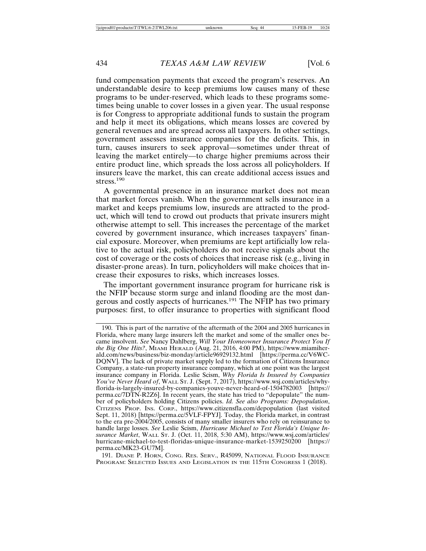fund compensation payments that exceed the program's reserves. An understandable desire to keep premiums low causes many of these programs to be under-reserved, which leads to these programs sometimes being unable to cover losses in a given year. The usual response is for Congress to appropriate additional funds to sustain the program and help it meet its obligations, which means losses are covered by general revenues and are spread across all taxpayers. In other settings, government assesses insurance companies for the deficits. This, in turn, causes insurers to seek approval—sometimes under threat of leaving the market entirely—to charge higher premiums across their entire product line, which spreads the loss across all policyholders. If insurers leave the market, this can create additional access issues and stress.<sup>190</sup>

A governmental presence in an insurance market does not mean that market forces vanish. When the government sells insurance in a market and keeps premiums low, insureds are attracted to the product, which will tend to crowd out products that private insurers might otherwise attempt to sell. This increases the percentage of the market covered by government insurance, which increases taxpayers' financial exposure. Moreover, when premiums are kept artificially low relative to the actual risk, policyholders do not receive signals about the cost of coverage or the costs of choices that increase risk (e.g., living in disaster-prone areas). In turn, policyholders will make choices that increase their exposures to risks, which increases losses.

The important government insurance program for hurricane risk is the NFIP because storm surge and inland flooding are the most dangerous and costly aspects of hurricanes.191 The NFIP has two primary purposes: first, to offer insurance to properties with significant flood

191. DIANE P. HORN, CONG. RES. SERV., R45099, NATIONAL FLOOD INSURANCE PROGRAM: SELECTED ISSUES AND LEGISLATION IN THE 115TH CONGRESS 1 (2018).

<sup>190.</sup> This is part of the narrative of the aftermath of the 2004 and 2005 hurricanes in Florida, where many large insurers left the market and some of the smaller ones became insolvent. *See* Nancy Dahlberg, *Will Your Homeowner Insurance Protect You If the Big One Hits?*, MIAMI HERALD (Aug. 21, 2016, 4:00 PM), https://www.miamiherald.com/news/business/biz-monday/article96929132.html [https://perma.cc/V6WC-DQNV]. The lack of private market supply led to the formation of Citizens Insurance Company, a state-run property insurance company, which at one point was the largest insurance company in Florida. Leslie Scism, *Why Florida Is Insured by Companies You've Never Heard of*, WALL ST. J. (Sept. 7, 2017), https://www.wsj.com/articles/whyflorida-is-largely-insured-by-companies-youve-never-heard-of-1504782003 [https:// perma.cc/7DTN-R2Z6]. In recent years, the state has tried to "depopulate" the number of policyholders holding Citizens policies. *Id. See also Programs: Depopulation*, CITIZENS PROP. INS. CORP., https://www.citizensfla.com/depopulation (last visited Sept. 11, 2018) [https://perma.cc/5VLF-FPYJ]. Today, the Florida market, in contrast to the era pre-2004/2005, consists of many smaller insurers who rely on reinsurance to handle large losses. *See* Leslie Scism, *Hurricane Michael to Test Florida's Unique Insurance Market*, WALL ST. J. (Oct. 11, 2018, 5:30 AM), https://www.wsj.com/articles/ hurricane-michael-to-test-floridas-unique-insurance-market-1539250200 [https:// perma.cc/MK23-GU7M].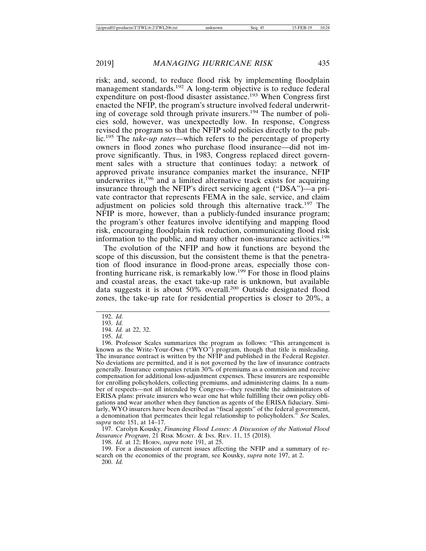risk; and, second, to reduce flood risk by implementing floodplain management standards.<sup>192</sup> A long-term objective is to reduce federal expenditure on post-flood disaster assistance.193 When Congress first enacted the NFIP, the program's structure involved federal underwriting of coverage sold through private insurers.194 The number of policies sold, however, was unexpectedly low. In response, Congress revised the program so that the NFIP sold policies directly to the public.195 The *take-up rates*—which refers to the percentage of property owners in flood zones who purchase flood insurance—did not improve significantly. Thus, in 1983, Congress replaced direct government sales with a structure that continues today: a network of approved private insurance companies market the insurance, NFIP underwrites it,<sup>196</sup> and a limited alternative track exists for acquiring insurance through the NFIP's direct servicing agent ("DSA")—a private contractor that represents FEMA in the sale, service, and claim adjustment on policies sold through this alternative track.197 The NFIP is more, however, than a publicly-funded insurance program; the program's other features involve identifying and mapping flood risk, encouraging floodplain risk reduction, communicating flood risk information to the public, and many other non-insurance activities.<sup>198</sup>

The evolution of the NFIP and how it functions are beyond the scope of this discussion, but the consistent theme is that the penetration of flood insurance in flood-prone areas, especially those confronting hurricane risk, is remarkably low.199 For those in flood plains and coastal areas, the exact take-up rate is unknown, but available data suggests it is about 50% overall.200 Outside designated flood zones, the take-up rate for residential properties is closer to 20%, a

197. Carolyn Kousky, *Financing Flood Losses: A Discussion of the National Flood Insurance Program*, 21 RISK MGMT. & INS. REV. 11, 15 (2018).

198. *Id.* at 12; HORN, *supra* note 191, at 25.

199. For a discussion of current issues affecting the NFIP and a summary of research on the economics of the program, see Kousky, *supra* note 197, at 2.

200. *Id.*

<sup>192.</sup> *Id.*

<sup>193.</sup> *Id.*

<sup>194.</sup> *Id.* at 22, 32.

<sup>195.</sup> *Id.*

<sup>196.</sup> Professor Scales summarizes the program as follows: "This arrangement is known as the Write-Your-Own ("WYO") program, though that title is misleading. The insurance contract is written by the NFIP and published in the Federal Register. No deviations are permitted, and it is not governed by the law of insurance contracts generally. Insurance companies retain 30% of premiums as a commission and receive compensation for additional loss-adjustment expenses. These insurers are responsible for enrolling policyholders, collecting premiums, and administering claims. In a number of respects—not all intended by Congress—they resemble the administrators of ERISA plans: private insurers who wear one hat while fulfilling their own policy obligations and wear another when they function as agents of the ERISA fiduciary. Similarly, WYO insurers have been described as "fiscal agents" of the federal government, a denomination that permeates their legal relationship to policyholders." *See* Scales, *supra* note 151, at 14–17.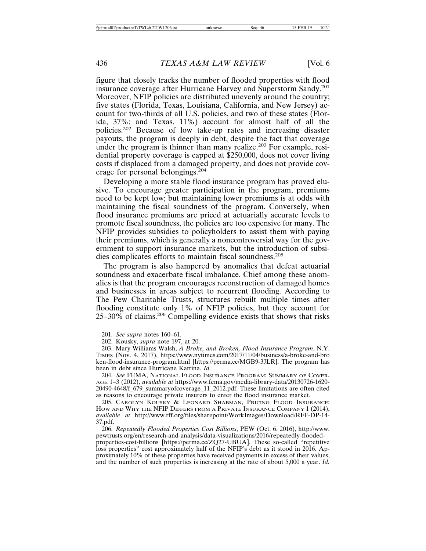figure that closely tracks the number of flooded properties with flood insurance coverage after Hurricane Harvey and Superstorm Sandy.<sup>201</sup> Moreover, NFIP policies are distributed unevenly around the country; five states (Florida, Texas, Louisiana, California, and New Jersey) account for two-thirds of all U.S. policies, and two of these states (Florida, 37%; and Texas, 11%) account for almost half of all the policies.202 Because of low take-up rates and increasing disaster payouts, the program is deeply in debt, despite the fact that coverage under the program is thinner than many realize.<sup>203</sup> For example, residential property coverage is capped at \$250,000, does not cover living costs if displaced from a damaged property, and does not provide coverage for personal belongings.<sup>204</sup>

Developing a more stable flood insurance program has proved elusive. To encourage greater participation in the program, premiums need to be kept low; but maintaining lower premiums is at odds with maintaining the fiscal soundness of the program. Conversely, when flood insurance premiums are priced at actuarially accurate levels to promote fiscal soundness, the policies are too expensive for many. The NFIP provides subsidies to policyholders to assist them with paying their premiums, which is generally a noncontroversial way for the government to support insurance markets, but the introduction of subsidies complicates efforts to maintain fiscal soundness.<sup>205</sup>

The program is also hampered by anomalies that defeat actuarial soundness and exacerbate fiscal imbalance. Chief among these anomalies is that the program encourages reconstruction of damaged homes and businesses in areas subject to recurrent flooding. According to The Pew Charitable Trusts, structures rebuilt multiple times after flooding constitute only 1% of NFIP policies, but they account for  $25-30\%$  of claims.<sup>206</sup> Compelling evidence exists that shows that risks

205. CAROLYN KOUSKY & LEONARD SHABMAN, PRICING FLOOD INSURANCE: HOW AND WHY THE NFIP DIFFERS FROM A PRIVATE INSURANCE COMPANY 1 (2014), *available at* http://www.rff.org/files/sharepoint/WorkImages/Download/RFF-DP-14- 37.pdf.

206. *Repeatedly Flooded Properties Cost Billions*, PEW (Oct. 6, 2016), http://www. pewtrusts.org/en/research-and-analysis/data-visualizations/2016/repeatedly-floodedproperties-cost-billions [https://perma.cc/ZQ27-UBUA]. These so-called "repetitive loss properties" cost approximately half of the NFIP's debt as it stood in 2016. Approximately 10% of these properties have received payments in excess of their values, and the number of such properties is increasing at the rate of about 5,000 a year. *Id.*

<sup>201.</sup> *See supra* notes 160–61.

<sup>202.</sup> Kousky, *supra* note 197, at 20.

<sup>203.</sup> Mary Williams Walsh, *A Broke, and Broken, Flood Insurance Program*, N.Y. TIMES (Nov. 4, 2017), https://www.nytimes.com/2017/11/04/business/a-broke-and-bro ken-flood-insurance-program.html [https://perma.cc/MGB9-3JLR]. The program has been in debt since Hurricane Katrina. *Id.*

<sup>204.</sup> *See* FEMA, NATIONAL FLOOD INSURANCE PROGRAM: SUMMARY OF COVER-AGE 1–3 (2012), *available at* https://www.fema.gov/media-library-data/20130726-1620- 20490-4648/f\_679\_summaryofcoverage\_11\_2012.pdf. These limitations are often cited as reasons to encourage private insurers to enter the flood insurance market.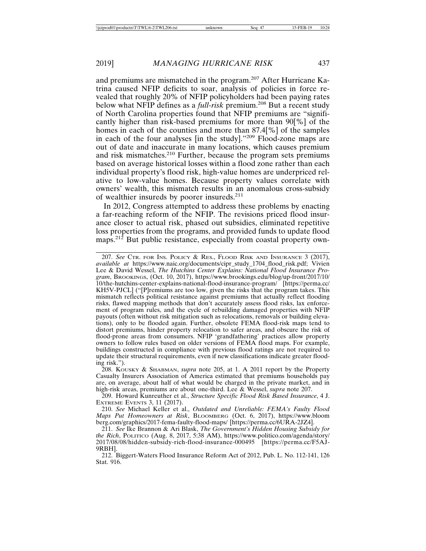and premiums are mismatched in the program.207 After Hurricane Katrina caused NFIP deficits to soar, analysis of policies in force revealed that roughly 20% of NFIP policyholders had been paying rates below what NFIP defines as a *full-risk* premium.208 But a recent study of North Carolina properties found that NFIP premiums are "significantly higher than risk-based premiums for more than 90[%] of the homes in each of the counties and more than 87.4[%] of the samples in each of the four analyses [in the study]."209 Flood-zone maps are out of date and inaccurate in many locations, which causes premium and risk mismatches.210 Further, because the program sets premiums based on average historical losses within a flood zone rather than each individual property's flood risk, high-value homes are underpriced relative to low-value homes. Because property values correlate with owners' wealth, this mismatch results in an anomalous cross-subsidy of wealthier insureds by poorer insureds.<sup>211</sup>

In 2012, Congress attempted to address these problems by enacting a far-reaching reform of the NFIP. The revisions priced flood insurance closer to actual risk, phased out subsidies, eliminated repetitive loss properties from the programs, and provided funds to update flood maps.<sup>212</sup> But public resistance, especially from coastal property own-

207. *See* CTR. FOR INS. POLICY & RES., FLOOD RISK AND INSURANCE 3 (2017), *available at* https://www.naic.org/documents/cipr\_study\_1704\_flood\_risk.pdf; Vivien Lee & David Wessel, *The Hutchins Center Explains: National Flood Insurance Program*, BROOKINGS, (Oct. 10, 2017), https://www.brookings.edu/blog/up-front/2017/10/ 10/the-hutchins-center-explains-national-flood-insurance-program/ [https://perma.cc/ KH5V-PJCL] ("[P]remiums are too low, given the risks that the program takes. This mismatch reflects political resistance against premiums that actually reflect flooding risks, flawed mapping methods that don't accurately assess flood risks, lax enforcement of program rules, and the cycle of rebuilding damaged properties with NFIP payouts (often without risk mitigation such as relocations, removals or building elevations), only to be flooded again. Further, obsolete FEMA flood-risk maps tend to distort premiums, hinder property relocation to safer areas, and obscure the risk of flood-prone areas from consumers. NFIP 'grandfathering' practices allow property owners to follow rules based on older versions of FEMA flood maps. For example, buildings constructed in compliance with previous flood ratings are not required to update their structural requirements, even if new classifications indicate greater flooding risk.").

208. KOUSKY & SHABMAN, *supra* note 205, at 1. A 2011 report by the Property Casualty Insurers Association of America estimated that premiums households pay are, on average, about half of what would be charged in the private market, and in high-risk areas, premiums are about one-third. Lee & Wessel, *supra* note 207.

209. Howard Kunreuther et al., *Structure Specific Flood Risk Based Insurance*, 4 J. EXTREME EVENTS 3, 11 (2017).

210. *See* Michael Keller et al., *Outdated and Unreliable: FEMA's Faulty Flood Maps Put Homeowners at Risk*, BLOOMBERG (Oct. 6, 2017), https://www.bloom berg.com/graphics/2017-fema-faulty-flood-maps/ [https://perma.cc/6URA-2JZ4].

212. Biggert-Waters Flood Insurance Reform Act of 2012, Pub. L. No. 112-141, 126 Stat. 916.

<sup>211.</sup> *See* Ike Brannon & Ari Blask, *The Government's Hidden Housing Subsidy for the Rich*, POLITICO (Aug. 8, 2017, 5:38 AM), https://www.politico.com/agenda/story/ 2017/08/08/hidden-subsidy-rich-flood-insurance-000495 [https://perma.cc/F5AJ-9RBH].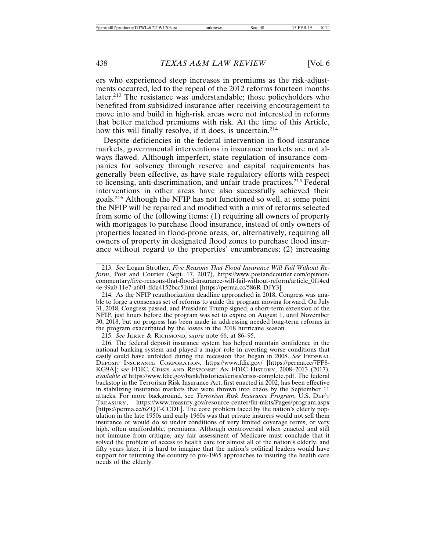ers who experienced steep increases in premiums as the risk-adjustments occurred, led to the repeal of the 2012 reforms fourteen months later.<sup>213</sup> The resistance was understandable; those policyholders who benefited from subsidized insurance after receiving encouragement to move into and build in high-risk areas were not interested in reforms that better matched premiums with risk. At the time of this Article, how this will finally resolve, if it does, is uncertain.<sup>214</sup>

Despite deficiencies in the federal intervention in flood insurance markets, governmental interventions in insurance markets are not always flawed. Although imperfect, state regulation of insurance companies for solvency through reserve and capital requirements has generally been effective, as have state regulatory efforts with respect to licensing, anti-discrimination, and unfair trade practices.215 Federal interventions in other areas have also successfully achieved their goals.216 Although the NFIP has not functioned so well, at some point the NFIP will be repaired and modified with a mix of reforms selected from some of the following items: (1) requiring all owners of property with mortgages to purchase flood insurance, instead of only owners of properties located in flood-prone areas, or, alternatively, requiring all owners of property in designated flood zones to purchase flood insurance without regard to the properties' encumbrances; (2) increasing

214. As the NFIP reauthorization deadline approached in 2018, Congress was unable to forge a consensus set of reforms to guide the program moving forward. On July 31, 2018, Congress passed, and President Trump signed, a short-term extension of the NFIP, just hours before the program was set to expire on August 1, until November 30, 2018, but no progress has been made in addressing needed long-term reforms in the program exacerbated by the losses in the 2018 hurricane season.

215. *See* JERRY & RICHMOND, *supra* note 66, at 86–95.

216. The federal deposit insurance system has helped maintain confidence in the national banking system and played a major role in averting worse conditions that easily could have unfolded during the recession that began in 2008. See FEDERAL DEPOSIT INSURANCE CORPORATION, https://www.fdic.gov/ [https://perma.cc/7FF8- KG9A]; *see* FDIC, CRISIS AND RESPONSE: AN FDIC HISTORY, 2008–2013 (2017), *available at* https://www.fdic.gov/bank/historical/crisis/crisis-complete.pdf. The federal backstop in the Terrorism Risk Insurance Act, first enacted in 2002, has been effective in stabilizing insurance markets that were thrown into chaos by the September 11 attacks. For more background, see *Terrorism Risk Insurance Program*, U.S. DEP'T TREASURY, https://www.treasury.gov/resource-center/fin-mkts/Pages/program.aspx [https://perma.cc/6ZQT-CCDL]. The core problem faced by the nation's elderly population in the late 1950s and early 1960s was that private insurers would not sell them insurance or would do so under conditions of very limited coverage terms, or very high, often unaffordable, premiums. Although controversial when enacted and still not immune from critique, any fair assessment of Medicare must conclude that it solved the problem of access to health care for almost all of the nation's elderly, and fifty years later, it is hard to imagine that the nation's political leaders would have support for returning the country to pre-1965 approaches to insuring the health care needs of the elderly.

<sup>213.</sup> *See* Logan Strother, *Five Reasons That Flood Insurance Will Fail Without Reform*, Post and Courier (Sept. 17, 2017), https://www.postandcourier.com/opinion/ commentary/five-reasons-that-flood-insurance-will-fail-without-reform/article\_0f14ed 4e-99a0-11e7-a601-ffda4152bcc5.html [https://perma.cc/586R-DJY3].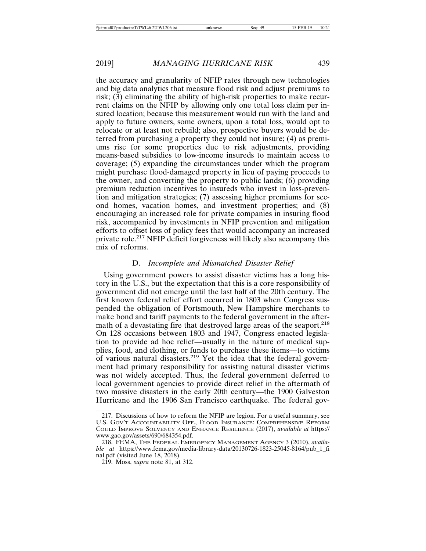the accuracy and granularity of NFIP rates through new technologies and big data analytics that measure flood risk and adjust premiums to risk; (3) eliminating the ability of high-risk properties to make recurrent claims on the NFIP by allowing only one total loss claim per insured location; because this measurement would run with the land and apply to future owners, some owners, upon a total loss, would opt to relocate or at least not rebuild; also, prospective buyers would be deterred from purchasing a property they could not insure; (4) as premiums rise for some properties due to risk adjustments, providing means-based subsidies to low-income insureds to maintain access to coverage; (5) expanding the circumstances under which the program might purchase flood-damaged property in lieu of paying proceeds to the owner, and converting the property to public lands; (6) providing premium reduction incentives to insureds who invest in loss-prevention and mitigation strategies; (7) assessing higher premiums for second homes, vacation homes, and investment properties; and (8) encouraging an increased role for private companies in insuring flood risk, accompanied by investments in NFIP prevention and mitigation efforts to offset loss of policy fees that would accompany an increased private role.217 NFIP deficit forgiveness will likely also accompany this mix of reforms.

#### D. *Incomplete and Mismatched Disaster Relief*

Using government powers to assist disaster victims has a long history in the U.S., but the expectation that this is a core responsibility of government did not emerge until the last half of the 20th century. The first known federal relief effort occurred in 1803 when Congress suspended the obligation of Portsmouth, New Hampshire merchants to make bond and tariff payments to the federal government in the aftermath of a devastating fire that destroyed large areas of the seaport.<sup>218</sup> On 128 occasions between 1803 and 1947, Congress enacted legislation to provide ad hoc relief—usually in the nature of medical supplies, food, and clothing, or funds to purchase these items—to victims of various natural disasters.219 Yet the idea that the federal government had primary responsibility for assisting natural disaster victims was not widely accepted. Thus, the federal government deferred to local government agencies to provide direct relief in the aftermath of two massive disasters in the early 20th century—the 1900 Galveston Hurricane and the 1906 San Francisco earthquake. The federal gov-

<sup>217.</sup> Discussions of how to reform the NFIP are legion. For a useful summary, see U.S. GOV'T ACCOUNTABILITY OFF., FLOOD INSURANCE: COMPREHENSIVE REFORM COULD IMPROVE SOLVENCY AND ENHANCE RESILIENCE (2017), *available at* https:// www.gao.gov/assets/690/684354.pdf.

<sup>218.</sup> FEMA, THE FEDERAL EMERGENCY MANAGEMENT AGENCY 3 (2010), *available at* https://www.fema.gov/media-library-data/20130726-1823-25045-8164/pub\_1\_fi nal.pdf (visited June 18, 2018).

<sup>219.</sup> Moss, *supra* note 81, at 312.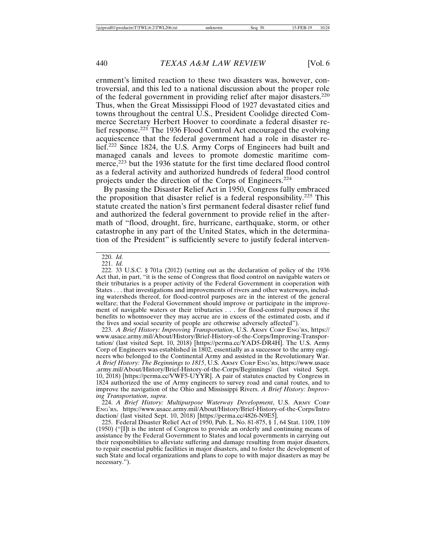ernment's limited reaction to these two disasters was, however, controversial, and this led to a national discussion about the proper role of the federal government in providing relief after major disasters.<sup>220</sup> Thus, when the Great Mississippi Flood of 1927 devastated cities and towns throughout the central U.S., President Coolidge directed Commerce Secretary Herbert Hoover to coordinate a federal disaster relief response.<sup>221</sup> The 1936 Flood Control Act encouraged the evolving acquiescence that the federal government had a role in disaster relief.222 Since 1824, the U.S. Army Corps of Engineers had built and managed canals and levees to promote domestic maritime commerce,<sup>223</sup> but the 1936 statute for the first time declared flood control as a federal activity and authorized hundreds of federal flood control projects under the direction of the Corps of Engineers.<sup>224</sup>

By passing the Disaster Relief Act in 1950, Congress fully embraced the proposition that disaster relief is a federal responsibility.<sup>225</sup> This statute created the nation's first permanent federal disaster relief fund and authorized the federal government to provide relief in the aftermath of "flood, drought, fire, hurricane, earthquake, storm, or other catastrophe in any part of the United States, which in the determination of the President" is sufficiently severe to justify federal interven-

222. 33 U.S.C. § 701a (2012) (setting out as the declaration of policy of the 1936 Act that, in part, "it is the sense of Congress that flood control on navigable waters or their tributaries is a proper activity of the Federal Government in cooperation with States . . . that investigations and improvements of rivers and other waterways, including watersheds thereof, for flood-control purposes are in the interest of the general welfare; that the Federal Government should improve or participate in the improvement of navigable waters or their tributaries . . . for flood-control purposes if the benefits to whomsoever they may accrue are in excess of the estimated costs, and if the lives and social security of people are otherwise adversely affected").

223. *A Brief History: Improving Transportation*, U.S. ARMY CORP ENG'RS, https:// www.usace.army.mil/About/History/Brief-History-of-the-Corps/Improving-Transportation/ (last visited Sept. 10, 2018) [https://perma.cc/YAD5-DR4H]. The U.S. Army Corp of Engineers was established in 1802, essentially as a successor to the army engineers who belonged to the Continental Army and assisted in the Revolutionary War. *A Brief History: The Beginnings to 1815*, U.S. ARMY CORP ENG'RS, https://www.usace .army.mil/About/History/Brief-History-of-the-Corps/Beginnings/ (last visited Sept. 10, 2018) [https://perma.cc/VWF5-UYYR]. A pair of statutes enacted by Congress in 1824 authorized the use of Army engineers to survey road and canal routes, and to improve the navigation of the Ohio and Mississippi Rivers. *A Brief History: Improving Transportation*, *supra*.

224. *A Brief History: Multipurpose Waterway Development*, U.S. ARMY CORP ENG'RS, https://www.usace.army.mil/About/History/Brief-History-of-the-Corps/Intro duction/ (last visited Sept. 10, 2018) [https://perma.cc/4826-N9E5].

225. Federal Disaster Relief Act of 1950, Pub. L. No. 81-875, § 1, 64 Stat. 1109, 1109 (1950) ("[I]t is the intent of Congress to provide an orderly and continuing means of assistance by the Federal Government to States and local governments in carrying out their responsibilities to alleviate suffering and damage resulting from major disasters, to repair essential public facilities in major disasters, and to foster the development of such State and local organizations and plans to cope to with major disasters as may be necessary.").

<sup>220.</sup> *Id.*

<sup>221.</sup> *Id.*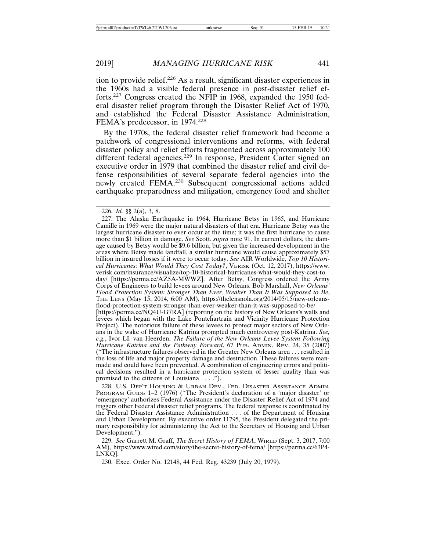tion to provide relief.226 As a result, significant disaster experiences in the 1960s had a visible federal presence in post-disaster relief efforts.227 Congress created the NFIP in 1968, expanded the 1950 federal disaster relief program through the Disaster Relief Act of 1970, and established the Federal Disaster Assistance Administration, FEMA's predecessor, in 1974.<sup>228</sup>

By the 1970s, the federal disaster relief framework had become a patchwork of congressional interventions and reforms, with federal disaster policy and relief efforts fragmented across approximately 100 different federal agencies.<sup>229</sup> In response, President Carter signed an executive order in 1979 that combined the disaster relief and civil defense responsibilities of several separate federal agencies into the newly created FEMA.230 Subsequent congressional actions added earthquake preparedness and mitigation, emergency food and shelter

228. U.S. DEP'T HOUSING & URBAN DEV., FED. DISASTER ASSISTANCE ADMIN. PROGRAM GUIDE 1–2 (1976) ("The President's declaration of a 'major disaster' or 'emergency' authorizes Federal Assistance under the Disaster Relief Act of 1974 and triggers other Federal disaster relief programs. The federal response is coordinated by the Federal Disaster Assistance Administration . . . of the Department of Housing and Urban Development. By executive order 11795, the President delegated the primary responsibility for administering the Act to the Secretary of Housing and Urban Development.").

229. *See* Garrett M. Graff, *The Secret History of FEMA*, WIRED (Sept. 3, 2017, 7:00 AM), https://www.wired.com/story/the-secret-history-of-fema/ [https://perma.cc/63P4- LNKQ].

230. Exec. Order No. 12148, 44 Fed. Reg. 43239 (July 20, 1979).

<sup>226.</sup> *Id.* §§ 2(a), 3, 8.

<sup>227.</sup> The Alaska Earthquake in 1964, Hurricane Betsy in 1965, and Hurricane Camille in 1969 were the major natural disasters of that era. Hurricane Betsy was the largest hurricane disaster to ever occur at the time; it was the first hurricane to cause more than \$1 billion in damage. *See* Scott, *supra* note 91. In current dollars, the damage caused by Betsy would be \$9.6 billion, but given the increased development in the areas where Betsy made landfall, a similar hurricane would cause approximately \$57 billion in insured losses if it were to occur today. *See* AIR Worldwide, *Top 10 Historical Hurricanes*: *What Would They Cost Today?*, VERISK (Oct. 12, 2017), https://www. verisk.com/insurance/visualize/top-10-historical-hurricanes-what-would-they-cost-to day/ [https://perma.cc/AZ5A-MWWZ]. After Betsy, Congress ordered the Army Corps of Engineers to build levees around New Orleans. Bob Marshall, *New Orleans' Flood Protection System: Stronger Than Ever, Weaker Than It Was Supposed to Be*, THE LENS (May 15, 2014, 6:00 AM), https://thelensnola.org/2014/05/15/new-orleansflood-protection-system-stronger-than-ever-weaker-than-it-was-supposed-to-be/ [https://perma.cc/NQ4U-G7RA] (reporting on the history of New Orleans's walls and levees which began with the Lake Pontchartrain and Vicinity Hurricane Protection Project). The notorious failure of these levees to protect major sectors of New Orleans in the wake of Hurricane Katrina prompted much controversy post-Katrina. *See, e.g.*, Ivor LI. van Heerden, *The Failure of the New Orleans Levee System Following Hurricane Katrina and the Pathway Forward*, 67 PUB. ADMIN. REV. 24, 35 (2007) ("The infrastructure failures observed in the Greater New Orleans area . . . resulted in the loss of life and major property damage and destruction. These failures were manmade and could have been prevented. A combination of engineering errors and political decisions resulted in a hurricane protection system of lesser quality than was promised to the citizens of Louisiana . . . .").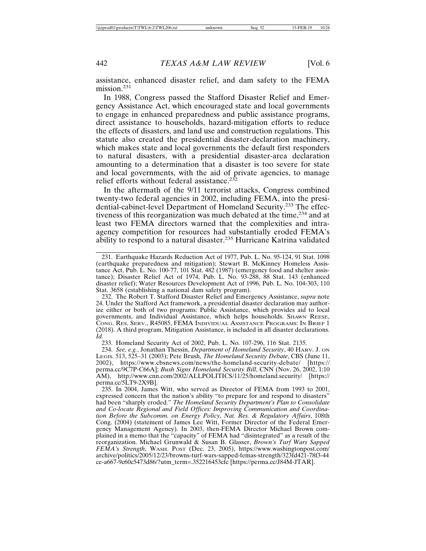assistance, enhanced disaster relief, and dam safety to the FEMA mission.<sup>231</sup>

In 1988, Congress passed the Stafford Disaster Relief and Emergency Assistance Act, which encouraged state and local governments to engage in enhanced preparedness and public assistance programs, direct assistance to households, hazard-mitigation efforts to reduce the effects of disasters, and land use and construction regulations. This statute also created the presidential disaster-declaration machinery, which makes state and local governments the default first responders to natural disasters, with a presidential disaster-area declaration amounting to a determination that a disaster is too severe for state and local governments, with the aid of private agencies, to manage relief efforts without federal assistance.<sup>232</sup>

In the aftermath of the 9/11 terrorist attacks, Congress combined twenty-two federal agencies in 2002, including FEMA, into the presidential-cabinet-level Department of Homeland Security.233 The effectiveness of this reorganization was much debated at the time,<sup>234</sup> and at least two FEMA directors warned that the complexities and intraagency competition for resources had substantially eroded FEMA's ability to respond to a natural disaster.235 Hurricane Katrina validated

232. The Robert T. Stafford Disaster Relief and Emergency Assistance, *supra* note 24. Under the Stafford Act framework, a presidential disaster declaration may authorize either or both of two programs: Public Assistance, which provides aid to local governments, and Individual Assistance, which helps households. SHAWN REESE, CONG. RES. SERV., R45085, FEMA INDIVIDUAL ASSISTANCE PROGRAMS: IN BRIEF 1 (2018). A third program, Mitigation Assistance, is included in all disaster declarations. *Id.*

233. Homeland Security Act of 2002, Pub. L. No. 107-296, 116 Stat. 2135.

234. *See, e.g.*, Jonathan Thessin, *Department of Homeland Security*, 40 HARV. J. ON LEGIS. 513, 525–31 (2003); Pete Brush, *The Homeland Security Debate*, CBS (June 11, 2002), https://www.cbsnews.com/news/the-homeland-security-debate/ [https:// perma.cc/9C7P-C66A]; *Bush Signs Homeland Security Bill*, CNN (Nov. 26, 2002, 1:10 AM), http://www.cnn.com/2002/ALLPOLITICS/11/25/homeland.security/ [https:// perma.cc/5LT9-2X9B].

235. In 2004, James Witt, who served as Director of FEMA from 1993 to 2001, expressed concern that the nation's ability "to prepare for and respond to disasters" had been "sharply eroded." *The Homeland Security Department's Plan to Consolidate and Co-locate Regional and Field Offices: Improving Communication and Coordination Before the Subcomm. on Energy Policy, Nat. Res. & Regulatory Affairs*, 108th Cong. (2004) (statement of James Lee Witt, Former Director of the Federal Emergency Management Agency). In 2003, then-FEMA Director Michael Brown complained in a memo that the "capacity" of FEMA had "disintegrated" as a result of the reorganization. Michael Grunwald & Susan B. Glasser, *Brown's Turf Wars Sapped FEMA's Strength*, WASH. POST (Dec. 23, 2005), https://www.washingtonpost.com/ archive/politics/2005/12/23/browns-turf-wars-sapped-femas-strength/323fd421-78f3-44 ce-a667-9c60c5473d86/?utm\_term=.352216453cfc [https://perma.cc/J84M-JTAR].

<sup>231.</sup> Earthquake Hazards Reduction Act of 1977, Pub. L. No. 95-124, 91 Stat. 1098 (earthquake preparedness and mitigation); Stewart B. McKinney Homeless Assistance Act, Pub. L. No. 100-77, 101 Stat. 482 (1987) (emergency food and shelter assistance); Disaster Relief Act of 1974, Pub. L. No. 93-288, 88 Stat. 143 (enhanced disaster relief); Water Resources Development Act of 1996, Pub. L. No. 104-303, 110 Stat. 3658 (establishing a national dam safety program).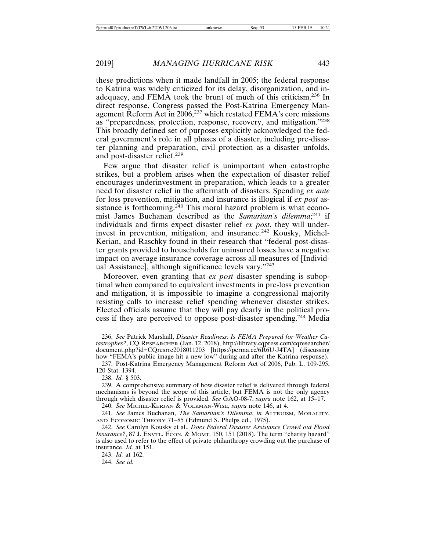these predictions when it made landfall in 2005; the federal response to Katrina was widely criticized for its delay, disorganization, and inadequacy, and FEMA took the brunt of much of this criticism.236 In direct response, Congress passed the Post-Katrina Emergency Management Reform Act in 2006,237 which restated FEMA's core missions as "preparedness, protection, response, recovery, and mitigation."<sup>238</sup> This broadly defined set of purposes explicitly acknowledged the federal government's role in all phases of a disaster, including pre-disaster planning and preparation, civil protection as a disaster unfolds, and post-disaster relief.<sup>239</sup>

Few argue that disaster relief is unimportant when catastrophe strikes, but a problem arises when the expectation of disaster relief encourages underinvestment in preparation, which leads to a greater need for disaster relief in the aftermath of disasters. Spending *ex ante* for loss prevention, mitigation, and insurance is illogical if *ex post* assistance is forthcoming.<sup>240</sup> This moral hazard problem is what economist James Buchanan described as the *Samaritan's dilemma*; 241 if individuals and firms expect disaster relief *ex post*, they will underinvest in prevention, mitigation, and insurance.<sup>242</sup> Kousky, Michel-Kerian, and Raschky found in their research that "federal post-disaster grants provided to households for uninsured losses have a negative impact on average insurance coverage across all measures of [Individual Assistance], although significance levels vary."<sup>243</sup>

Moreover, even granting that *ex post* disaster spending is suboptimal when compared to equivalent investments in pre-loss prevention and mitigation, it is impossible to imagine a congressional majority resisting calls to increase relief spending whenever disaster strikes. Elected officials assume that they will pay dearly in the political process if they are perceived to oppose post-disaster spending.244 Media

238. *Id.* § 503.

239. A comprehensive summary of how disaster relief is delivered through federal mechanisms is beyond the scope of this article, but FEMA is not the only agency through which disaster relief is provided. *See* GAO-08-7, *supra* note 162, at 15–17.

240. *See* MICHEL-KERJAN & VOLKMAN-WISE, *supra* note 146, at 4.

241. *See* James Buchanan, *The Samaritan's Dilemma*, *in* ALTRUISM, MORALITY, AND ECONOMIC THEORY 71–85 (Edmund S. Phelps ed., 1975).

242. *See* Carolyn Kousky et al., *Does Federal Disaster Assistance Crowd out Flood Insurance?*, 87 J. ENVTL. ECON. & MGMT. 150, 151 (2018). The term "charity hazard" is also used to refer to the effect of private philanthropy crowding out the purchase of insurance. *Id.* at 151.

243. *Id.* at 162.

244. *See id.*

<sup>236.</sup> *See* Patrick Marshall, *Disaster Readiness: Is FEMA Prepared for Weather Catastrophes?*, CQ RESEARCHER (Jan. 12, 2018), http://library.cqpress.com/cqresearcher/ document.php?id=CQresrre2018011203 [https://perma.cc/6R6U-J4TA] (discussing how "FEMA's public image hit a new low" during and after the Katrina response).

<sup>237.</sup> Post-Katrina Emergency Management Reform Act of 2006, Pub. L. 109-295, 120 Stat. 1394.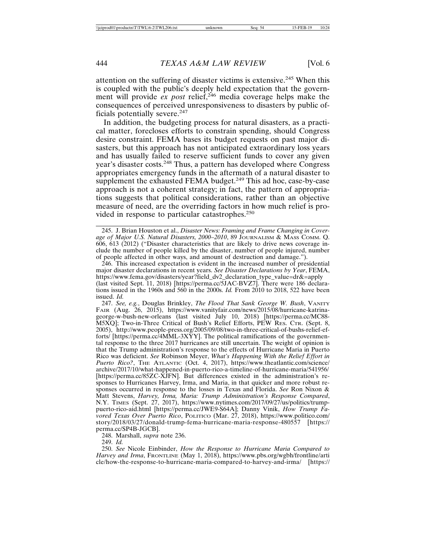attention on the suffering of disaster victims is extensive.245 When this is coupled with the public's deeply held expectation that the government will provide *ex post* relief,<sup>246</sup> media coverage helps make the consequences of perceived unresponsiveness to disasters by public officials potentially severe.<sup>247</sup>

In addition, the budgeting process for natural disasters, as a practical matter, forecloses efforts to constrain spending, should Congress desire constraint. FEMA bases its budget requests on past major disasters, but this approach has not anticipated extraordinary loss years and has usually failed to reserve sufficient funds to cover any given year's disaster costs.248 Thus, a pattern has developed where Congress appropriates emergency funds in the aftermath of a natural disaster to supplement the exhausted FEMA budget. $249$  This ad hoc, case-by-case approach is not a coherent strategy; in fact, the pattern of appropriations suggests that political considerations, rather than an objective measure of need, are the overriding factors in how much relief is provided in response to particular catastrophes.<sup>250</sup>

245. J. Brian Houston et al., *Disaster News: Framing and Frame Changing in Coverage of Major U.S. Natural Disasters, 2000–2010*, 89 JOURNALISM & MASS COMM. Q. 606, 613 (2012) ("Disaster characteristics that are likely to drive news coverage include the number of people killed by the disaster, number of people injured, number of people affected in other ways, and amount of destruction and damage.").

246. This increased expectation is evident in the increased number of presidential major disaster declarations in recent years. *See Disaster Declarations by Year*, FEMA, https://www.fema.gov/disasters/year?field\_dv2\_declaration\_type\_value=dr&=apply (last visited Sept. 11, 2018) [https://perma.cc/5JAC-BVZ7]. There were 186 declarations issued in the 1960s and 560 in the 2000s. *Id.* From 2010 to 2018, 522 have been issued. *Id.*

247. *See, e.g.*, Douglas Brinkley, *The Flood That Sank George W. Bush*, VANITY FAIR (Aug. 26, 2015), https://www.vanityfair.com/news/2015/08/hurricane-katrinageorge-w-bush-new-orleans (last visited July 10, 2018) [https://perma.cc/MC88- M5XQ]; Two-in-Three Critical of Bush's Relief Efforts, PEW RES. CTR. (Sept. 8, 2005), http://www.people-press.org/2005/09/08/two-in-three-critical-of-bushs-relief-efforts/ [https://perma.cc<sup>7</sup>4MML-3XYY]. The political ramifications of the governmental response to the three 2017 hurricanes are still uncertain. The weight of opinion is that the Trump administration's response to the effects of Hurricane Maria in Puerto Rico was deficient. *See* Robinson Meyer, *What's Happening With the Relief Effort in Puerto Rico?*, THE ATLANTIC (Oct. 4, 2017), https://www.theatlantic.com/science/ archive/2017/10/what-happened-in-puerto-rico-a-timeline-of-hurricane-maria/541956/ [https://perma.cc/85ZC-XJFN]. But differences existed in the administration's responses to Hurricanes Harvey, Irma, and Maria, in that quicker and more robust responses occurred in response to the losses in Texas and Florida. *See* Ron Nixon & Matt Stevens, *Harvey, Irma, Maria: Trump Administration's Response Compared*, N.Y. TIMES (Sept. 27, 2017), https://www.nytimes.com/2017/09/27/us/politics/trumppuerto-rico-aid.html [https://perma.cc/JWE9-S64A]; Danny Vinik, *How Trump Favored Texas Over Puerto Rico*, POLITICO (Mar. 27, 2018), https://www.politico.com/ story/2018/03/27/donald-trump-fema-hurricane-maria-response-480557 [https:// perma.cc/SP4B-JGCB].

248. Marshall, *supra* note 236.

249. *Id.*

250. *See* Nicole Einbinder, *How the Response to Hurricane Maria Compared to Harvey and Irma*, FRONTLINE (May 1, 2018), https://www.pbs.org/wgbh/frontline/arti cle/how-the-response-to-hurricane-maria-compared-to-harvey-and-irma/ [https://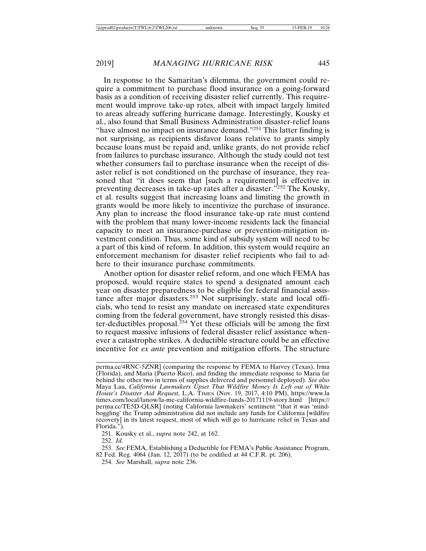In response to the Samaritan's dilemma, the government could require a commitment to purchase flood insurance on a going-forward basis as a condition of receiving disaster relief currently. This requirement would improve take-up rates, albeit with impact largely limited to areas already suffering hurricane damage. Interestingly, Kousky et al., also found that Small Business Administration disaster-relief loans "have almost no impact on insurance demand."<sup>251</sup> This latter finding is not surprising, as recipients disfavor loans relative to grants simply because loans must be repaid and, unlike grants, do not provide relief from failures to purchase insurance. Although the study could not test whether consumers fail to purchase insurance when the receipt of disaster relief is not conditioned on the purchase of insurance, they reasoned that "it does seem that [such a requirement] is effective in preventing decreases in take-up rates after a disaster."252 The Kousky, et al. results suggest that increasing loans and limiting the growth in grants would be more likely to incentivize the purchase of insurance. Any plan to increase the flood insurance take-up rate must contend with the problem that many lower-income residents lack the financial capacity to meet an insurance-purchase or prevention-mitigation investment condition. Thus, some kind of subsidy system will need to be a part of this kind of reform. In addition, this system would require an enforcement mechanism for disaster relief recipients who fail to adhere to their insurance purchase commitments.

Another option for disaster relief reform, and one which FEMA has proposed, would require states to spend a designated amount each year on disaster preparedness to be eligible for federal financial assistance after major disasters.<sup>253</sup> Not surprisingly, state and local officials, who tend to resist any mandate on increased state expenditures coming from the federal government, have strongly resisted this disaster-deductibles proposal. $^{254}$  Yet these officials will be among the first to request massive infusions of federal disaster relief assistance whenever a catastrophe strikes. A deductible structure could be an effective incentive for *ex ante* prevention and mitigation efforts. The structure

251. Kousky et al., *supra* note 242, at 162.

252. *Id.*

253. *See* FEMA, Establishing a Deductible for FEMA's Public Assistance Program, 82 Fed. Reg. 4064 (Jan. 12, 2017) (to be codified at 44 C.F.R. pt. 206).

254. *See* Marshall, *supra* note 236.

perma.cc/4RNC-5ZNR] (comparing the response by FEMA to Harvey (Texas), Irma (Florida), and Maria (Puerto Rico), and finding the immediate response to Maria far behind the other two in terms of supplies delivered and personnel deployed). *See also* Maya Lau, *California Lawmakers Upset That Wildfire Money Is Left out of White House's Disaster Aid Request*, L.A. TIMES (Nov. 19, 2017, 4:10 PM), https://www.la times.com/local/lanow/la-me-california-wildfire-funds-20171119-story.html [https:// perma.cc/TE5D-QLSR] (noting California lawmakers' sentiment "that it was 'mindboggling' the Trump administration did not include any funds for California [wildfire recovery] in its latest request, most of which will go to hurricane relief in Texas and Florida.").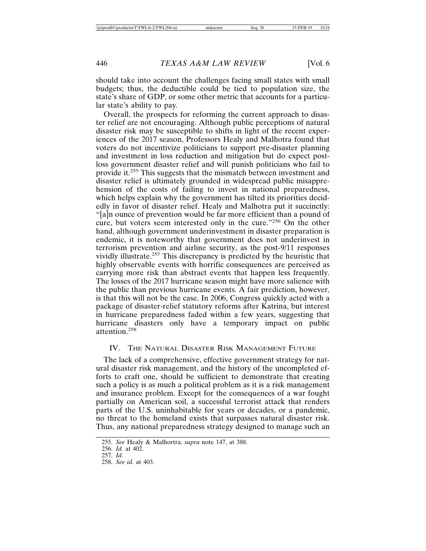should take into account the challenges facing small states with small budgets; thus, the deductible could be tied to population size, the state's share of GDP, or some other metric that accounts for a particular state's ability to pay.

Overall, the prospects for reforming the current approach to disaster relief are not encouraging. Although public perceptions of natural disaster risk may be susceptible to shifts in light of the recent experiences of the 2017 season, Professors Healy and Malhotra found that voters do not incentivize politicians to support pre-disaster planning and investment in loss reduction and mitigation but do expect postloss government disaster relief and will punish politicians who fail to provide it.255 This suggests that the mismatch between investment and disaster relief is ultimately grounded in widespread public misapprehension of the costs of failing to invest in national preparedness, which helps explain why the government has tilted its priorities decidedly in favor of disaster relief. Healy and Malhotra put it succinctly: "[a]n ounce of prevention would be far more efficient than a pound of cure, but voters seem interested only in the cure."256 On the other hand, although government underinvestment in disaster preparation is endemic, it is noteworthy that government does not underinvest in terrorism prevention and airline security, as the post-9/11 responses vividly illustrate.257 This discrepancy is predicted by the heuristic that highly observable events with horrific consequences are perceived as carrying more risk than abstract events that happen less frequently. The losses of the 2017 hurricane season might have more salience with the public than previous hurricane events. A fair prediction, however, is that this will not be the case. In 2006, Congress quickly acted with a package of disaster-relief statutory reforms after Katrina, but interest in hurricane preparedness faded within a few years, suggesting that hurricane disasters only have a temporary impact on public attention.258

#### IV. THE NATURAL DISASTER RISK MANAGEMENT FUTURE

The lack of a comprehensive, effective government strategy for natural disaster risk management, and the history of the uncompleted efforts to craft one, should be sufficient to demonstrate that creating such a policy is as much a political problem as it is a risk management and insurance problem. Except for the consequences of a war fought partially on American soil, a successful terrorist attack that renders parts of the U.S. uninhabitable for years or decades, or a pandemic, no threat to the homeland exists that surpasses natural disaster risk. Thus, any national preparedness strategy designed to manage such an

<sup>255.</sup> *See* Healy & Malhortra, *supra* note 147, at 388.

<sup>256.</sup> *Id.* at 402.

<sup>257.</sup> *Id.*

<sup>258.</sup> *See id.* at 403.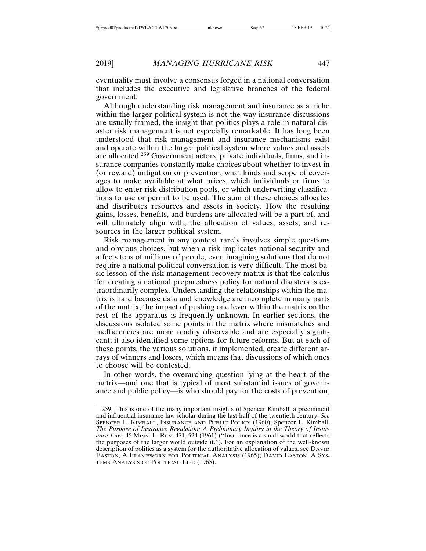eventuality must involve a consensus forged in a national conversation that includes the executive and legislative branches of the federal government.

Although understanding risk management and insurance as a niche within the larger political system is not the way insurance discussions are usually framed, the insight that politics plays a role in natural disaster risk management is not especially remarkable. It has long been understood that risk management and insurance mechanisms exist and operate within the larger political system where values and assets are allocated.259 Government actors, private individuals, firms, and insurance companies constantly make choices about whether to invest in (or reward) mitigation or prevention, what kinds and scope of coverages to make available at what prices, which individuals or firms to allow to enter risk distribution pools, or which underwriting classifications to use or permit to be used. The sum of these choices allocates and distributes resources and assets in society. How the resulting gains, losses, benefits, and burdens are allocated will be a part of, and will ultimately align with, the allocation of values, assets, and resources in the larger political system.

Risk management in any context rarely involves simple questions and obvious choices, but when a risk implicates national security and affects tens of millions of people, even imagining solutions that do not require a national political conversation is very difficult. The most basic lesson of the risk management-recovery matrix is that the calculus for creating a national preparedness policy for natural disasters is extraordinarily complex. Understanding the relationships within the matrix is hard because data and knowledge are incomplete in many parts of the matrix; the impact of pushing one lever within the matrix on the rest of the apparatus is frequently unknown. In earlier sections, the discussions isolated some points in the matrix where mismatches and inefficiencies are more readily observable and are especially significant; it also identified some options for future reforms. But at each of these points, the various solutions, if implemented, create different arrays of winners and losers, which means that discussions of which ones to choose will be contested.

In other words, the overarching question lying at the heart of the matrix—and one that is typical of most substantial issues of governance and public policy—is who should pay for the costs of prevention,

<sup>259.</sup> This is one of the many important insights of Spencer Kimball, a preeminent and influential insurance law scholar during the last half of the twentieth century. *See* SPENCER L. KIMBALL, INSURANCE AND PUBLIC POLICY (1960); Spencer L. Kimball, *The Purpose of Insurance Regulation: A Preliminary Inquiry in the Theory of Insurance Law*, 45 MINN. L. REV. 471, 524 (1961) ("Insurance is a small world that reflects the purposes of the larger world outside it."). For an explanation of the well-known description of politics as a system for the authoritative allocation of values, see DAVID EASTON, A FRAMEWORK FOR POLITICAL ANALYSIS (1965); DAVID EASTON, A SYS-TEMS ANALYSIS OF POLITICAL LIFE (1965).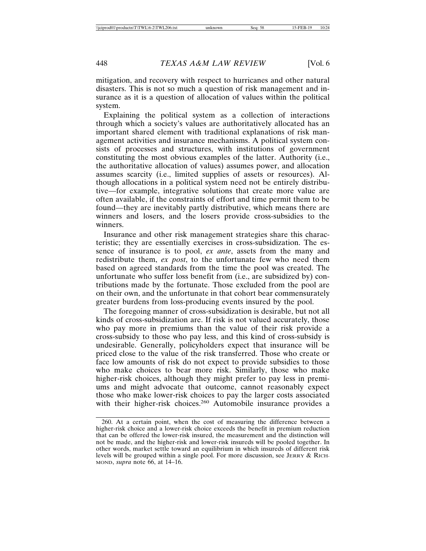mitigation, and recovery with respect to hurricanes and other natural disasters. This is not so much a question of risk management and insurance as it is a question of allocation of values within the political system.

Explaining the political system as a collection of interactions through which a society's values are authoritatively allocated has an important shared element with traditional explanations of risk management activities and insurance mechanisms. A political system consists of processes and structures, with institutions of government constituting the most obvious examples of the latter. Authority (i.e., the authoritative allocation of values) assumes power, and allocation assumes scarcity (i.e., limited supplies of assets or resources). Although allocations in a political system need not be entirely distributive—for example, integrative solutions that create more value are often available, if the constraints of effort and time permit them to be found—they are inevitably partly distributive, which means there are winners and losers, and the losers provide cross-subsidies to the winners.

Insurance and other risk management strategies share this characteristic; they are essentially exercises in cross-subsidization. The essence of insurance is to pool, *ex ante*, assets from the many and redistribute them, *ex post*, to the unfortunate few who need them based on agreed standards from the time the pool was created. The unfortunate who suffer loss benefit from (i.e., are subsidized by) contributions made by the fortunate. Those excluded from the pool are on their own, and the unfortunate in that cohort bear commensurately greater burdens from loss-producing events insured by the pool.

The foregoing manner of cross-subsidization is desirable, but not all kinds of cross-subsidization are. If risk is not valued accurately, those who pay more in premiums than the value of their risk provide a cross-subsidy to those who pay less, and this kind of cross-subsidy is undesirable. Generally, policyholders expect that insurance will be priced close to the value of the risk transferred. Those who create or face low amounts of risk do not expect to provide subsidies to those who make choices to bear more risk. Similarly, those who make higher-risk choices, although they might prefer to pay less in premiums and might advocate that outcome, cannot reasonably expect those who make lower-risk choices to pay the larger costs associated with their higher-risk choices.<sup>260</sup> Automobile insurance provides a

<sup>260.</sup> At a certain point, when the cost of measuring the difference between a higher-risk choice and a lower-risk choice exceeds the benefit in premium reduction that can be offered the lower-risk insured, the measurement and the distinction will not be made, and the higher-risk and lower-risk insureds will be pooled together. In other words, market settle toward an equilibrium in which insureds of different risk levels will be grouped within a single pool. For more discussion, see JERRY & RICH-MOND, *supra* note 66, at 14–16.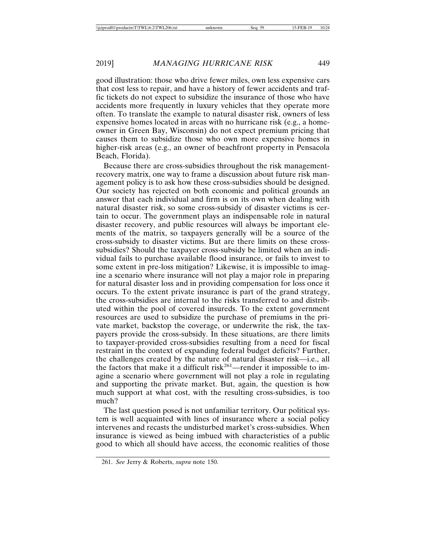good illustration: those who drive fewer miles, own less expensive cars that cost less to repair, and have a history of fewer accidents and traffic tickets do not expect to subsidize the insurance of those who have accidents more frequently in luxury vehicles that they operate more often. To translate the example to natural disaster risk, owners of less expensive homes located in areas with no hurricane risk (e.g., a homeowner in Green Bay, Wisconsin) do not expect premium pricing that causes them to subsidize those who own more expensive homes in higher-risk areas (e.g., an owner of beachfront property in Pensacola Beach, Florida).

Because there are cross-subsidies throughout the risk managementrecovery matrix, one way to frame a discussion about future risk management policy is to ask how these cross-subsidies should be designed. Our society has rejected on both economic and political grounds an answer that each individual and firm is on its own when dealing with natural disaster risk, so some cross-subsidy of disaster victims is certain to occur. The government plays an indispensable role in natural disaster recovery, and public resources will always be important elements of the matrix, so taxpayers generally will be a source of the cross-subsidy to disaster victims. But are there limits on these crosssubsidies? Should the taxpayer cross-subsidy be limited when an individual fails to purchase available flood insurance, or fails to invest to some extent in pre-loss mitigation? Likewise, it is impossible to imagine a scenario where insurance will not play a major role in preparing for natural disaster loss and in providing compensation for loss once it occurs. To the extent private insurance is part of the grand strategy, the cross-subsidies are internal to the risks transferred to and distributed within the pool of covered insureds. To the extent government resources are used to subsidize the purchase of premiums in the private market, backstop the coverage, or underwrite the risk, the taxpayers provide the cross-subsidy. In these situations, are there limits to taxpayer-provided cross-subsidies resulting from a need for fiscal restraint in the context of expanding federal budget deficits? Further, the challenges created by the nature of natural disaster risk—i.e., all the factors that make it a difficult risk<sup>261</sup>—render it impossible to imagine a scenario where government will not play a role in regulating and supporting the private market. But, again, the question is how much support at what cost, with the resulting cross-subsidies, is too much?

The last question posed is not unfamiliar territory. Our political system is well acquainted with lines of insurance where a social policy intervenes and recasts the undisturbed market's cross-subsidies. When insurance is viewed as being imbued with characteristics of a public good to which all should have access, the economic realities of those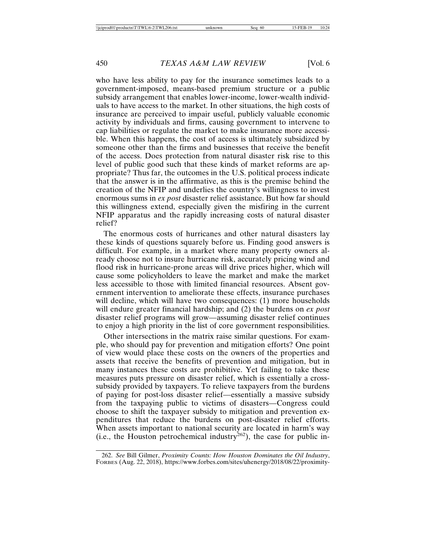who have less ability to pay for the insurance sometimes leads to a government-imposed, means-based premium structure or a public subsidy arrangement that enables lower-income, lower-wealth individuals to have access to the market. In other situations, the high costs of insurance are perceived to impair useful, publicly valuable economic activity by individuals and firms, causing government to intervene to cap liabilities or regulate the market to make insurance more accessible. When this happens, the cost of access is ultimately subsidized by someone other than the firms and businesses that receive the benefit of the access. Does protection from natural disaster risk rise to this level of public good such that these kinds of market reforms are appropriate? Thus far, the outcomes in the U.S. political process indicate that the answer is in the affirmative, as this is the premise behind the creation of the NFIP and underlies the country's willingness to invest enormous sums in *ex post* disaster relief assistance. But how far should this willingness extend, especially given the misfiring in the current NFIP apparatus and the rapidly increasing costs of natural disaster relief?

The enormous costs of hurricanes and other natural disasters lay these kinds of questions squarely before us. Finding good answers is difficult. For example, in a market where many property owners already choose not to insure hurricane risk, accurately pricing wind and flood risk in hurricane-prone areas will drive prices higher, which will cause some policyholders to leave the market and make the market less accessible to those with limited financial resources. Absent government intervention to ameliorate these effects, insurance purchases will decline, which will have two consequences: (1) more households will endure greater financial hardship; and (2) the burdens on *ex post* disaster relief programs will grow—assuming disaster relief continues to enjoy a high priority in the list of core government responsibilities.

Other intersections in the matrix raise similar questions. For example, who should pay for prevention and mitigation efforts? One point of view would place these costs on the owners of the properties and assets that receive the benefits of prevention and mitigation, but in many instances these costs are prohibitive. Yet failing to take these measures puts pressure on disaster relief, which is essentially a crosssubsidy provided by taxpayers. To relieve taxpayers from the burdens of paying for post-loss disaster relief—essentially a massive subsidy from the taxpaying public to victims of disasters—Congress could choose to shift the taxpayer subsidy to mitigation and prevention expenditures that reduce the burdens on post-disaster relief efforts. When assets important to national security are located in harm's way (i.e., the Houston petrochemical industry $^{262}$ ), the case for public in-

<sup>262.</sup> *See* Bill Gilmer, *Proximity Counts: How Houston Dominates the Oil Industry*, FORBES (Aug. 22, 2018), https://www.forbes.com/sites/uhenergy/2018/08/22/proximity-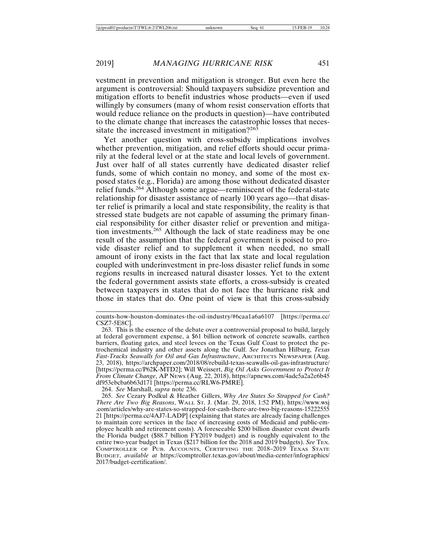vestment in prevention and mitigation is stronger. But even here the argument is controversial: Should taxpayers subsidize prevention and mitigation efforts to benefit industries whose products—even if used willingly by consumers (many of whom resist conservation efforts that would reduce reliance on the products in question)—have contributed to the climate change that increases the catastrophic losses that necessitate the increased investment in mitigation?<sup>263</sup>

Yet another question with cross-subsidy implications involves whether prevention, mitigation, and relief efforts should occur primarily at the federal level or at the state and local levels of government. Just over half of all states currently have dedicated disaster relief funds, some of which contain no money, and some of the most exposed states (e.g., Florida) are among those without dedicated disaster relief funds.264 Although some argue—reminiscent of the federal-state relationship for disaster assistance of nearly 100 years ago—that disaster relief is primarily a local and state responsibility, the reality is that stressed state budgets are not capable of assuming the primary financial responsibility for either disaster relief or prevention and mitigation investments.265 Although the lack of state readiness may be one result of the assumption that the federal government is poised to provide disaster relief and to supplement it when needed, no small amount of irony exists in the fact that lax state and local regulation coupled with underinvestment in pre-loss disaster relief funds in some regions results in increased natural disaster losses. Yet to the extent the federal government assists state efforts, a cross-subsidy is created between taxpayers in states that do not face the hurricane risk and those in states that do. One point of view is that this cross-subsidy

264. *See* Marshall, *supra* note 236.

counts-how-houston-dominates-the-oil-industry/#6caa1a6a6107 [https://perma.cc/ CSZ7-5E8C].

<sup>263.</sup> This is the essence of the debate over a controversial proposal to build, largely at federal government expense, a \$61 billion network of concrete seawalls, earthen barriers, floating gates, and steel levees on the Texas Gulf Coast to protect the petrochemical industry and other assets along the Gulf. *See* Jonathan Hilburg, *Texas Fast-Tracks Seawalls for Oil and Gas Infrastructure*, ARCHITECTS NEWSPAPER (Aug. 23, 2018), https://archpaper.com/2018/08/rebuild-texas-seawalls-oil-gas-infrastructure/ [https://perma.cc/P62K-MTD2]; Will Weissert, *Big Oil Asks Government to Protect It From Climate Change*, AP NEWS (Aug. 22, 2018), https://apnews.com/4adc5a2a2e6b45 df953ebcba6b63d171 [https://perma.cc/RLW6-PMRE].

<sup>265.</sup> *See* Cezary Podkul & Heather Gillers, *Why Are States So Strapped for Cash? There Are Two Big Reasons*, WALL ST. J. (Mar. 29, 2018, 1:52 PM), https://www.wsj .com/articles/why-are-states-so-strapped-for-cash-there-are-two-big-reasons-15222555 21 [https://perma.cc/4AJ7-LADP] (explaining that states are already facing challenges to maintain core services in the face of increasing costs of Medicaid and public-employee health and retirement costs). A foreseeable \$200 billion disaster event dwarfs the Florida budget (\$88.7 billion FY2019 budget) and is roughly equivalent to the entire two-year budget in Texas (\$217 billion for the 2018 and 2019 budgets). *See* TEX. COMPTROLLER OF PUB. ACCOUNTS, CERTIFYING THE 2018–2019 TEXAS STATE BUDGET, *available at* https://comptroller.texas.gov/about/media-center/infographics/ 2017/budget-certification/.